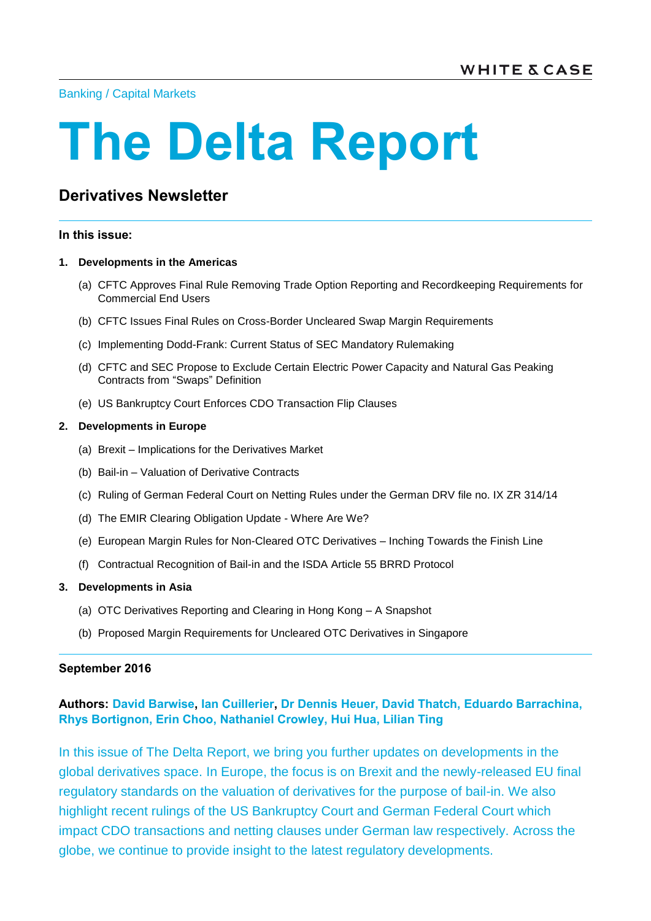[Banking](http://www.whitecase.com/law/practices/banking) / [Capital Markets](http://www.whitecase.com/law/practices/capital-markets)

# **The Delta Report**

## **Derivatives Newsletter**

#### **In this issue:**

#### **1. [Developments in the Americas](#page-1-0)**

- (a) [CFTC Approves Final Rule Removing Trade Option Reporting and Recordkeeping Requirements for](#page-1-1)  [Commercial End Users](#page-1-1)
- (b) [CFTC Issues Final Rules on Cross-Border Uncleared Swap Margin Requirements](#page-3-0)
- (c) [Implementing Dodd-Frank: Current Status of SEC Mandatory Rulemaking](#page-7-0)
- (d) [CFTC and SEC Propose to Exclude Certain Electric Power Capacity and](#page-13-0) Natural Gas Peaking [Contracts from "Swaps"](#page-13-0) Definition
- (e) [US Bankruptcy Court Enforces CDO Transaction Flip Clauses](#page-14-0)

#### **2. [Developments in Europe](#page-18-0)**

- (a) Brexit [Implications for the Derivatives Market](#page-18-1)
- (b) Bail-in [Valuation of Derivative Contracts](#page-26-0)
- (c) [Ruling of German Federal Court on Netting Rules under the German DRV file no. IX ZR 314/14](#page-31-0)
- (d) [The EMIR Clearing Obligation Update](#page-34-0) Where Are We?
- (e) [European Margin Rules for Non-Cleared OTC Derivatives –](#page-42-0) Inching Towards the Finish Line
- (f) [Contractual Recognition of Bail-in and the ISDA Article 55 BRRD Protocol](#page-48-0)

#### **3. [Developments in Asia](#page-52-0)**

- (a) [OTC Derivatives Reporting and Clearing in Hong Kong –](#page-52-1) A Snapshot
- (b) [Proposed Margin Requirements for Uncleared OTC Derivatives in Singapore](#page-57-0)

#### **September 2016**

## **Authors: [David Barwise,](http://www.whitecase.com/people/david-barwise) [Ian Cuillerier,](http://www.whitecase.com/people/ian-cuillerier) [Dr Dennis Heuer,](http://www.whitecase.com/people/dennis-heuer) David Thatch, [Eduardo Barrachina,](http://www.whitecase.com/people/eduardo-barrachina) Rhys Bortignon, [Erin Choo,](http://www.whitecase.com/people/erin-choo) [Nathaniel Crowley,](http://www.whitecase.com/people/nathaniel-crowley) [Hui Hua,](http://www.whitecase.com/people/hui-hua) [Lilian Ting](http://www.whitecase.com/people/lilian-ting)**

In this issue of The Delta Report, we bring you further updates on developments in the global derivatives space. In Europe, the focus is on Brexit and the newly-released EU final regulatory standards on the valuation of derivatives for the purpose of bail-in. We also highlight recent rulings of the US Bankruptcy Court and German Federal Court which impact CDO transactions and netting clauses under German law respectively. Across the globe, we continue to provide insight to the latest regulatory developments.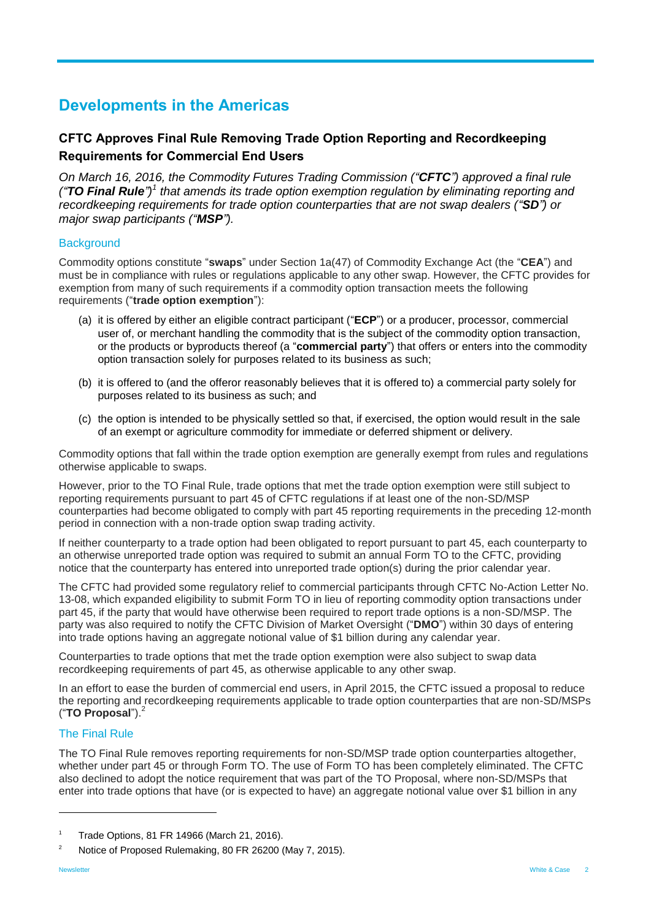## <span id="page-1-0"></span>**Developments in the Americas**

## <span id="page-1-1"></span>**CFTC Approves Final Rule Removing Trade Option Reporting and Recordkeeping Requirements for Commercial End Users**

*On March 16, 2016, the Commodity Futures Trading Commission ("CFTC") approved a final rule ("TO Final Rule") 1 that amends its trade option exemption regulation by eliminating reporting and recordkeeping requirements for trade option counterparties that are not swap dealers ("SD") or major swap participants ("MSP").*

#### **Background**

Commodity options constitute "**swaps**" under Section 1a(47) of Commodity Exchange Act (the "**CEA**") and must be in compliance with rules or regulations applicable to any other swap. However, the CFTC provides for exemption from many of such requirements if a commodity option transaction meets the following requirements ("**trade option exemption**"):

- (a) it is offered by either an eligible contract participant ("**ECP**") or a producer, processor, commercial user of, or merchant handling the commodity that is the subject of the commodity option transaction, or the products or byproducts thereof (a "**commercial party**") that offers or enters into the commodity option transaction solely for purposes related to its business as such;
- (b) it is offered to (and the offeror reasonably believes that it is offered to) a commercial party solely for purposes related to its business as such; and
- (c) the option is intended to be physically settled so that, if exercised, the option would result in the sale of an exempt or agriculture commodity for immediate or deferred shipment or delivery.

Commodity options that fall within the trade option exemption are generally exempt from rules and regulations otherwise applicable to swaps.

However, prior to the TO Final Rule, trade options that met the trade option exemption were still subject to reporting requirements pursuant to part 45 of CFTC regulations if at least one of the non-SD/MSP counterparties had become obligated to comply with part 45 reporting requirements in the preceding 12-month period in connection with a non-trade option swap trading activity.

If neither counterparty to a trade option had been obligated to report pursuant to part 45, each counterparty to an otherwise unreported trade option was required to submit an annual Form TO to the CFTC, providing notice that the counterparty has entered into unreported trade option(s) during the prior calendar year.

The CFTC had provided some regulatory relief to commercial participants through CFTC No-Action Letter No. 13-08, which expanded eligibility to submit Form TO in lieu of reporting commodity option transactions under part 45, if the party that would have otherwise been required to report trade options is a non-SD/MSP. The party was also required to notify the CFTC Division of Market Oversight ("**DMO**") within 30 days of entering into trade options having an aggregate notional value of \$1 billion during any calendar year.

Counterparties to trade options that met the trade option exemption were also subject to swap data recordkeeping requirements of part 45, as otherwise applicable to any other swap.

In an effort to ease the burden of commercial end users, in April 2015, the CFTC issued a proposal to reduce the reporting and recordkeeping requirements applicable to trade option counterparties that are non-SD/MSPs ("**TO Proposal**").<sup>2</sup>

#### The Final Rule

The TO Final Rule removes reporting requirements for non-SD/MSP trade option counterparties altogether, whether under part 45 or through Form TO. The use of Form TO has been completely eliminated. The CFTC also declined to adopt the notice requirement that was part of the TO Proposal, where non-SD/MSPs that enter into trade options that have (or is expected to have) an aggregate notional value over \$1 billion in any

<sup>1</sup> Trade Options, 81 FR 14966 (March 21, 2016).

<sup>&</sup>lt;sup>2</sup> Notice of Proposed Rulemaking, 80 FR 26200 (May 7, 2015).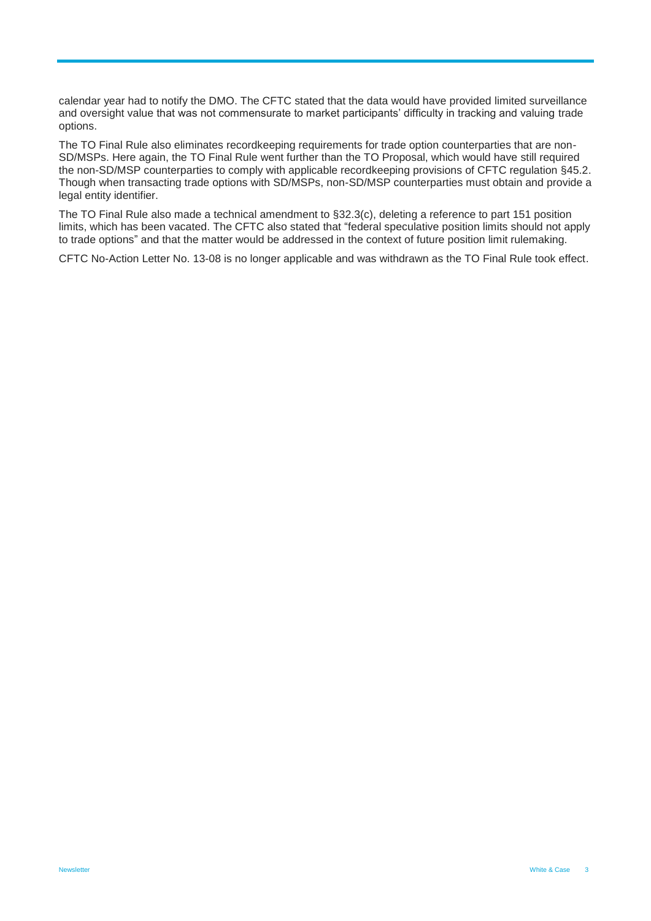calendar year had to notify the DMO. The CFTC stated that the data would have provided limited surveillance and oversight value that was not commensurate to market participants' difficulty in tracking and valuing trade options.

The TO Final Rule also eliminates recordkeeping requirements for trade option counterparties that are non-SD/MSPs. Here again, the TO Final Rule went further than the TO Proposal, which would have still required the non-SD/MSP counterparties to comply with applicable recordkeeping provisions of CFTC regulation §45.2. Though when transacting trade options with SD/MSPs, non-SD/MSP counterparties must obtain and provide a legal entity identifier.

The TO Final Rule also made a technical amendment to §32.3(c), deleting a reference to part 151 position limits, which has been vacated. The CFTC also stated that "federal speculative position limits should not apply to trade options" and that the matter would be addressed in the context of future position limit rulemaking.

CFTC No-Action Letter No. 13-08 is no longer applicable and was withdrawn as the TO Final Rule took effect.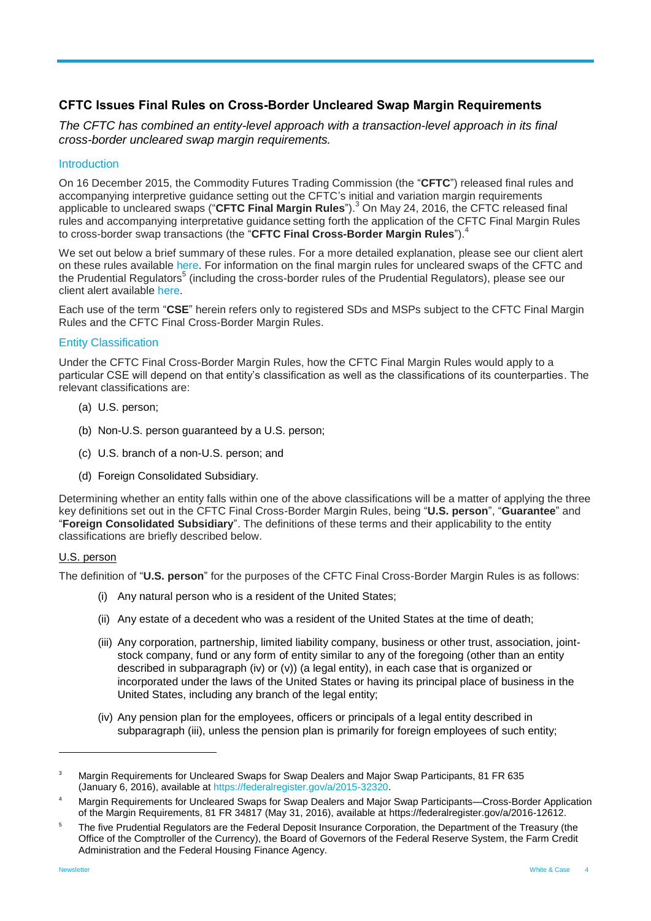## <span id="page-3-0"></span>**CFTC Issues Final Rules on Cross-Border Uncleared Swap Margin Requirements**

*The CFTC has combined an entity-level approach with a transaction-level approach in its final cross-border uncleared swap margin requirements.*

#### **Introduction**

On 16 December 2015, the Commodity Futures Trading Commission (the "**CFTC**") released final rules and accompanying interpretive guidance setting out the CFTC's initial and variation margin requirements applicable to uncleared swaps ("CFTC Final Margin Rules").<sup>3</sup> On May 24, 2016, the CFTC released final rules and accompanying interpretative guidance setting forth the application of the CFTC Final Margin Rules to cross-border swap transactions (the "**CFTC Final Cross-Border Margin Rules**").<sup>4</sup>

We set out below a brief summary of these rules. For a more detailed explanation, please see our client alert on these rules available [here.](http://www.whitecase.com/publications/alert/cftc-issues-final-rules-cross-border-uncleared-swap-margin-requirements) For information on the final margin rules for uncleared swaps of the CFTC and the Prudential Regulators<sup>5</sup> (including the cross-border rules of the Prudential Regulators), please see our client alert available [here.](http://www.whitecase.com/publications/alert/prudential-regulators-and-cftc-final-margin-rules-uncleared-swaps)

Each use of the term "**CSE**" herein refers only to registered SDs and MSPs subject to the CFTC Final Margin Rules and the CFTC Final Cross-Border Margin Rules.

#### Entity Classification

Under the CFTC Final Cross-Border Margin Rules, how the CFTC Final Margin Rules would apply to a particular CSE will depend on that entity's classification as well as the classifications of its counterparties. The relevant classifications are:

- (a) U.S. person;
- (b) Non-U.S. person guaranteed by a U.S. person;
- (c) U.S. branch of a non-U.S. person; and
- (d) Foreign Consolidated Subsidiary.

Determining whether an entity falls within one of the above classifications will be a matter of applying the three key definitions set out in the CFTC Final Cross-Border Margin Rules, being "**U.S. person**", "**Guarantee**" and "**Foreign Consolidated Subsidiary**". The definitions of these terms and their applicability to the entity classifications are briefly described below.

#### U.S. person

The definition of "**U.S. person**" for the purposes of the CFTC Final Cross-Border Margin Rules is as follows:

- (i) Any natural person who is a resident of the United States;
- (ii) Any estate of a decedent who was a resident of the United States at the time of death;
- (iii) Any corporation, partnership, limited liability company, business or other trust, association, jointstock company, fund or any form of entity similar to any of the foregoing (other than an entity described in subparagraph (iv) or (v)) (a legal entity), in each case that is organized or incorporated under the laws of the United States or having its principal place of business in the United States, including any branch of the legal entity;
- (iv) Any pension plan for the employees, officers or principals of a legal entity described in subparagraph (iii), unless the pension plan is primarily for foreign employees of such entity;

<sup>&</sup>lt;sup>3</sup> Margin Requirements for Uncleared Swaps for Swap Dealers and Major Swap Participants, 81 FR 635 (January 6, 2016), available at [https://federalregister.gov/a/2015-32320.](https://federalregister.gov/a/2015-32320)

<sup>4</sup> Margin Requirements for Uncleared Swaps for Swap Dealers and Major Swap Participants—Cross-Border Application of the Margin Requirements, 81 FR 34817 (May 31, 2016), available at [https://federalregister.gov/a/2016-12612.](https://federalregister.gov/a/2016-12612)

<sup>&</sup>lt;sup>5</sup> The five Prudential Regulators are the Federal Deposit Insurance Corporation, the Department of the Treasury (the Office of the Comptroller of the Currency), the Board of Governors of the Federal Reserve System, the Farm Credit Administration and the Federal Housing Finance Agency.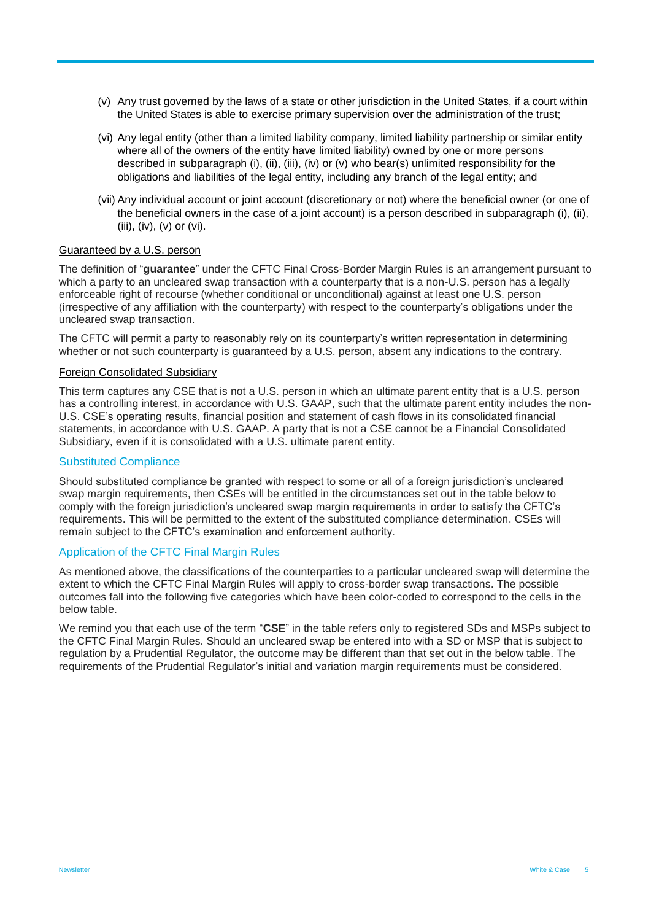- (v) Any trust governed by the laws of a state or other jurisdiction in the United States, if a court within the United States is able to exercise primary supervision over the administration of the trust;
- (vi) Any legal entity (other than a limited liability company, limited liability partnership or similar entity where all of the owners of the entity have limited liability) owned by one or more persons described in subparagraph (i), (ii), (iii), (iv) or (v) who bear(s) unlimited responsibility for the obligations and liabilities of the legal entity, including any branch of the legal entity; and
- (vii) Any individual account or joint account (discretionary or not) where the beneficial owner (or one of the beneficial owners in the case of a joint account) is a person described in subparagraph (i), (ii), (iii), (iv), (v) or (vi).

#### Guaranteed by a U.S. person

The definition of "**guarantee**" under the CFTC Final Cross-Border Margin Rules is an arrangement pursuant to which a party to an uncleared swap transaction with a counterparty that is a non-U.S. person has a legally enforceable right of recourse (whether conditional or unconditional) against at least one U.S. person (irrespective of any affiliation with the counterparty) with respect to the counterparty's obligations under the uncleared swap transaction.

The CFTC will permit a party to reasonably rely on its counterparty's written representation in determining whether or not such counterparty is guaranteed by a U.S. person, absent any indications to the contrary.

#### Foreign Consolidated Subsidiary

This term captures any CSE that is not a U.S. person in which an ultimate parent entity that is a U.S. person has a controlling interest, in accordance with U.S. GAAP, such that the ultimate parent entity includes the non-U.S. CSE's operating results, financial position and statement of cash flows in its consolidated financial statements, in accordance with U.S. GAAP. A party that is not a CSE cannot be a Financial Consolidated Subsidiary, even if it is consolidated with a U.S. ultimate parent entity.

#### Substituted Compliance

Should substituted compliance be granted with respect to some or all of a foreign jurisdiction's uncleared swap margin requirements, then CSEs will be entitled in the circumstances set out in the table below to comply with the foreign jurisdiction's uncleared swap margin requirements in order to satisfy the CFTC's requirements. This will be permitted to the extent of the substituted compliance determination. CSEs will remain subject to the CFTC's examination and enforcement authority.

#### Application of the CFTC Final Margin Rules

As mentioned above, the classifications of the counterparties to a particular uncleared swap will determine the extent to which the CFTC Final Margin Rules will apply to cross-border swap transactions. The possible outcomes fall into the following five categories which have been color-coded to correspond to the cells in the below table.

We remind you that each use of the term "**CSE**" in the table refers only to registered SDs and MSPs subject to the CFTC Final Margin Rules. Should an uncleared swap be entered into with a SD or MSP that is subject to regulation by a Prudential Regulator, the outcome may be different than that set out in the below table. The requirements of the Prudential Regulator's initial and variation margin requirements must be considered.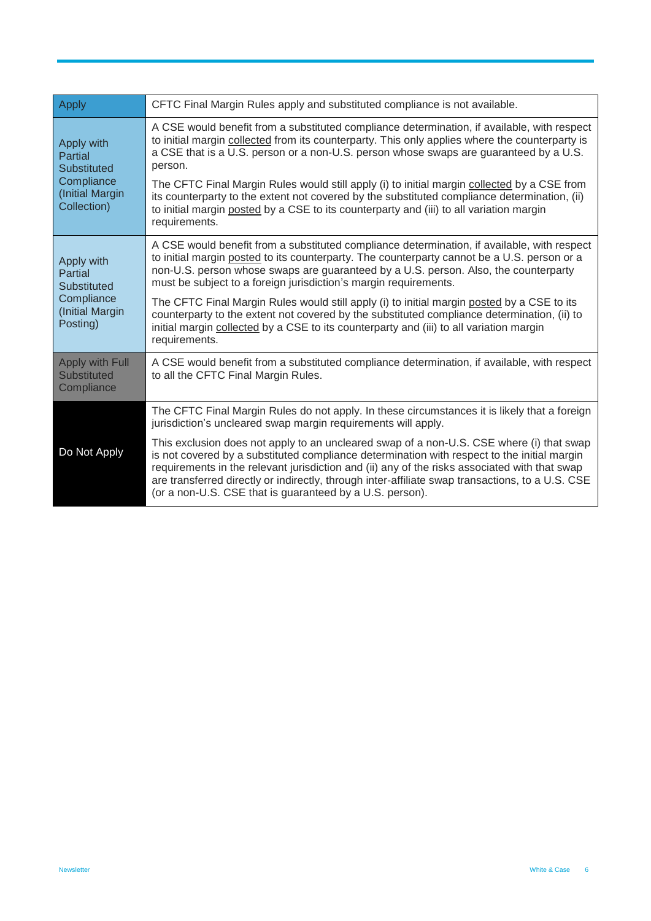| <b>Apply</b>                                                                                | CFTC Final Margin Rules apply and substituted compliance is not available.                                                                                                                                                                                                                                                                                                                                                                               |
|---------------------------------------------------------------------------------------------|----------------------------------------------------------------------------------------------------------------------------------------------------------------------------------------------------------------------------------------------------------------------------------------------------------------------------------------------------------------------------------------------------------------------------------------------------------|
| Apply with<br>Partial<br><b>Substituted</b><br>Compliance<br>(Initial Margin<br>Collection) | A CSE would benefit from a substituted compliance determination, if available, with respect<br>to initial margin collected from its counterparty. This only applies where the counterparty is<br>a CSE that is a U.S. person or a non-U.S. person whose swaps are guaranteed by a U.S.<br>person.                                                                                                                                                        |
|                                                                                             | The CFTC Final Margin Rules would still apply (i) to initial margin collected by a CSE from<br>its counterparty to the extent not covered by the substituted compliance determination, (ii)<br>to initial margin posted by a CSE to its counterparty and (iii) to all variation margin<br>requirements.                                                                                                                                                  |
| Apply with<br>Partial<br>Substituted<br>Compliance<br>(Initial Margin<br>Posting)           | A CSE would benefit from a substituted compliance determination, if available, with respect<br>to initial margin posted to its counterparty. The counterparty cannot be a U.S. person or a<br>non-U.S. person whose swaps are guaranteed by a U.S. person. Also, the counterparty<br>must be subject to a foreign jurisdiction's margin requirements.                                                                                                    |
|                                                                                             | The CFTC Final Margin Rules would still apply (i) to initial margin posted by a CSE to its<br>counterparty to the extent not covered by the substituted compliance determination, (ii) to<br>initial margin collected by a CSE to its counterparty and (iii) to all variation margin<br>requirements.                                                                                                                                                    |
| Apply with Full<br><b>Substituted</b><br>Compliance                                         | A CSE would benefit from a substituted compliance determination, if available, with respect<br>to all the CFTC Final Margin Rules.                                                                                                                                                                                                                                                                                                                       |
| Do Not Apply                                                                                | The CFTC Final Margin Rules do not apply. In these circumstances it is likely that a foreign<br>jurisdiction's uncleared swap margin requirements will apply.                                                                                                                                                                                                                                                                                            |
|                                                                                             | This exclusion does not apply to an uncleared swap of a non-U.S. CSE where (i) that swap<br>is not covered by a substituted compliance determination with respect to the initial margin<br>requirements in the relevant jurisdiction and (ii) any of the risks associated with that swap<br>are transferred directly or indirectly, through inter-affiliate swap transactions, to a U.S. CSE<br>(or a non-U.S. CSE that is guaranteed by a U.S. person). |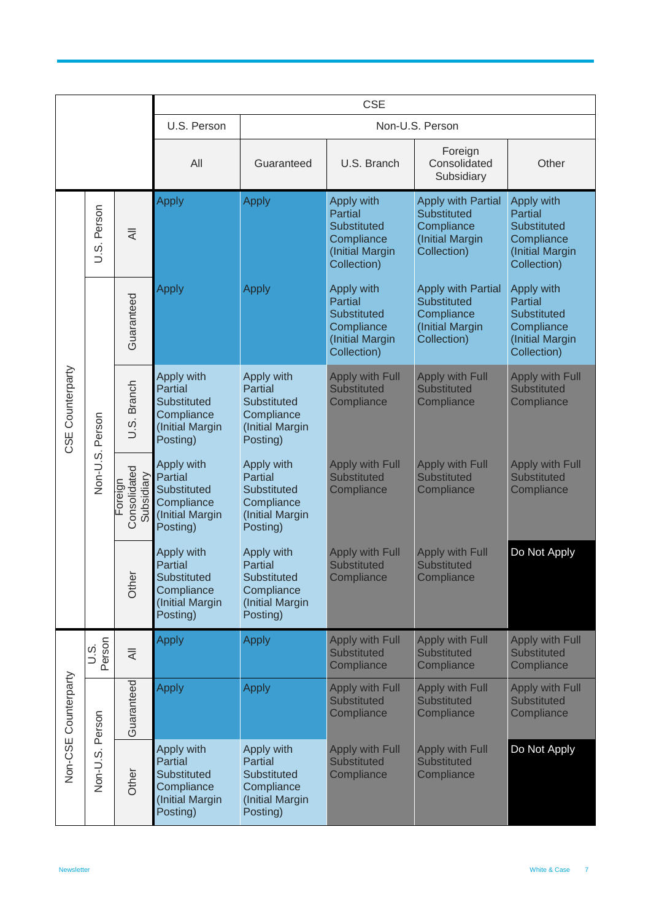|                      |                    |                                       |                                                                                          |                                                                                                 | <b>CSE</b>                                                                                         |                                                                                                 |                                                                                                    |
|----------------------|--------------------|---------------------------------------|------------------------------------------------------------------------------------------|-------------------------------------------------------------------------------------------------|----------------------------------------------------------------------------------------------------|-------------------------------------------------------------------------------------------------|----------------------------------------------------------------------------------------------------|
|                      |                    |                                       | U.S. Person                                                                              | Non-U.S. Person                                                                                 |                                                                                                    |                                                                                                 |                                                                                                    |
|                      |                    |                                       | All                                                                                      | Guaranteed                                                                                      | U.S. Branch                                                                                        | Foreign<br>Consolidated<br>Subsidiary                                                           | Other                                                                                              |
|                      | Person<br>s.<br>D. | $\overline{4}$                        | <b>Apply</b>                                                                             | <b>Apply</b>                                                                                    | Apply with<br><b>Partial</b><br><b>Substituted</b><br>Compliance<br>(Initial Margin<br>Collection) | <b>Apply with Partial</b><br><b>Substituted</b><br>Compliance<br>(Initial Margin<br>Collection) | Apply with<br><b>Partial</b><br><b>Substituted</b><br>Compliance<br>(Initial Margin<br>Collection) |
| Counterparty<br>CSE  |                    | Guaranteed                            | Apply                                                                                    | <b>Apply</b>                                                                                    | Apply with<br><b>Partial</b><br><b>Substituted</b><br>Compliance<br>(Initial Margin<br>Collection) | <b>Apply with Partial</b><br>Substituted<br>Compliance<br>(Initial Margin<br>Collection)        | Apply with<br><b>Partial</b><br><b>Substituted</b><br>Compliance<br>(Initial Margin<br>Collection) |
|                      | Person<br>Non-U.S. | U.S. Branch                           | Apply with<br><b>Partial</b><br>Substituted<br>Compliance<br>(Initial Margin<br>Posting) | Apply with<br>Partial<br>Substituted<br>Compliance<br>(Initial Margin<br>Posting)               | <b>Apply with Full</b><br><b>Substituted</b><br>Compliance                                         | <b>Apply with Full</b><br><b>Substituted</b><br>Compliance                                      | Apply with Full<br><b>Substituted</b><br>Compliance                                                |
|                      |                    | Consolidated<br>Subsidiary<br>Foreigr | Apply with<br>Partial<br>Substituted<br>Compliance<br>(Initial Margin<br>Posting)        | Apply with<br><b>Partial</b><br><b>Substituted</b><br>Compliance<br>(Initial Margin<br>Posting) | <b>Apply with Full</b><br><b>Substituted</b><br>Compliance                                         | <b>Apply with Full</b><br><b>Substituted</b><br>Compliance                                      | <b>Apply with Full</b><br><b>Substituted</b><br>Compliance                                         |
|                      |                    |                                       | Other                                                                                    | Apply with<br><b>Partial</b><br>Substituted<br>Compliance<br>(Initial Margin<br>Posting)        | Apply with<br><b>Partial</b><br><b>Substituted</b><br>Compliance<br>(Initial Margin<br>Posting)    | <b>Apply with Full</b><br><b>Substituted</b><br>Compliance                                      | <b>Apply with Full</b><br><b>Substituted</b><br>Compliance                                         |
|                      | Person<br>s.<br>J  | $\overline{\overline{z}}$             | <b>Apply</b>                                                                             | <b>Apply</b>                                                                                    | <b>Apply with Full</b><br><b>Substituted</b><br>Compliance                                         | <b>Apply with Full</b><br><b>Substituted</b><br>Compliance                                      | <b>Apply with Full</b><br><b>Substituted</b><br>Compliance                                         |
| Non-CSE Counterparty | Person<br>Non-U.S. | Guaranteed                            | <b>Apply</b>                                                                             | <b>Apply</b>                                                                                    | <b>Apply with Full</b><br><b>Substituted</b><br>Compliance                                         | <b>Apply with Full</b><br><b>Substituted</b><br>Compliance                                      | Apply with Full<br><b>Substituted</b><br>Compliance                                                |
|                      |                    | Other                                 | Apply with<br><b>Partial</b><br>Substituted<br>Compliance<br>(Initial Margin<br>Posting) | Apply with<br><b>Partial</b><br><b>Substituted</b><br>Compliance<br>(Initial Margin<br>Posting) | <b>Apply with Full</b><br><b>Substituted</b><br>Compliance                                         | <b>Apply with Full</b><br><b>Substituted</b><br>Compliance                                      | Do Not Apply                                                                                       |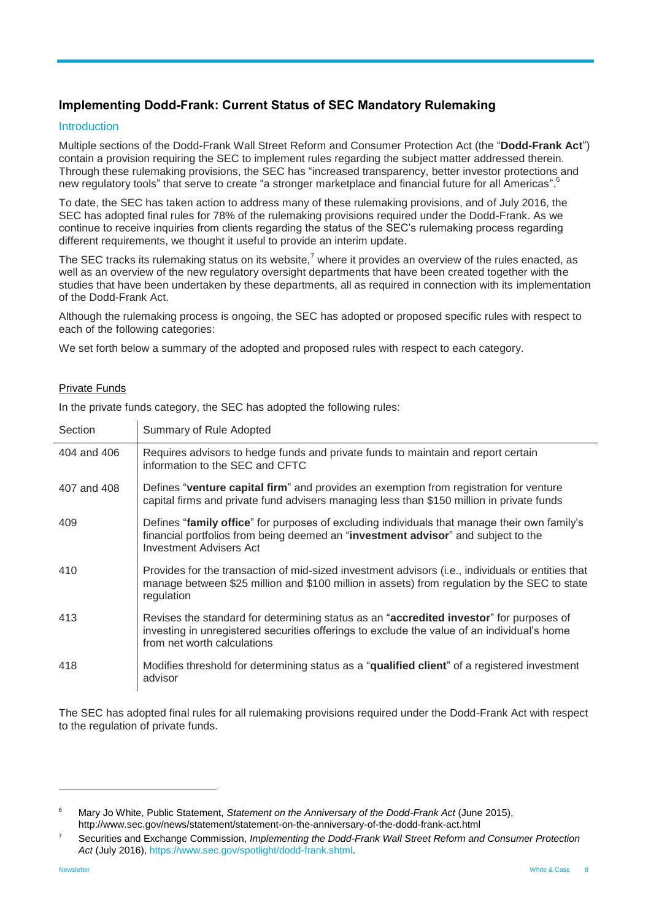## <span id="page-7-0"></span>**Implementing Dodd-Frank: Current Status of SEC Mandatory Rulemaking**

#### Introduction

Multiple sections of the Dodd-Frank Wall Street Reform and Consumer Protection Act (the "**Dodd-Frank Act**") contain a provision requiring the SEC to implement rules regarding the subject matter addressed therein. Through these rulemaking provisions, the SEC has "increased transparency, better investor protections and new regulatory tools" that serve to create "a stronger marketplace and financial future for all Americas".<sup>6</sup>

To date, the SEC has taken action to address many of these rulemaking provisions, and of July 2016, the SEC has adopted final rules for 78% of the rulemaking provisions required under the Dodd-Frank. As we continue to receive inquiries from clients regarding the status of the SEC's rulemaking process regarding different requirements, we thought it useful to provide an interim update.

The SEC tracks its rulemaking status on its website, $^7$  where it provides an overview of the rules enacted, as well as an overview of the new regulatory oversight departments that have been created together with the studies that have been undertaken by these departments, all as required in connection with its implementation of the Dodd-Frank Act.

Although the rulemaking process is ongoing, the SEC has adopted or proposed specific rules with respect to each of the following categories:

We set forth below a summary of the adopted and proposed rules with respect to each category.

#### Private Funds

In the private funds category, the SEC has adopted the following rules:

| Section     | Summary of Rule Adopted                                                                                                                                                                                                        |
|-------------|--------------------------------------------------------------------------------------------------------------------------------------------------------------------------------------------------------------------------------|
| 404 and 406 | Requires advisors to hedge funds and private funds to maintain and report certain<br>information to the SEC and CFTC                                                                                                           |
| 407 and 408 | Defines "venture capital firm" and provides an exemption from registration for venture<br>capital firms and private fund advisers managing less than \$150 million in private funds                                            |
| 409         | Defines "family office" for purposes of excluding individuals that manage their own family's<br>financial portfolios from being deemed an "investment advisor" and subject to the<br><b>Investment Advisers Act</b>            |
| 410         | Provides for the transaction of mid-sized investment advisors (i.e., individuals or entities that<br>manage between \$25 million and \$100 million in assets) from regulation by the SEC to state<br>regulation                |
| 413         | Revises the standard for determining status as an " <b>accredited investor</b> " for purposes of<br>investing in unregistered securities offerings to exclude the value of an individual's home<br>from net worth calculations |
| 418         | Modifies threshold for determining status as a "qualified client" of a registered investment<br>advisor                                                                                                                        |

The SEC has adopted final rules for all rulemaking provisions required under the Dodd-Frank Act with respect to the regulation of private funds.

<sup>6</sup> Mary Jo White, Public Statement, *Statement on the Anniversary of the Dodd-Frank Act* (June 2015), http://www.sec.gov/news/statement/statement-on-the-anniversary-of-the-dodd-frank-act.html

<sup>7</sup> Securities and Exchange Commission, *Implementing the Dodd-Frank Wall Street Reform and Consumer Protection Act* (July 2016)[, https://www.sec.gov/spotlight/dodd-frank.shtml.](https://www.sec.gov/spotlight/dodd-frank.shtml)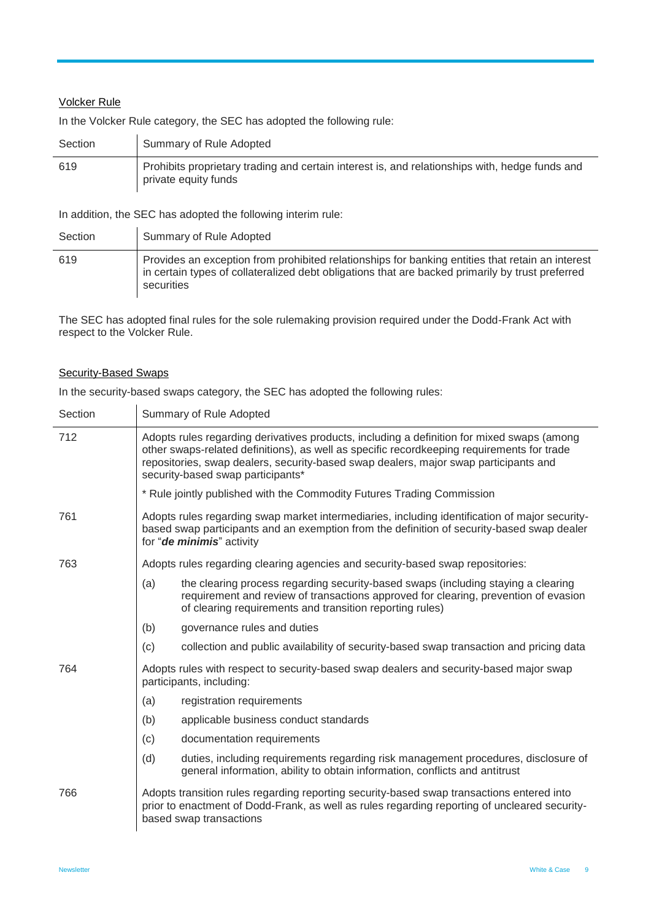## Volcker Rule

In the Volcker Rule category, the SEC has adopted the following rule:

| Section | Summary of Rule Adopted                                                                                                |
|---------|------------------------------------------------------------------------------------------------------------------------|
| 619     | Prohibits proprietary trading and certain interest is, and relationships with, hedge funds and<br>private equity funds |

In addition, the SEC has adopted the following interim rule:

| Section | Summary of Rule Adopted                                                                                                                                                                                            |
|---------|--------------------------------------------------------------------------------------------------------------------------------------------------------------------------------------------------------------------|
| 619     | Provides an exception from prohibited relationships for banking entities that retain an interest<br>in certain types of collateralized debt obligations that are backed primarily by trust preferred<br>securities |

The SEC has adopted final rules for the sole rulemaking provision required under the Dodd-Frank Act with respect to the Volcker Rule.

#### Security-Based Swaps

 $\mathbf{r}$ 

In the security-based swaps category, the SEC has adopted the following rules:

| Section | Summary of Rule Adopted                                                                                                                                                                                                                                                                                               |                                                                                                                                                                                                                                      |  |
|---------|-----------------------------------------------------------------------------------------------------------------------------------------------------------------------------------------------------------------------------------------------------------------------------------------------------------------------|--------------------------------------------------------------------------------------------------------------------------------------------------------------------------------------------------------------------------------------|--|
| 712     | Adopts rules regarding derivatives products, including a definition for mixed swaps (among<br>other swaps-related definitions), as well as specific recordkeeping requirements for trade<br>repositories, swap dealers, security-based swap dealers, major swap participants and<br>security-based swap participants* |                                                                                                                                                                                                                                      |  |
|         |                                                                                                                                                                                                                                                                                                                       | * Rule jointly published with the Commodity Futures Trading Commission                                                                                                                                                               |  |
| 761     | Adopts rules regarding swap market intermediaries, including identification of major security-<br>based swap participants and an exemption from the definition of security-based swap dealer<br>for "de minimis" activity                                                                                             |                                                                                                                                                                                                                                      |  |
| 763     |                                                                                                                                                                                                                                                                                                                       | Adopts rules regarding clearing agencies and security-based swap repositories:                                                                                                                                                       |  |
|         | (a)                                                                                                                                                                                                                                                                                                                   | the clearing process regarding security-based swaps (including staying a clearing<br>requirement and review of transactions approved for clearing, prevention of evasion<br>of clearing requirements and transition reporting rules) |  |
|         | (b)                                                                                                                                                                                                                                                                                                                   | governance rules and duties                                                                                                                                                                                                          |  |
|         | (c)                                                                                                                                                                                                                                                                                                                   | collection and public availability of security-based swap transaction and pricing data                                                                                                                                               |  |
| 764     |                                                                                                                                                                                                                                                                                                                       | Adopts rules with respect to security-based swap dealers and security-based major swap<br>participants, including:                                                                                                                   |  |
|         | (a)                                                                                                                                                                                                                                                                                                                   | registration requirements                                                                                                                                                                                                            |  |
|         | (b)                                                                                                                                                                                                                                                                                                                   | applicable business conduct standards                                                                                                                                                                                                |  |
|         | (c)                                                                                                                                                                                                                                                                                                                   | documentation requirements                                                                                                                                                                                                           |  |
|         | (d)                                                                                                                                                                                                                                                                                                                   | duties, including requirements regarding risk management procedures, disclosure of<br>general information, ability to obtain information, conflicts and antitrust                                                                    |  |
| 766     |                                                                                                                                                                                                                                                                                                                       | Adopts transition rules regarding reporting security-based swap transactions entered into<br>prior to enactment of Dodd-Frank, as well as rules regarding reporting of uncleared security-<br>based swap transactions                |  |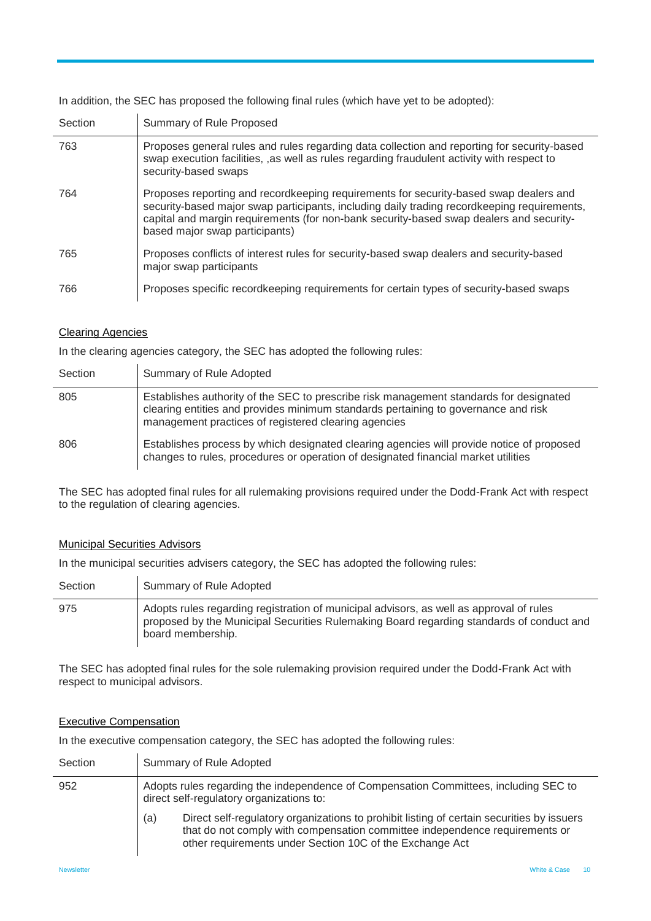Section Summary of Rule Proposed 763 Proposes general rules and rules regarding data collection and reporting for security-based swap execution facilities, ,as well as rules regarding fraudulent activity with respect to security-based swaps 764 Proposes reporting and recordkeeping requirements for security-based swap dealers and security-based major swap participants, including daily trading recordkeeping requirements, capital and margin requirements (for non-bank security-based swap dealers and securitybased major swap participants) 765 Proposes conflicts of interest rules for security-based swap dealers and security-based major swap participants 766 Proposes specific recordkeeping requirements for certain types of security-based swaps

## In addition, the SEC has proposed the following final rules (which have yet to be adopted):

#### Clearing Agencies

In the clearing agencies category, the SEC has adopted the following rules:

| Section | Summary of Rule Adopted                                                                                                                                                                                                              |
|---------|--------------------------------------------------------------------------------------------------------------------------------------------------------------------------------------------------------------------------------------|
| 805     | Establishes authority of the SEC to prescribe risk management standards for designated<br>clearing entities and provides minimum standards pertaining to governance and risk<br>management practices of registered clearing agencies |
| 806     | Establishes process by which designated clearing agencies will provide notice of proposed<br>changes to rules, procedures or operation of designated financial market utilities                                                      |

The SEC has adopted final rules for all rulemaking provisions required under the Dodd-Frank Act with respect to the regulation of clearing agencies.

#### Municipal Securities Advisors

In the municipal securities advisers category, the SEC has adopted the following rules:

| Section | Summary of Rule Adopted                                                                                                                                                                                  |
|---------|----------------------------------------------------------------------------------------------------------------------------------------------------------------------------------------------------------|
| 975     | Adopts rules regarding registration of municipal advisors, as well as approval of rules<br>proposed by the Municipal Securities Rulemaking Board regarding standards of conduct and<br>board membership. |

The SEC has adopted final rules for the sole rulemaking provision required under the Dodd-Frank Act with respect to municipal advisors.

#### Executive Compensation

In the executive compensation category, the SEC has adopted the following rules:

| Section | Summary of Rule Adopted                                                                                                                                                                                                                     |  |  |
|---------|---------------------------------------------------------------------------------------------------------------------------------------------------------------------------------------------------------------------------------------------|--|--|
| 952     | Adopts rules regarding the independence of Compensation Committees, including SEC to<br>direct self-regulatory organizations to:                                                                                                            |  |  |
|         | Direct self-regulatory organizations to prohibit listing of certain securities by issuers<br>(a)<br>that do not comply with compensation committee independence requirements or<br>other requirements under Section 10C of the Exchange Act |  |  |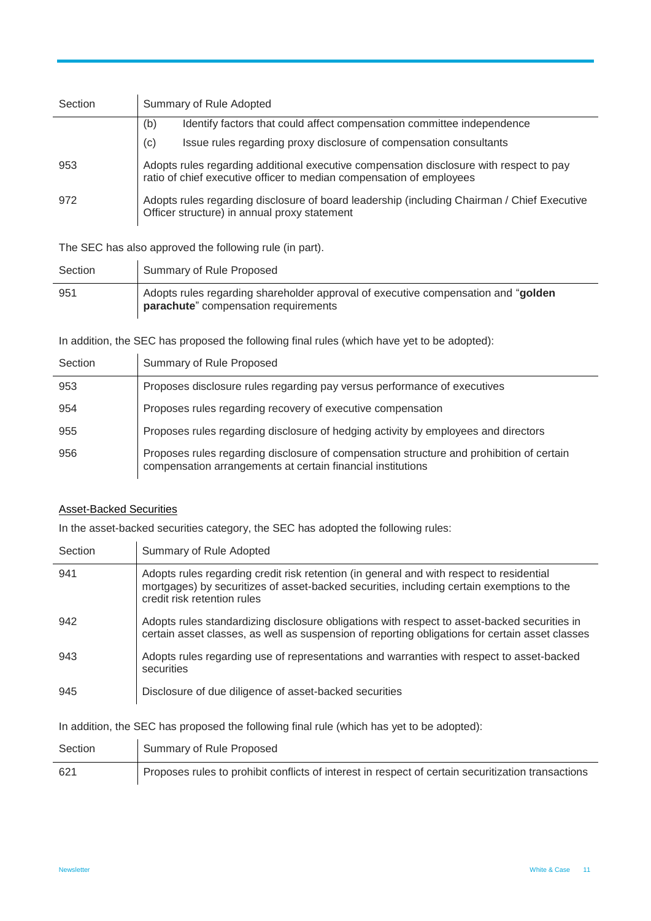| Section | Summary of Rule Adopted                                                                                                                                         |  |  |
|---------|-----------------------------------------------------------------------------------------------------------------------------------------------------------------|--|--|
|         | (b)<br>Identify factors that could affect compensation committee independence                                                                                   |  |  |
|         | Issue rules regarding proxy disclosure of compensation consultants<br>(c)                                                                                       |  |  |
| 953     | Adopts rules regarding additional executive compensation disclosure with respect to pay<br>ratio of chief executive officer to median compensation of employees |  |  |
| 972     | Adopts rules regarding disclosure of board leadership (including Chairman / Chief Executive<br>Officer structure) in annual proxy statement                     |  |  |

The SEC has also approved the following rule (in part).

| Section | Summary of Rule Proposed                                                                                                   |
|---------|----------------------------------------------------------------------------------------------------------------------------|
| 951     | Adopts rules regarding shareholder approval of executive compensation and "golden"<br>parachute" compensation requirements |

In addition, the SEC has proposed the following final rules (which have yet to be adopted):

| Section | Summary of Rule Proposed                                                                                                                                |
|---------|---------------------------------------------------------------------------------------------------------------------------------------------------------|
| 953     | Proposes disclosure rules regarding pay versus performance of executives                                                                                |
| 954     | Proposes rules regarding recovery of executive compensation                                                                                             |
| 955     | Proposes rules regarding disclosure of hedging activity by employees and directors                                                                      |
| 956     | Proposes rules regarding disclosure of compensation structure and prohibition of certain<br>compensation arrangements at certain financial institutions |

## Asset-Backed Securities

 $\sim$ 

In the asset-backed securities category, the SEC has adopted the following rules:

| Section | Summary of Rule Adopted                                                                                                                                                                                              |
|---------|----------------------------------------------------------------------------------------------------------------------------------------------------------------------------------------------------------------------|
| 941     | Adopts rules regarding credit risk retention (in general and with respect to residential<br>mortgages) by securitizes of asset-backed securities, including certain exemptions to the<br>credit risk retention rules |
| 942     | Adopts rules standardizing disclosure obligations with respect to asset-backed securities in<br>certain asset classes, as well as suspension of reporting obligations for certain asset classes                      |
| 943     | Adopts rules regarding use of representations and warranties with respect to asset-backed<br>securities                                                                                                              |
| 945     | Disclosure of due diligence of asset-backed securities                                                                                                                                                               |

In addition, the SEC has proposed the following final rule (which has yet to be adopted):

| Section | Summary of Rule Proposed                                                                           |
|---------|----------------------------------------------------------------------------------------------------|
| 621     | Proposes rules to prohibit conflicts of interest in respect of certain securitization transactions |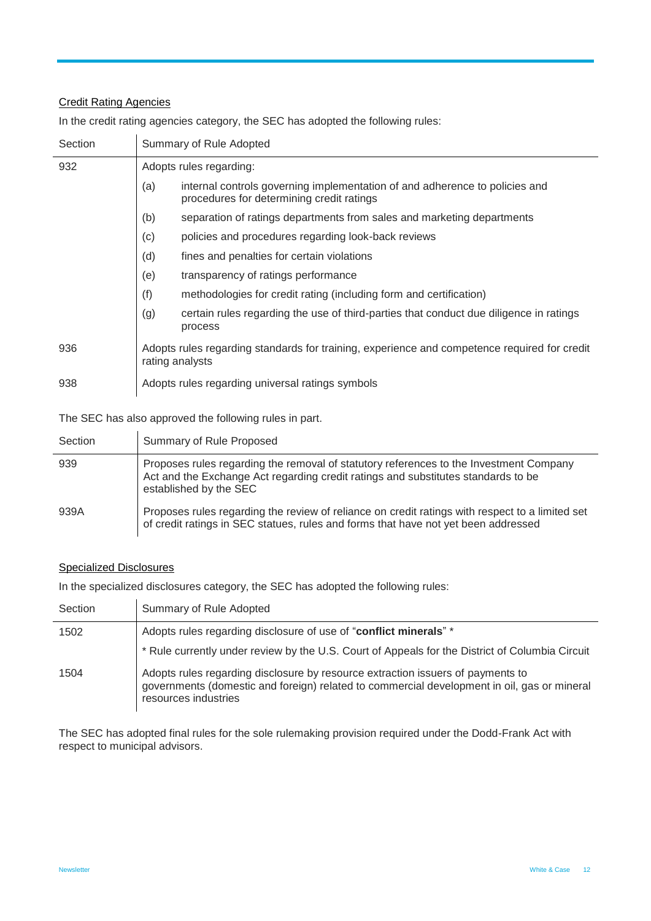## Credit Rating Agencies

In the credit rating agencies category, the SEC has adopted the following rules:

| Section | Summary of Rule Adopted                                                                                                         |  |  |  |  |
|---------|---------------------------------------------------------------------------------------------------------------------------------|--|--|--|--|
| 932     | Adopts rules regarding:                                                                                                         |  |  |  |  |
|         | internal controls governing implementation of and adherence to policies and<br>(a)<br>procedures for determining credit ratings |  |  |  |  |
|         | (b)<br>separation of ratings departments from sales and marketing departments                                                   |  |  |  |  |
|         | (c)<br>policies and procedures regarding look-back reviews                                                                      |  |  |  |  |
|         | (d)<br>fines and penalties for certain violations                                                                               |  |  |  |  |
|         | (e)<br>transparency of ratings performance                                                                                      |  |  |  |  |
|         | (f)<br>methodologies for credit rating (including form and certification)                                                       |  |  |  |  |
|         | (g)<br>certain rules regarding the use of third-parties that conduct due diligence in ratings<br>process                        |  |  |  |  |
| 936     | Adopts rules regarding standards for training, experience and competence required for credit<br>rating analysts                 |  |  |  |  |
| 938     | Adopts rules regarding universal ratings symbols                                                                                |  |  |  |  |

The SEC has also approved the following rules in part.

| Section | Summary of Rule Proposed                                                                                                                                                                              |
|---------|-------------------------------------------------------------------------------------------------------------------------------------------------------------------------------------------------------|
| 939     | Proposes rules regarding the removal of statutory references to the Investment Company<br>Act and the Exchange Act regarding credit ratings and substitutes standards to be<br>established by the SEC |
| 939A    | Proposes rules regarding the review of reliance on credit ratings with respect to a limited set<br>of credit ratings in SEC statues, rules and forms that have not yet been addressed                 |

#### Specialized Disclosures

In the specialized disclosures category, the SEC has adopted the following rules:

| Section | Summary of Rule Adopted                                                                                                                                                                                |
|---------|--------------------------------------------------------------------------------------------------------------------------------------------------------------------------------------------------------|
| 1502    | Adopts rules regarding disclosure of use of "conflict minerals" *                                                                                                                                      |
|         | * Rule currently under review by the U.S. Court of Appeals for the District of Columbia Circuit                                                                                                        |
| 1504    | Adopts rules regarding disclosure by resource extraction issuers of payments to<br>governments (domestic and foreign) related to commercial development in oil, gas or mineral<br>resources industries |

The SEC has adopted final rules for the sole rulemaking provision required under the Dodd-Frank Act with respect to municipal advisors.

l,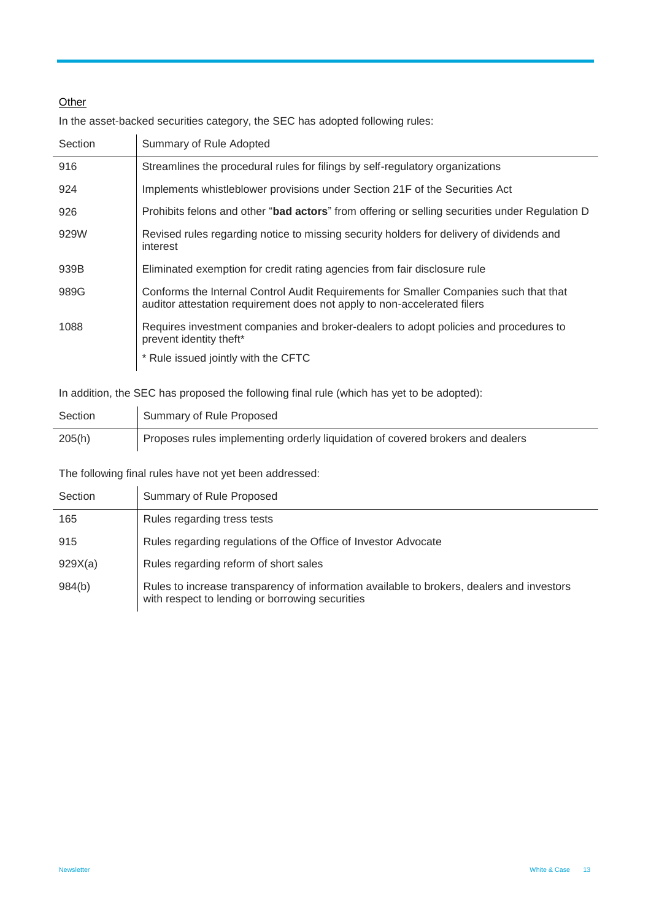## **Other**

In the asset-backed securities category, the SEC has adopted following rules:

| Section | Summary of Rule Adopted                                                                                                                                           |  |  |  |
|---------|-------------------------------------------------------------------------------------------------------------------------------------------------------------------|--|--|--|
| 916     | Streamlines the procedural rules for filings by self-regulatory organizations                                                                                     |  |  |  |
| 924     | Implements whistleblower provisions under Section 21F of the Securities Act                                                                                       |  |  |  |
| 926     | Prohibits felons and other "bad actors" from offering or selling securities under Regulation D                                                                    |  |  |  |
| 929W    | Revised rules regarding notice to missing security holders for delivery of dividends and<br>interest                                                              |  |  |  |
| 939B    | Eliminated exemption for credit rating agencies from fair disclosure rule                                                                                         |  |  |  |
| 989G    | Conforms the Internal Control Audit Requirements for Smaller Companies such that that<br>auditor attestation requirement does not apply to non-accelerated filers |  |  |  |
| 1088    | Requires investment companies and broker-dealers to adopt policies and procedures to<br>prevent identity theft*                                                   |  |  |  |
|         | * Rule issued jointly with the CFTC                                                                                                                               |  |  |  |

In addition, the SEC has proposed the following final rule (which has yet to be adopted):

| Section | Summary of Rule Proposed                                                       |
|---------|--------------------------------------------------------------------------------|
| 205(h)  | Proposes rules implementing orderly liquidation of covered brokers and dealers |

The following final rules have not yet been addressed:

| Section | Summary of Rule Proposed                                                                                                                     |  |  |
|---------|----------------------------------------------------------------------------------------------------------------------------------------------|--|--|
| 165     | Rules regarding tress tests                                                                                                                  |  |  |
| 915     | Rules regarding regulations of the Office of Investor Advocate                                                                               |  |  |
| 929X(a) | Rules regarding reform of short sales                                                                                                        |  |  |
| 984(b)  | Rules to increase transparency of information available to brokers, dealers and investors<br>with respect to lending or borrowing securities |  |  |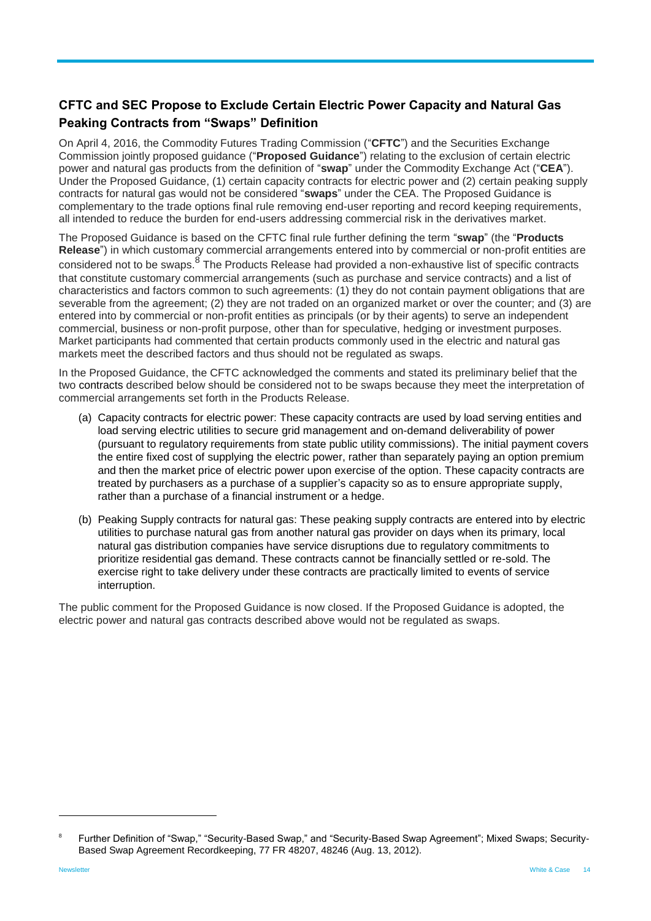## <span id="page-13-0"></span>**CFTC and SEC Propose to Exclude Certain Electric Power Capacity and Natural Gas Peaking Contracts from "Swaps" Definition**

On April 4, 2016, the Commodity Futures Trading Commission ("**CFTC**") and the Securities Exchange Commission jointly proposed guidance ("**Proposed Guidance**") relating to the exclusion of certain electric power and natural gas products from the definition of "**swap**" under the Commodity Exchange Act ("**CEA**"). Under the Proposed Guidance, (1) certain capacity contracts for electric power and (2) certain peaking supply contracts for natural gas would not be considered "**swaps**" under the CEA. The Proposed Guidance is complementary to the trade options final rule removing end-user reporting and record keeping requirements, all intended to reduce the burden for end-users addressing commercial risk in the derivatives market.

The Proposed Guidance is based on the CFTC final rule further defining the term "**swap**" (the "**Products Release**") in which customary commercial arrangements entered into by commercial or non-profit entities are considered not to be swaps. <sup>8</sup> The Products Release had provided a non-exhaustive list of specific contracts that constitute customary commercial arrangements (such as purchase and service contracts) and a list of characteristics and factors common to such agreements: (1) they do not contain payment obligations that are severable from the agreement; (2) they are not traded on an organized market or over the counter; and (3) are entered into by commercial or non-profit entities as principals (or by their agents) to serve an independent commercial, business or non-profit purpose, other than for speculative, hedging or investment purposes. Market participants had commented that certain products commonly used in the electric and natural gas markets meet the described factors and thus should not be regulated as swaps.

In the Proposed Guidance, the CFTC acknowledged the comments and stated its preliminary belief that the two contracts described below should be considered not to be swaps because they meet the interpretation of commercial arrangements set forth in the Products Release.

- (a) Capacity contracts for electric power: These capacity contracts are used by load serving entities and load serving electric utilities to secure grid management and on-demand deliverability of power (pursuant to regulatory requirements from state public utility commissions). The initial payment covers the entire fixed cost of supplying the electric power, rather than separately paying an option premium and then the market price of electric power upon exercise of the option. These capacity contracts are treated by purchasers as a purchase of a supplier's capacity so as to ensure appropriate supply, rather than a purchase of a financial instrument or a hedge.
- (b) Peaking Supply contracts for natural gas: These peaking supply contracts are entered into by electric utilities to purchase natural gas from another natural gas provider on days when its primary, local natural gas distribution companies have service disruptions due to regulatory commitments to prioritize residential gas demand. These contracts cannot be financially settled or re-sold. The exercise right to take delivery under these contracts are practically limited to events of service interruption.

The public comment for the Proposed Guidance is now closed. If the Proposed Guidance is adopted, the electric power and natural gas contracts described above would not be regulated as swaps.

<sup>8</sup> Further Definition of "Swap," "Security-Based Swap," and "Security-Based Swap Agreement"; Mixed Swaps; Security-Based Swap Agreement Recordkeeping, 77 FR 48207, 48246 (Aug. 13, 2012).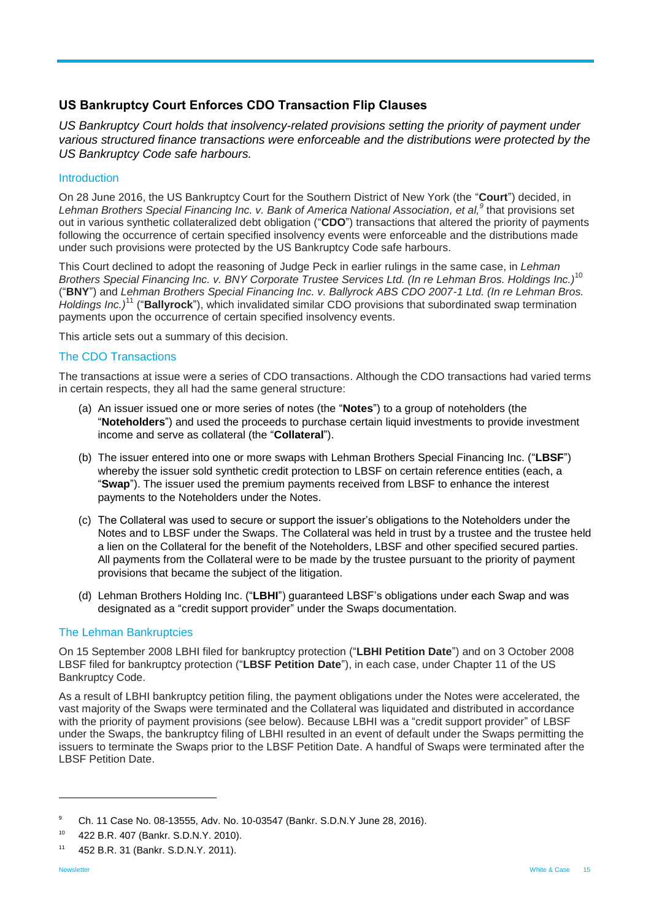## <span id="page-14-0"></span>**US Bankruptcy Court Enforces CDO Transaction Flip Clauses**

*US Bankruptcy Court holds that insolvency-related provisions setting the priority of payment under various structured finance transactions were enforceable and the distributions were protected by the US Bankruptcy Code safe harbours.*

#### Introduction

On 28 June 2016, the US Bankruptcy Court for the Southern District of New York (the "**Court**") decided, in *Lehman Brothers Special Financing Inc. v. Bank of America National Association, et al,<sup>9</sup>* that provisions set out in various synthetic collateralized debt obligation ("**CDO**") transactions that altered the priority of payments following the occurrence of certain specified insolvency events were enforceable and the distributions made under such provisions were protected by the US Bankruptcy Code safe harbours.

This Court declined to adopt the reasoning of Judge Peck in earlier rulings in the same case, in *Lehman Brothers Special Financing Inc. v. BNY Corporate Trustee Services Ltd. (In re Lehman Bros. Holdings Inc.)*<sup>10</sup> ("**BNY**") and *Lehman Brothers Special Financing Inc. v. Ballyrock ABS CDO 2007-1 Ltd. (In re Lehman Bros. Holdings Inc.)*<sup>11</sup> ("**Ballyrock**"), which invalidated similar CDO provisions that subordinated swap termination payments upon the occurrence of certain specified insolvency events.

This article sets out a summary of this decision.

#### The CDO Transactions

The transactions at issue were a series of CDO transactions. Although the CDO transactions had varied terms in certain respects, they all had the same general structure:

- (a) An issuer issued one or more series of notes (the "**Notes**") to a group of noteholders (the "**Noteholders**") and used the proceeds to purchase certain liquid investments to provide investment income and serve as collateral (the "**Collateral**").
- (b) The issuer entered into one or more swaps with Lehman Brothers Special Financing Inc. ("**LBSF**") whereby the issuer sold synthetic credit protection to LBSF on certain reference entities (each, a "**Swap**"). The issuer used the premium payments received from LBSF to enhance the interest payments to the Noteholders under the Notes.
- (c) The Collateral was used to secure or support the issuer's obligations to the Noteholders under the Notes and to LBSF under the Swaps. The Collateral was held in trust by a trustee and the trustee held a lien on the Collateral for the benefit of the Noteholders, LBSF and other specified secured parties. All payments from the Collateral were to be made by the trustee pursuant to the priority of payment provisions that became the subject of the litigation.
- (d) Lehman Brothers Holding Inc. ("**LBHI**") guaranteed LBSF's obligations under each Swap and was designated as a "credit support provider" under the Swaps documentation.

#### The Lehman Bankruptcies

On 15 September 2008 LBHI filed for bankruptcy protection ("**LBHI Petition Date**") and on 3 October 2008 LBSF filed for bankruptcy protection ("**LBSF Petition Date**"), in each case, under Chapter 11 of the US Bankruptcy Code.

As a result of LBHI bankruptcy petition filing, the payment obligations under the Notes were accelerated, the vast majority of the Swaps were terminated and the Collateral was liquidated and distributed in accordance with the priority of payment provisions (see below). Because LBHI was a "credit support provider" of LBSF under the Swaps, the bankruptcy filing of LBHI resulted in an event of default under the Swaps permitting the issuers to terminate the Swaps prior to the LBSF Petition Date. A handful of Swaps were terminated after the LBSF Petition Date.

<sup>9</sup> Ch. 11 Case No. 08-13555, Adv. No. 10-03547 (Bankr. S.D.N.Y June 28, 2016).

<sup>10</sup> 422 B.R. 407 (Bankr. S.D.N.Y. 2010).

<sup>11</sup> 452 B.R. 31 (Bankr. S.D.N.Y. 2011).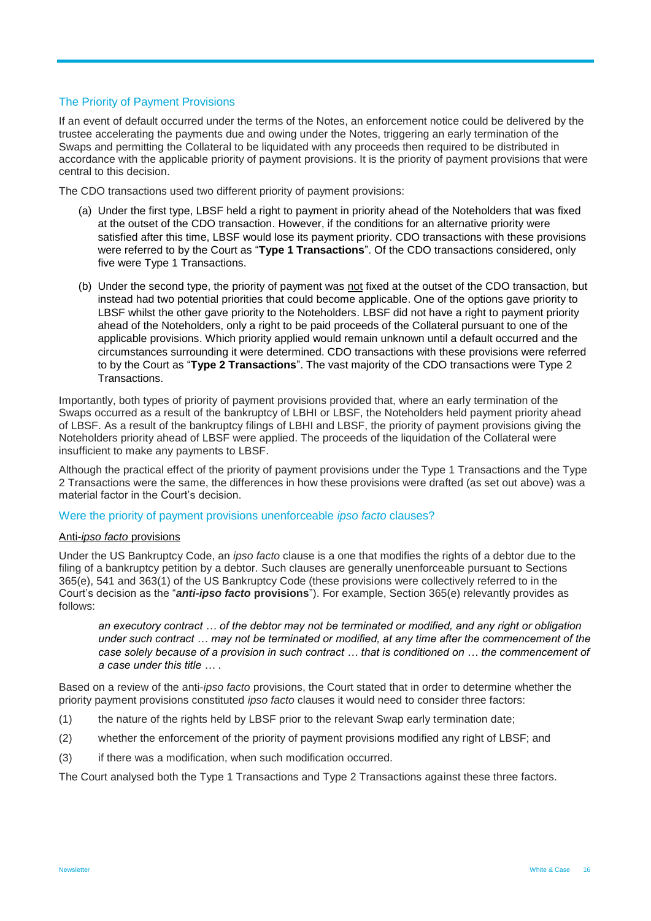#### The Priority of Payment Provisions

If an event of default occurred under the terms of the Notes, an enforcement notice could be delivered by the trustee accelerating the payments due and owing under the Notes, triggering an early termination of the Swaps and permitting the Collateral to be liquidated with any proceeds then required to be distributed in accordance with the applicable priority of payment provisions. It is the priority of payment provisions that were central to this decision.

The CDO transactions used two different priority of payment provisions:

- (a) Under the first type, LBSF held a right to payment in priority ahead of the Noteholders that was fixed at the outset of the CDO transaction. However, if the conditions for an alternative priority were satisfied after this time, LBSF would lose its payment priority. CDO transactions with these provisions were referred to by the Court as "**Type 1 Transactions**". Of the CDO transactions considered, only five were Type 1 Transactions.
- (b) Under the second type, the priority of payment was not fixed at the outset of the CDO transaction, but instead had two potential priorities that could become applicable. One of the options gave priority to LBSF whilst the other gave priority to the Noteholders. LBSF did not have a right to payment priority ahead of the Noteholders, only a right to be paid proceeds of the Collateral pursuant to one of the applicable provisions. Which priority applied would remain unknown until a default occurred and the circumstances surrounding it were determined. CDO transactions with these provisions were referred to by the Court as "**Type 2 Transactions**". The vast majority of the CDO transactions were Type 2 Transactions.

Importantly, both types of priority of payment provisions provided that, where an early termination of the Swaps occurred as a result of the bankruptcy of LBHI or LBSF, the Noteholders held payment priority ahead of LBSF. As a result of the bankruptcy filings of LBHI and LBSF, the priority of payment provisions giving the Noteholders priority ahead of LBSF were applied. The proceeds of the liquidation of the Collateral were insufficient to make any payments to LBSF.

Although the practical effect of the priority of payment provisions under the Type 1 Transactions and the Type 2 Transactions were the same, the differences in how these provisions were drafted (as set out above) was a material factor in the Court's decision.

#### Were the priority of payment provisions unenforceable *ipso facto* clauses?

#### Anti-*ipso facto* provisions

Under the US Bankruptcy Code, an *ipso facto* clause is a one that modifies the rights of a debtor due to the filing of a bankruptcy petition by a debtor. Such clauses are generally unenforceable pursuant to Sections 365(e), 541 and 363(1) of the US Bankruptcy Code (these provisions were collectively referred to in the Court's decision as the "*anti-ipso facto* **provisions**"). For example, Section 365(e) relevantly provides as follows:

*an executory contract … of the debtor may not be terminated or modified, and any right or obligation under such contract … may not be terminated or modified, at any time after the commencement of the case solely because of a provision in such contract … that is conditioned on … the commencement of a case under this title … .*

Based on a review of the anti-*ipso facto* provisions, the Court stated that in order to determine whether the priority payment provisions constituted *ipso facto* clauses it would need to consider three factors:

- (1) the nature of the rights held by LBSF prior to the relevant Swap early termination date;
- (2) whether the enforcement of the priority of payment provisions modified any right of LBSF; and
- (3) if there was a modification, when such modification occurred.

The Court analysed both the Type 1 Transactions and Type 2 Transactions against these three factors.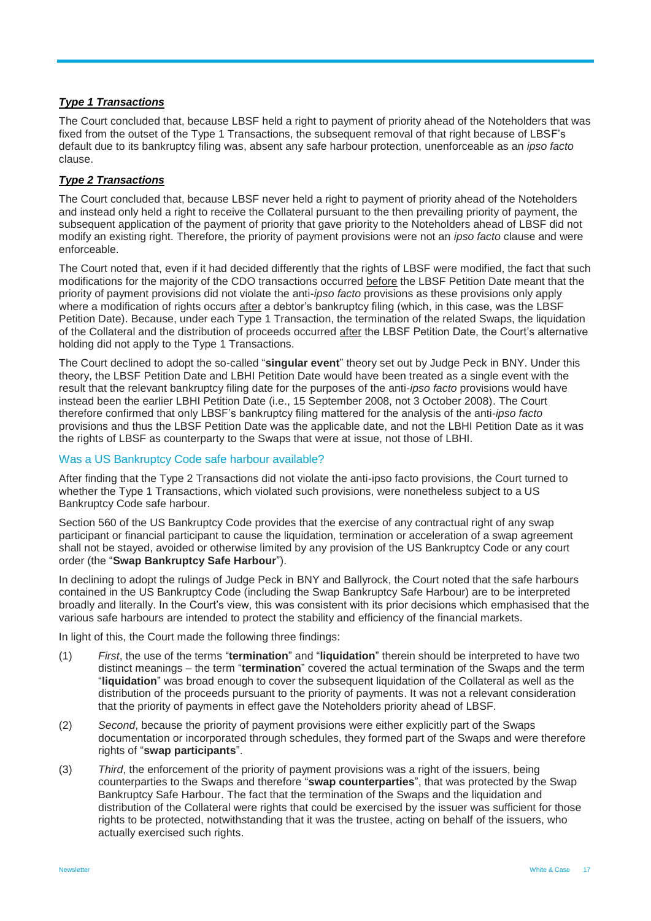#### *Type 1 Transactions*

The Court concluded that, because LBSF held a right to payment of priority ahead of the Noteholders that was fixed from the outset of the Type 1 Transactions, the subsequent removal of that right because of LBSF's default due to its bankruptcy filing was, absent any safe harbour protection, unenforceable as an *ipso facto*  clause.

#### *Type 2 Transactions*

The Court concluded that, because LBSF never held a right to payment of priority ahead of the Noteholders and instead only held a right to receive the Collateral pursuant to the then prevailing priority of payment, the subsequent application of the payment of priority that gave priority to the Noteholders ahead of LBSF did not modify an existing right. Therefore, the priority of payment provisions were not an *ipso facto* clause and were enforceable.

The Court noted that, even if it had decided differently that the rights of LBSF were modified, the fact that such modifications for the majority of the CDO transactions occurred before the LBSF Petition Date meant that the priority of payment provisions did not violate the anti-*ipso facto* provisions as these provisions only apply where a modification of rights occurs after a debtor's bankruptcy filing (which, in this case, was the LBSF Petition Date). Because, under each Type 1 Transaction, the termination of the related Swaps, the liquidation of the Collateral and the distribution of proceeds occurred after the LBSF Petition Date, the Court's alternative holding did not apply to the Type 1 Transactions.

The Court declined to adopt the so-called "**singular event**" theory set out by Judge Peck in BNY. Under this theory, the LBSF Petition Date and LBHI Petition Date would have been treated as a single event with the result that the relevant bankruptcy filing date for the purposes of the anti-*ipso facto* provisions would have instead been the earlier LBHI Petition Date (i.e., 15 September 2008, not 3 October 2008). The Court therefore confirmed that only LBSF's bankruptcy filing mattered for the analysis of the anti-*ipso facto* provisions and thus the LBSF Petition Date was the applicable date, and not the LBHI Petition Date as it was the rights of LBSF as counterparty to the Swaps that were at issue, not those of LBHI.

#### Was a US Bankruptcy Code safe harbour available?

After finding that the Type 2 Transactions did not violate the anti-ipso facto provisions, the Court turned to whether the Type 1 Transactions, which violated such provisions, were nonetheless subject to a US Bankruptcy Code safe harbour.

Section 560 of the US Bankruptcy Code provides that the exercise of any contractual right of any swap participant or financial participant to cause the liquidation, termination or acceleration of a swap agreement shall not be stayed, avoided or otherwise limited by any provision of the US Bankruptcy Code or any court order (the "**Swap Bankruptcy Safe Harbour**").

In declining to adopt the rulings of Judge Peck in BNY and Ballyrock, the Court noted that the safe harbours contained in the US Bankruptcy Code (including the Swap Bankruptcy Safe Harbour) are to be interpreted broadly and literally. In the Court's view, this was consistent with its prior decisions which emphasised that the various safe harbours are intended to protect the stability and efficiency of the financial markets.

In light of this, the Court made the following three findings:

- (1) *First*, the use of the terms "**termination**" and "**liquidation**" therein should be interpreted to have two distinct meanings – the term "**termination**" covered the actual termination of the Swaps and the term "**liquidation**" was broad enough to cover the subsequent liquidation of the Collateral as well as the distribution of the proceeds pursuant to the priority of payments. It was not a relevant consideration that the priority of payments in effect gave the Noteholders priority ahead of LBSF.
- (2) *Second*, because the priority of payment provisions were either explicitly part of the Swaps documentation or incorporated through schedules, they formed part of the Swaps and were therefore rights of "**swap participants**".
- (3) *Third*, the enforcement of the priority of payment provisions was a right of the issuers, being counterparties to the Swaps and therefore "**swap counterparties**", that was protected by the Swap Bankruptcy Safe Harbour. The fact that the termination of the Swaps and the liquidation and distribution of the Collateral were rights that could be exercised by the issuer was sufficient for those rights to be protected, notwithstanding that it was the trustee, acting on behalf of the issuers, who actually exercised such rights.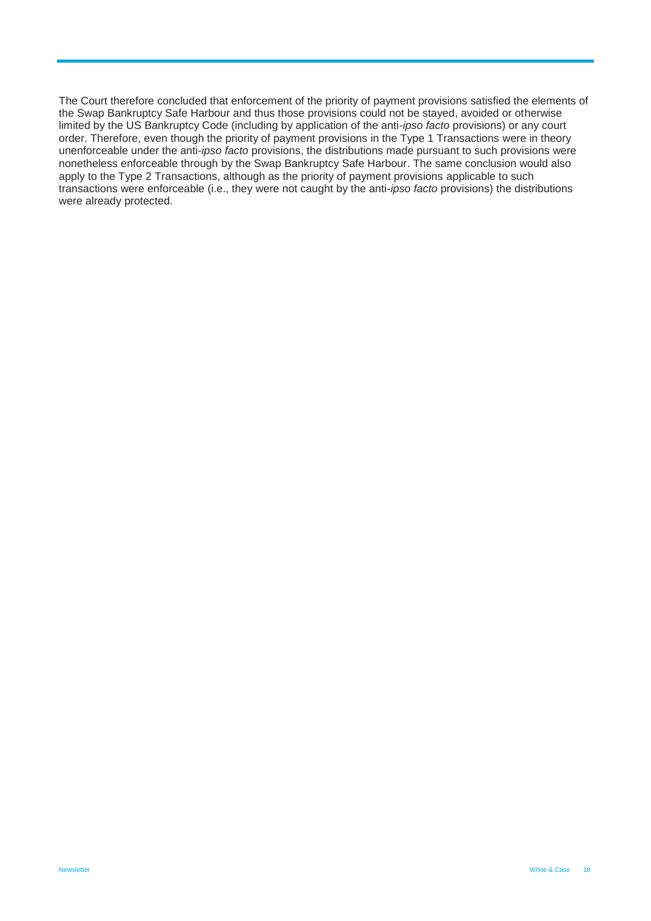The Court therefore concluded that enforcement of the priority of payment provisions satisfied the elements of the Swap Bankruptcy Safe Harbour and thus those provisions could not be stayed, avoided or otherwise limited by the US Bankruptcy Code (including by application of the anti-*ipso facto* provisions) or any court order. Therefore, even though the priority of payment provisions in the Type 1 Transactions were in theory unenforceable under the anti-*ipso facto* provisions, the distributions made pursuant to such provisions were nonetheless enforceable through by the Swap Bankruptcy Safe Harbour. The same conclusion would also apply to the Type 2 Transactions, although as the priority of payment provisions applicable to such transactions were enforceable (i.e., they were not caught by the anti-*ipso facto* provisions) the distributions were already protected.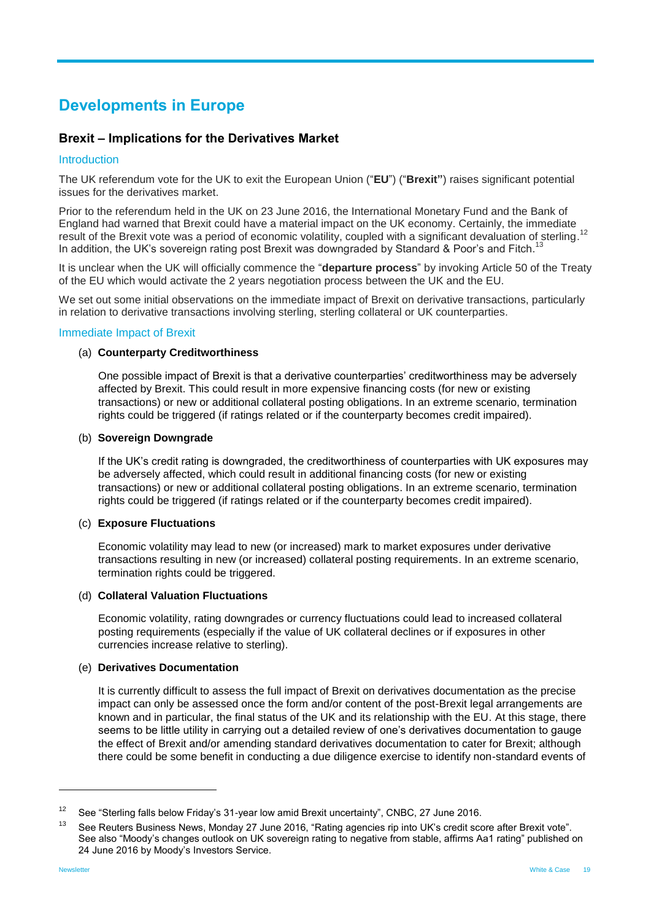# <span id="page-18-0"></span>**Developments in Europe**

## <span id="page-18-1"></span>**Brexit – Implications for the Derivatives Market**

#### Introduction

The UK referendum vote for the UK to exit the European Union ("**EU**") ("**Brexit"**) raises significant potential issues for the derivatives market.

Prior to the referendum held in the UK on 23 June 2016, the International Monetary Fund and the Bank of England had warned that Brexit could have a material impact on the UK economy. Certainly, the immediate result of the Brexit vote was a period of economic volatility, coupled with a significant devaluation of sterling.<sup>12</sup> In addition, the UK's sovereign rating post Brexit was downgraded by Standard & Poor's and Fitch.<sup>1</sup> 13

It is unclear when the UK will officially commence the "**departure process**" by invoking Article 50 of the Treaty of the EU which would activate the 2 years negotiation process between the UK and the EU.

We set out some initial observations on the immediate impact of Brexit on derivative transactions, particularly in relation to derivative transactions involving sterling, sterling collateral or UK counterparties.

#### Immediate Impact of Brexit

#### (a) **Counterparty Creditworthiness**

One possible impact of Brexit is that a derivative counterparties' creditworthiness may be adversely affected by Brexit. This could result in more expensive financing costs (for new or existing transactions) or new or additional collateral posting obligations. In an extreme scenario, termination rights could be triggered (if ratings related or if the counterparty becomes credit impaired).

#### (b) **Sovereign Downgrade**

If the UK's credit rating is downgraded, the creditworthiness of counterparties with UK exposures may be adversely affected, which could result in additional financing costs (for new or existing transactions) or new or additional collateral posting obligations. In an extreme scenario, termination rights could be triggered (if ratings related or if the counterparty becomes credit impaired).

#### (c) **Exposure Fluctuations**

Economic volatility may lead to new (or increased) mark to market exposures under derivative transactions resulting in new (or increased) collateral posting requirements. In an extreme scenario, termination rights could be triggered.

#### (d) **Collateral Valuation Fluctuations**

Economic volatility, rating downgrades or currency fluctuations could lead to increased collateral posting requirements (especially if the value of UK collateral declines or if exposures in other currencies increase relative to sterling).

#### (e) **Derivatives Documentation**

It is currently difficult to assess the full impact of Brexit on derivatives documentation as the precise impact can only be assessed once the form and/or content of the post-Brexit legal arrangements are known and in particular, the final status of the UK and its relationship with the EU. At this stage, there seems to be little utility in carrying out a detailed review of one's derivatives documentation to gauge the effect of Brexit and/or amending standard derivatives documentation to cater for Brexit; although there could be some benefit in conducting a due diligence exercise to identify non-standard events of

<sup>&</sup>lt;sup>12</sup> See "Sterling falls below Friday's 31-year low amid Brexit uncertainty", CNBC, 27 June 2016.

<sup>&</sup>lt;sup>13</sup> See Reuters Business News, Monday 27 June 2016, "Rating agencies rip into UK's credit score after Brexit vote". See also "Moody's changes outlook on UK sovereign rating to negative from stable, affirms Aa1 rating" published on 24 June 2016 by Moody's Investors Service.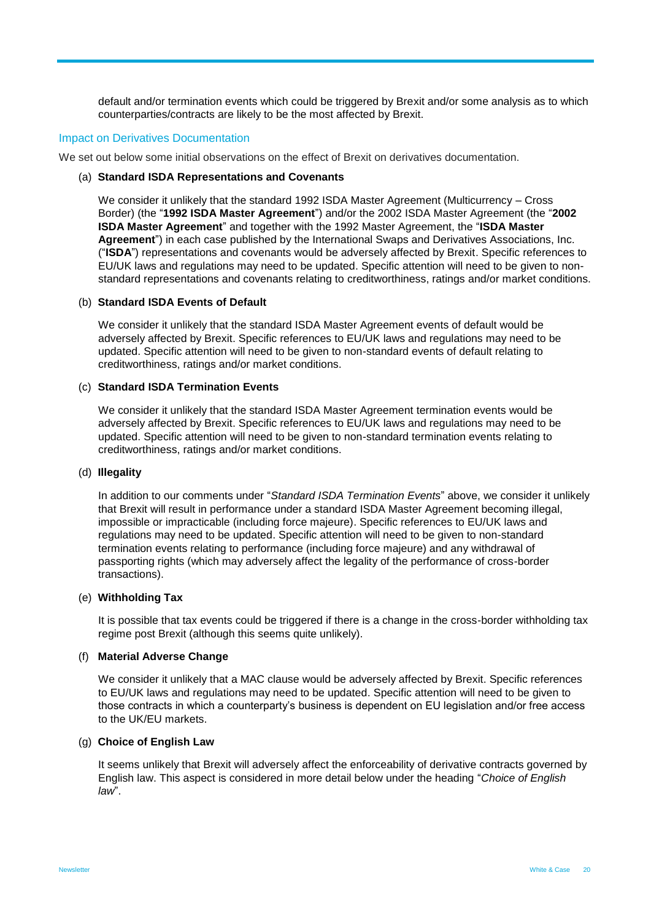default and/or termination events which could be triggered by Brexit and/or some analysis as to which counterparties/contracts are likely to be the most affected by Brexit.

#### Impact on Derivatives Documentation

We set out below some initial observations on the effect of Brexit on derivatives documentation.

#### (a) **Standard ISDA Representations and Covenants**

We consider it unlikely that the standard 1992 ISDA Master Agreement (Multicurrency – Cross Border) (the "**1992 ISDA Master Agreement**") and/or the 2002 ISDA Master Agreement (the "**2002 ISDA Master Agreement**" and together with the 1992 Master Agreement, the "**ISDA Master Agreement**") in each case published by the International Swaps and Derivatives Associations, Inc. ("**ISDA**") representations and covenants would be adversely affected by Brexit. Specific references to EU/UK laws and regulations may need to be updated. Specific attention will need to be given to nonstandard representations and covenants relating to creditworthiness, ratings and/or market conditions.

#### (b) **Standard ISDA Events of Default**

We consider it unlikely that the standard ISDA Master Agreement events of default would be adversely affected by Brexit. Specific references to EU/UK laws and regulations may need to be updated. Specific attention will need to be given to non-standard events of default relating to creditworthiness, ratings and/or market conditions.

#### (c) **Standard ISDA Termination Events**

We consider it unlikely that the standard ISDA Master Agreement termination events would be adversely affected by Brexit. Specific references to EU/UK laws and regulations may need to be updated. Specific attention will need to be given to non-standard termination events relating to creditworthiness, ratings and/or market conditions.

#### (d) **Illegality**

In addition to our comments under "*Standard ISDA Termination Events*" above, we consider it unlikely that Brexit will result in performance under a standard ISDA Master Agreement becoming illegal, impossible or impracticable (including force majeure). Specific references to EU/UK laws and regulations may need to be updated. Specific attention will need to be given to non-standard termination events relating to performance (including force majeure) and any withdrawal of passporting rights (which may adversely affect the legality of the performance of cross-border transactions).

#### (e) **Withholding Tax**

It is possible that tax events could be triggered if there is a change in the cross-border withholding tax regime post Brexit (although this seems quite unlikely).

#### (f) **Material Adverse Change**

We consider it unlikely that a MAC clause would be adversely affected by Brexit. Specific references to EU/UK laws and regulations may need to be updated. Specific attention will need to be given to those contracts in which a counterparty's business is dependent on EU legislation and/or free access to the UK/EU markets.

#### (g) **Choice of English Law**

It seems unlikely that Brexit will adversely affect the enforceability of derivative contracts governed by English law. This aspect is considered in more detail below under the heading "*Choice of English law*".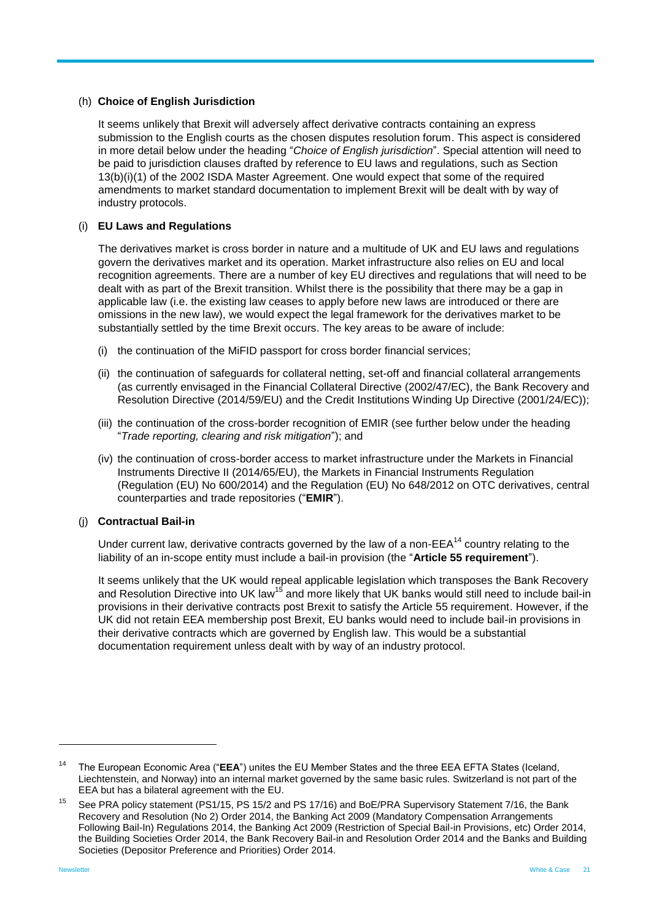#### (h) **Choice of English Jurisdiction**

It seems unlikely that Brexit will adversely affect derivative contracts containing an express submission to the English courts as the chosen disputes resolution forum. This aspect is considered in more detail below under the heading "*Choice of English jurisdiction*". Special attention will need to be paid to jurisdiction clauses drafted by reference to EU laws and regulations, such as Section 13(b)(i)(1) of the 2002 ISDA Master Agreement. One would expect that some of the required amendments to market standard documentation to implement Brexit will be dealt with by way of industry protocols.

#### (i) **EU Laws and Regulations**

The derivatives market is cross border in nature and a multitude of UK and EU laws and regulations govern the derivatives market and its operation. Market infrastructure also relies on EU and local recognition agreements. There are a number of key EU directives and regulations that will need to be dealt with as part of the Brexit transition. Whilst there is the possibility that there may be a gap in applicable law (i.e. the existing law ceases to apply before new laws are introduced or there are omissions in the new law), we would expect the legal framework for the derivatives market to be substantially settled by the time Brexit occurs. The key areas to be aware of include:

- (i) the continuation of the MiFID passport for cross border financial services;
- (ii) the continuation of safeguards for collateral netting, set-off and financial collateral arrangements (as currently envisaged in the Financial Collateral Directive (2002/47/EC), the Bank Recovery and Resolution Directive (2014/59/EU) and the Credit Institutions Winding Up Directive (2001/24/EC));
- (iii) the continuation of the cross-border recognition of EMIR (see further below under the heading "*Trade reporting, clearing and risk mitigation*"); and
- (iv) the continuation of cross-border access to market infrastructure under the Markets in Financial Instruments Directive II (2014/65/EU), the Markets in Financial Instruments Regulation (Regulation (EU) No 600/2014) and the Regulation (EU) No 648/2012 on OTC derivatives, central counterparties and trade repositories ("**EMIR**").

#### (j) **Contractual Bail-in**

Under current law, derivative contracts governed by the law of a non- $EEA^{14}$  country relating to the liability of an in-scope entity must include a bail-in provision (the "**Article 55 requirement**").

It seems unlikely that the UK would repeal applicable legislation which transposes the Bank Recovery and Resolution Directive into UK law<sup>15</sup> and more likely that UK banks would still need to include bail-in provisions in their derivative contracts post Brexit to satisfy the Article 55 requirement. However, if the UK did not retain EEA membership post Brexit, EU banks would need to include bail-in provisions in their derivative contracts which are governed by English law. This would be a substantial documentation requirement unless dealt with by way of an industry protocol.

<sup>14</sup> The European Economic Area ("**EEA**") unites the EU Member States and the three EEA EFTA States (Iceland, Liechtenstein, and Norway) into an internal market governed by the same basic rules. Switzerland is not part of the EEA but has a bilateral agreement with the EU.

See PRA policy statement (PS1/15, PS 15/2 and PS 17/16) and BoE/PRA Supervisory Statement 7/16, the Bank Recovery and Resolution (No 2) Order 2014, the Banking Act 2009 (Mandatory Compensation Arrangements Following Bail-In) Regulations 2014, the Banking Act 2009 (Restriction of Special Bail-in Provisions, etc) Order 2014, the Building Societies Order 2014, the Bank Recovery Bail-in and Resolution Order 2014 and the Banks and Building Societies (Depositor Preference and Priorities) Order 2014.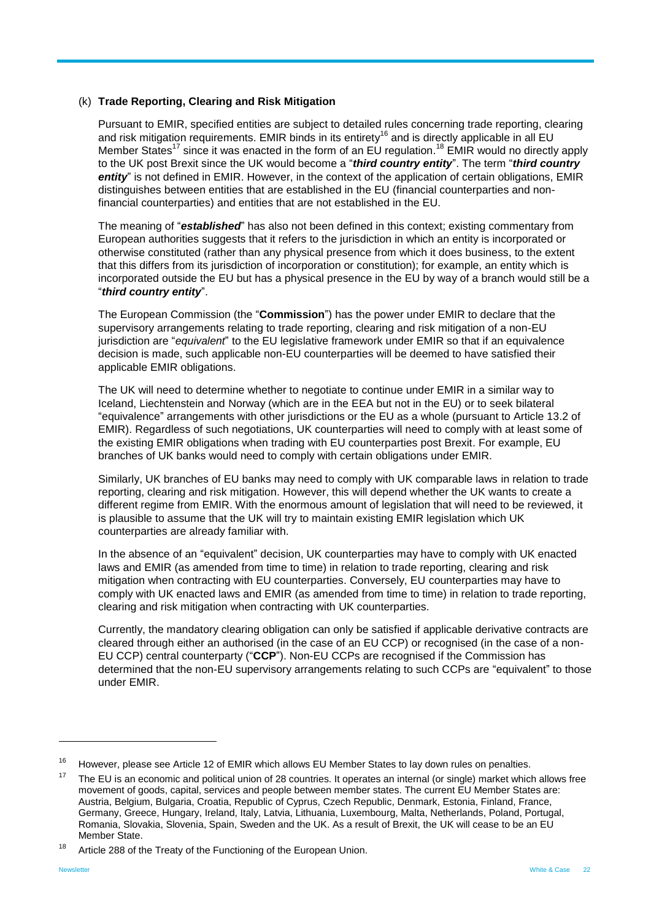#### (k) **Trade Reporting, Clearing and Risk Mitigation**

Pursuant to EMIR, specified entities are subject to detailed rules concerning trade reporting, clearing and risk mitigation requirements. EMIR binds in its entirety<sup>16</sup> and is directly applicable in all EU Member States<sup>17</sup> since it was enacted in the form of an EU regulation.<sup>18</sup> EMIR would no directly apply to the UK post Brexit since the UK would become a "*third country entity*". The term "*third country*  entity" is not defined in EMIR. However, in the context of the application of certain obligations, EMIR distinguishes between entities that are established in the EU (financial counterparties and nonfinancial counterparties) and entities that are not established in the EU.

The meaning of "*established*" has also not been defined in this context; existing commentary from European authorities suggests that it refers to the jurisdiction in which an entity is incorporated or otherwise constituted (rather than any physical presence from which it does business, to the extent that this differs from its jurisdiction of incorporation or constitution); for example, an entity which is incorporated outside the EU but has a physical presence in the EU by way of a branch would still be a "*third country entity*".

The European Commission (the "**Commission**") has the power under EMIR to declare that the supervisory arrangements relating to trade reporting, clearing and risk mitigation of a non-EU jurisdiction are "*equivalent*" to the EU legislative framework under EMIR so that if an equivalence decision is made, such applicable non-EU counterparties will be deemed to have satisfied their applicable EMIR obligations.

The UK will need to determine whether to negotiate to continue under EMIR in a similar way to Iceland, Liechtenstein and Norway (which are in the EEA but not in the EU) or to seek bilateral "equivalence" arrangements with other jurisdictions or the EU as a whole (pursuant to Article 13.2 of EMIR). Regardless of such negotiations, UK counterparties will need to comply with at least some of the existing EMIR obligations when trading with EU counterparties post Brexit. For example, EU branches of UK banks would need to comply with certain obligations under EMIR.

Similarly, UK branches of EU banks may need to comply with UK comparable laws in relation to trade reporting, clearing and risk mitigation. However, this will depend whether the UK wants to create a different regime from EMIR. With the enormous amount of legislation that will need to be reviewed, it is plausible to assume that the UK will try to maintain existing EMIR legislation which UK counterparties are already familiar with.

In the absence of an "equivalent" decision, UK counterparties may have to comply with UK enacted laws and EMIR (as amended from time to time) in relation to trade reporting, clearing and risk mitigation when contracting with EU counterparties. Conversely, EU counterparties may have to comply with UK enacted laws and EMIR (as amended from time to time) in relation to trade reporting, clearing and risk mitigation when contracting with UK counterparties.

Currently, the mandatory clearing obligation can only be satisfied if applicable derivative contracts are cleared through either an authorised (in the case of an EU CCP) or recognised (in the case of a non-EU CCP) central counterparty ("**CCP**"). Non-EU CCPs are recognised if the Commission has determined that the non-EU supervisory arrangements relating to such CCPs are "equivalent" to those under EMIR.

 $16$  However, please see Article 12 of EMIR which allows EU Member States to lay down rules on penalties.

 $17$  The EU is an economic and political union of 28 countries. It operates an internal (or single) market which allows free movement of goods, capital, services and people between member states. The current EU Member States are: Austria, Belgium, Bulgaria, Croatia, Republic of Cyprus, Czech Republic, Denmark, Estonia, Finland, France, Germany, Greece, Hungary, Ireland, Italy, Latvia, Lithuania, Luxembourg, Malta, Netherlands, Poland, Portugal, Romania, Slovakia, Slovenia, Spain, Sweden and the UK. As a result of Brexit, the UK will cease to be an EU Member State.

<sup>&</sup>lt;sup>18</sup> Article 288 of the Treaty of the Functioning of the European Union.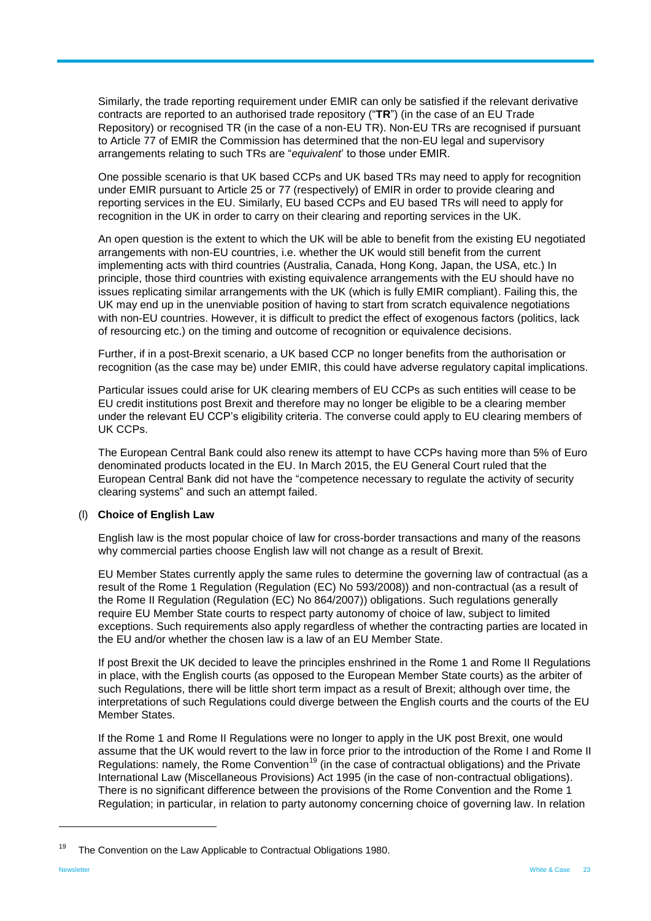Similarly, the trade reporting requirement under EMIR can only be satisfied if the relevant derivative contracts are reported to an authorised trade repository ("**TR**") (in the case of an EU Trade Repository) or recognised TR (in the case of a non-EU TR). Non-EU TRs are recognised if pursuant to Article 77 of EMIR the Commission has determined that the non-EU legal and supervisory arrangements relating to such TRs are "*equivalent*' to those under EMIR.

One possible scenario is that UK based CCPs and UK based TRs may need to apply for recognition under EMIR pursuant to Article 25 or 77 (respectively) of EMIR in order to provide clearing and reporting services in the EU. Similarly, EU based CCPs and EU based TRs will need to apply for recognition in the UK in order to carry on their clearing and reporting services in the UK.

An open question is the extent to which the UK will be able to benefit from the existing EU negotiated arrangements with non-EU countries, i.e. whether the UK would still benefit from the current implementing acts with third countries (Australia, Canada, Hong Kong, Japan, the USA, etc.) In principle, those third countries with existing equivalence arrangements with the EU should have no issues replicating similar arrangements with the UK (which is fully EMIR compliant). Failing this, the UK may end up in the unenviable position of having to start from scratch equivalence negotiations with non-EU countries. However, it is difficult to predict the effect of exogenous factors (politics, lack of resourcing etc.) on the timing and outcome of recognition or equivalence decisions.

Further, if in a post-Brexit scenario, a UK based CCP no longer benefits from the authorisation or recognition (as the case may be) under EMIR, this could have adverse regulatory capital implications.

Particular issues could arise for UK clearing members of EU CCPs as such entities will cease to be EU credit institutions post Brexit and therefore may no longer be eligible to be a clearing member under the relevant EU CCP's eligibility criteria. The converse could apply to EU clearing members of UK CCPs.

The European Central Bank could also renew its attempt to have CCPs having more than 5% of Euro denominated products located in the EU. In March 2015, the EU General Court ruled that the European Central Bank did not have the "competence necessary to regulate the activity of security clearing systems" and such an attempt failed.

#### (l) **Choice of English Law**

English law is the most popular choice of law for cross-border transactions and many of the reasons why commercial parties choose English law will not change as a result of Brexit.

EU Member States currently apply the same rules to determine the governing law of contractual (as a result of the Rome 1 Regulation (Regulation (EC) No 593/2008)) and non-contractual (as a result of the Rome II Regulation (Regulation (EC) No 864/2007)) obligations. Such regulations generally require EU Member State courts to respect party autonomy of choice of law, subject to limited exceptions. Such requirements also apply regardless of whether the contracting parties are located in the EU and/or whether the chosen law is a law of an EU Member State.

If post Brexit the UK decided to leave the principles enshrined in the Rome 1 and Rome II Regulations in place, with the English courts (as opposed to the European Member State courts) as the arbiter of such Regulations, there will be little short term impact as a result of Brexit; although over time, the interpretations of such Regulations could diverge between the English courts and the courts of the EU Member States.

If the Rome 1 and Rome II Regulations were no longer to apply in the UK post Brexit, one would assume that the UK would revert to the law in force prior to the introduction of the Rome I and Rome II Regulations: namely, the Rome Convention<sup>19</sup> (in the case of contractual obligations) and the Private International Law (Miscellaneous Provisions) Act 1995 (in the case of non-contractual obligations). There is no significant difference between the provisions of the Rome Convention and the Rome 1 Regulation; in particular, in relation to party autonomy concerning choice of governing law. In relation

<sup>19</sup> The Convention on the Law Applicable to Contractual Obligations 1980.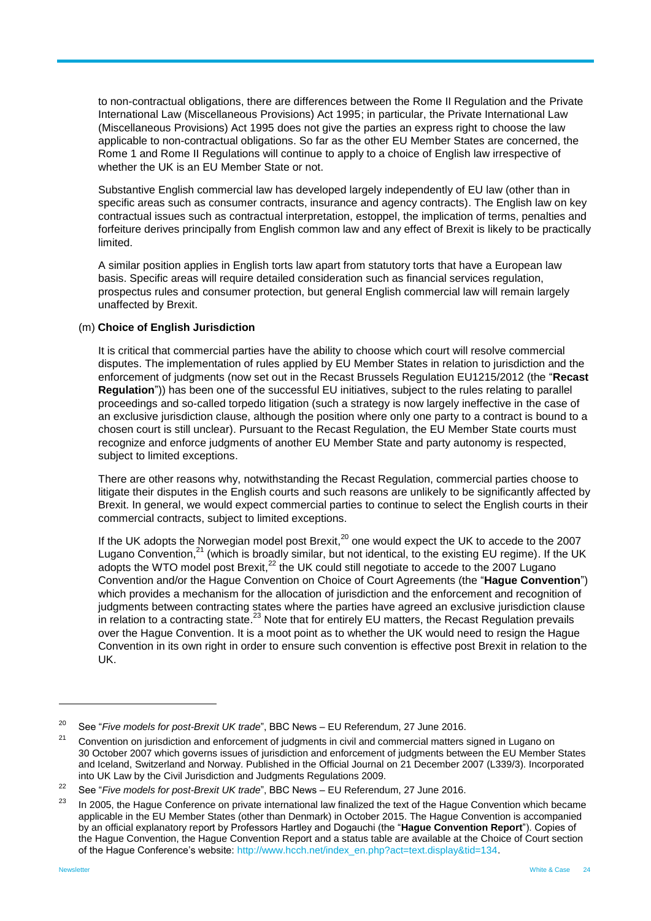to non-contractual obligations, there are differences between the Rome II Regulation and the Private International Law (Miscellaneous Provisions) Act 1995; in particular, the Private International Law (Miscellaneous Provisions) Act 1995 does not give the parties an express right to choose the law applicable to non-contractual obligations. So far as the other EU Member States are concerned, the Rome 1 and Rome II Regulations will continue to apply to a choice of English law irrespective of whether the UK is an EU Member State or not.

Substantive English commercial law has developed largely independently of EU law (other than in specific areas such as consumer contracts, insurance and agency contracts). The English law on key contractual issues such as contractual interpretation, estoppel, the implication of terms, penalties and forfeiture derives principally from English common law and any effect of Brexit is likely to be practically limited.

A similar position applies in English torts law apart from statutory torts that have a European law basis. Specific areas will require detailed consideration such as financial services regulation, prospectus rules and consumer protection, but general English commercial law will remain largely unaffected by Brexit.

#### (m) **Choice of English Jurisdiction**

It is critical that commercial parties have the ability to choose which court will resolve commercial disputes. The implementation of rules applied by EU Member States in relation to jurisdiction and the enforcement of judgments (now set out in the Recast Brussels Regulation EU1215/2012 (the "**Recast Regulation**")) has been one of the successful EU initiatives, subject to the rules relating to parallel proceedings and so-called torpedo litigation (such a strategy is now largely ineffective in the case of an exclusive jurisdiction clause, although the position where only one party to a contract is bound to a chosen court is still unclear). Pursuant to the Recast Regulation, the EU Member State courts must recognize and enforce judgments of another EU Member State and party autonomy is respected, subject to limited exceptions.

There are other reasons why, notwithstanding the Recast Regulation, commercial parties choose to litigate their disputes in the English courts and such reasons are unlikely to be significantly affected by Brexit. In general, we would expect commercial parties to continue to select the English courts in their commercial contracts, subject to limited exceptions.

If the UK adopts the Norwegian model post Brexit,<sup>20</sup> one would expect the UK to accede to the 2007 Lugano Convention,<sup>21</sup> (which is broadly similar, but not identical, to the existing EU regime). If the UK adopts the WTO model post Brexit,<sup>22</sup> the UK could still negotiate to accede to the 2007 Lugano Convention and/or the Hague Convention on Choice of Court Agreements (the "**Hague Convention**") which provides a mechanism for the allocation of jurisdiction and the enforcement and recognition of judgments between contracting states where the parties have agreed an exclusive jurisdiction clause in relation to a contracting state.<sup>23</sup> Note that for entirely EU matters, the Recast Regulation prevails over the Hague Convention. It is a moot point as to whether the UK would need to resign the Hague Convention in its own right in order to ensure such convention is effective post Brexit in relation to the UK.

<sup>&</sup>lt;sup>20</sup> See "*Five models for post-Brexit UK trade*", BBC News – EU Referendum, 27 June 2016.

<sup>&</sup>lt;sup>21</sup> Convention on jurisdiction and enforcement of judgments in civil and commercial matters signed in Lugano on 30 October 2007 which governs issues of jurisdiction and enforcement of judgments between the EU Member States and Iceland, Switzerland and Norway. Published in the Official Journal on 21 December 2007 (L339/3). Incorporated into UK Law by the Civil Jurisdiction and Judgments Regulations 2009.

<sup>&</sup>lt;sup>22</sup> See "*Five models for post-Brexit UK trade*", BBC News – EU Referendum, 27 June 2016.

 $23$  In 2005, the Hague Conference on private international law finalized the text of the Hague Convention which became applicable in the EU Member States (other than Denmark) in October 2015. The Hague Convention is accompanied by an official explanatory report by Professors Hartley and Dogauchi (the "**Hague Convention Report**"). Copies of the Hague Convention, the Hague Convention Report and a status table are available at the Choice of Court section of the Hague Conference's website: [http://www.hcch.net/index\\_en.php?act=text.display&tid=134.](http://www.hcch.net/index_en.php?act=text.display&tid=134)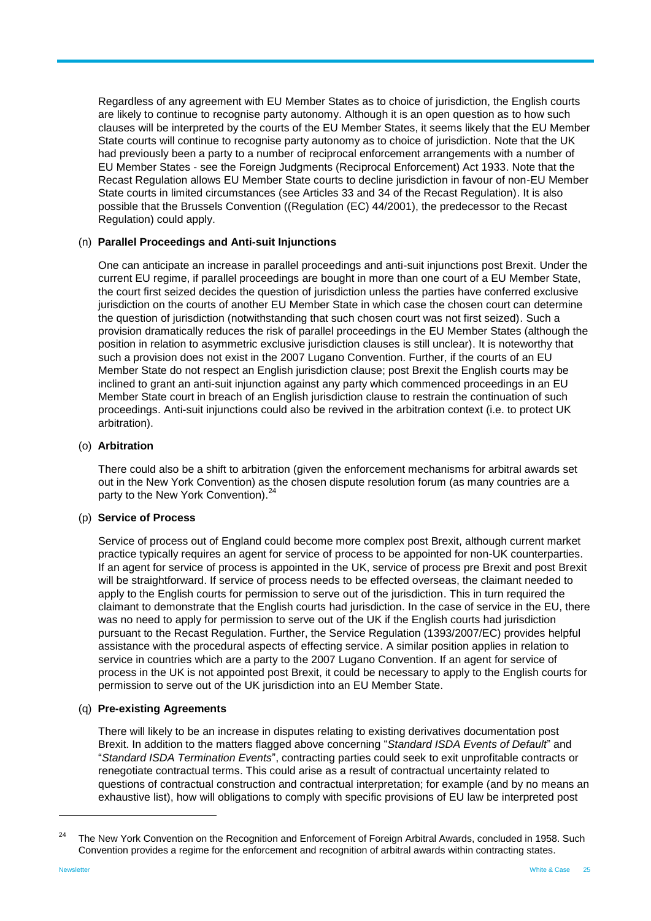Regardless of any agreement with EU Member States as to choice of jurisdiction, the English courts are likely to continue to recognise party autonomy. Although it is an open question as to how such clauses will be interpreted by the courts of the EU Member States, it seems likely that the EU Member State courts will continue to recognise party autonomy as to choice of jurisdiction. Note that the UK had previously been a party to a number of reciprocal enforcement arrangements with a number of EU Member States - see the Foreign Judgments (Reciprocal Enforcement) Act 1933. Note that the Recast Regulation allows EU Member State courts to decline jurisdiction in favour of non-EU Member State courts in limited circumstances (see Articles 33 and 34 of the Recast Regulation). It is also possible that the Brussels Convention ((Regulation (EC) 44/2001), the predecessor to the Recast Regulation) could apply.

#### (n) **Parallel Proceedings and Anti-suit Injunctions**

One can anticipate an increase in parallel proceedings and anti-suit injunctions post Brexit. Under the current EU regime, if parallel proceedings are bought in more than one court of a EU Member State, the court first seized decides the question of jurisdiction unless the parties have conferred exclusive jurisdiction on the courts of another EU Member State in which case the chosen court can determine the question of jurisdiction (notwithstanding that such chosen court was not first seized). Such a provision dramatically reduces the risk of parallel proceedings in the EU Member States (although the position in relation to asymmetric exclusive jurisdiction clauses is still unclear). It is noteworthy that such a provision does not exist in the 2007 Lugano Convention. Further, if the courts of an EU Member State do not respect an English jurisdiction clause; post Brexit the English courts may be inclined to grant an anti-suit injunction against any party which commenced proceedings in an EU Member State court in breach of an English jurisdiction clause to restrain the continuation of such proceedings. Anti-suit injunctions could also be revived in the arbitration context (i.e. to protect UK arbitration).

#### (o) **Arbitration**

There could also be a shift to arbitration (given the enforcement mechanisms for arbitral awards set out in the New York Convention) as the chosen dispute resolution forum (as many countries are a party to the New York Convention).<sup>24</sup>

#### (p) **Service of Process**

Service of process out of England could become more complex post Brexit, although current market practice typically requires an agent for service of process to be appointed for non-UK counterparties. If an agent for service of process is appointed in the UK, service of process pre Brexit and post Brexit will be straightforward. If service of process needs to be effected overseas, the claimant needed to apply to the English courts for permission to serve out of the jurisdiction. This in turn required the claimant to demonstrate that the English courts had jurisdiction. In the case of service in the EU, there was no need to apply for permission to serve out of the UK if the English courts had jurisdiction pursuant to the Recast Regulation. Further, the Service Regulation (1393/2007/EC) provides helpful assistance with the procedural aspects of effecting service. A similar position applies in relation to service in countries which are a party to the 2007 Lugano Convention. If an agent for service of process in the UK is not appointed post Brexit, it could be necessary to apply to the English courts for permission to serve out of the UK jurisdiction into an EU Member State.

#### (q) **Pre-existing Agreements**

There will likely to be an increase in disputes relating to existing derivatives documentation post Brexit. In addition to the matters flagged above concerning "*Standard ISDA Events of Default*" and "*Standard ISDA Termination Events*", contracting parties could seek to exit unprofitable contracts or renegotiate contractual terms. This could arise as a result of contractual uncertainty related to questions of contractual construction and contractual interpretation; for example (and by no means an exhaustive list), how will obligations to comply with specific provisions of EU law be interpreted post

<sup>24</sup> The New York Convention on the Recognition and Enforcement of Foreign Arbitral Awards, concluded in 1958. Such Convention provides a regime for the enforcement and recognition of arbitral awards within contracting states.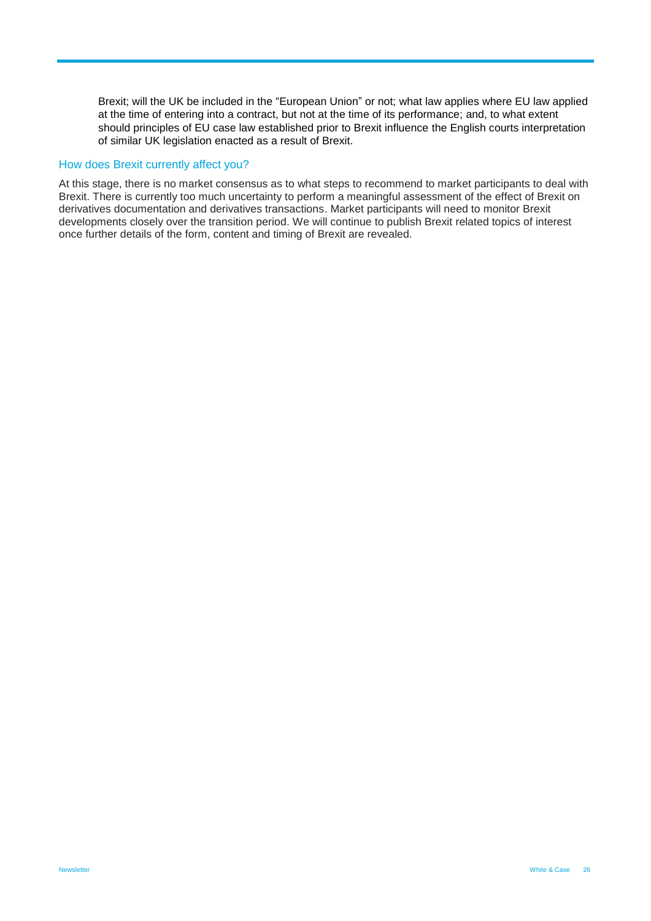Brexit; will the UK be included in the "European Union" or not; what law applies where EU law applied at the time of entering into a contract, but not at the time of its performance; and, to what extent should principles of EU case law established prior to Brexit influence the English courts interpretation of similar UK legislation enacted as a result of Brexit.

#### How does Brexit currently affect you?

At this stage, there is no market consensus as to what steps to recommend to market participants to deal with Brexit. There is currently too much uncertainty to perform a meaningful assessment of the effect of Brexit on derivatives documentation and derivatives transactions. Market participants will need to monitor Brexit developments closely over the transition period. We will continue to publish Brexit related topics of interest once further details of the form, content and timing of Brexit are revealed.

Newsletter White & Case 26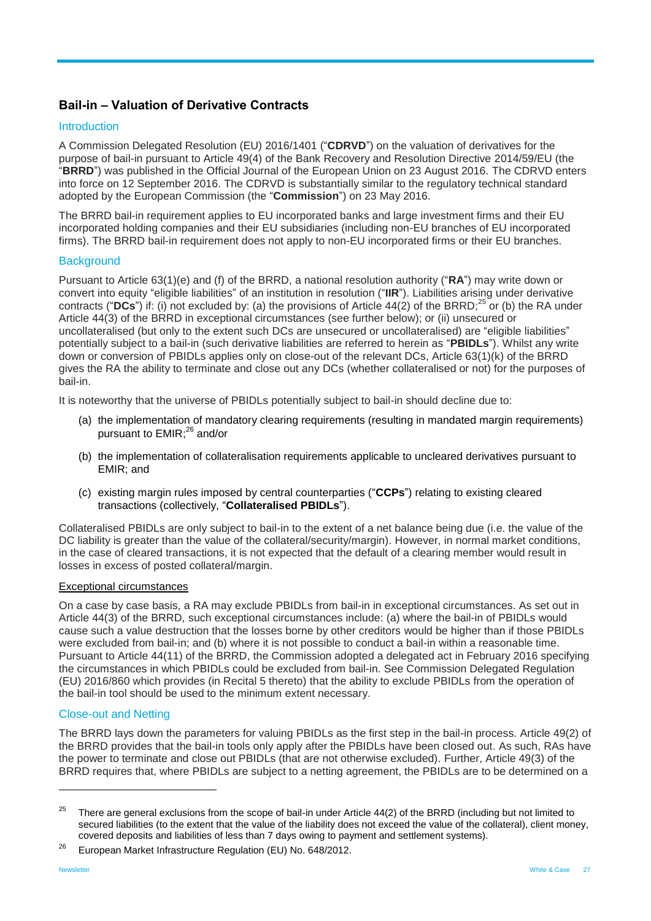## <span id="page-26-0"></span>**Bail-in – Valuation of Derivative Contracts**

#### Introduction

A Commission Delegated Resolution (EU) 2016/1401 ("**CDRVD**") on the valuation of derivatives for the purpose of bail-in pursuant to Article 49(4) of the Bank Recovery and Resolution Directive 2014/59/EU (the "**BRRD**") was published in the Official Journal of the European Union on 23 August 2016. The CDRVD enters into force on 12 September 2016. The CDRVD is substantially similar to the regulatory technical standard adopted by the European Commission (the "**Commission**") on 23 May 2016.

The BRRD bail-in requirement applies to EU incorporated banks and large investment firms and their EU incorporated holding companies and their EU subsidiaries (including non-EU branches of EU incorporated firms). The BRRD bail-in requirement does not apply to non-EU incorporated firms or their EU branches.

#### **Background**

Pursuant to Article 63(1)(e) and (f) of the BRRD, a national resolution authority ("**RA**") may write down or convert into equity "eligible liabilities" of an institution in resolution ("**IIR**"). Liabilities arising under derivative contracts ("DCs") if: (i) not excluded by: (a) the provisions of Article 44(2) of the BRRD;<sup>25</sup> or (b) the RA under Article 44(3) of the BRRD in exceptional circumstances (see further below); or (ii) unsecured or uncollateralised (but only to the extent such DCs are unsecured or uncollateralised) are "eligible liabilities" potentially subject to a bail-in (such derivative liabilities are referred to herein as "**PBIDLs**"). Whilst any write down or conversion of PBIDLs applies only on close-out of the relevant DCs, Article 63(1)(k) of the BRRD gives the RA the ability to terminate and close out any DCs (whether collateralised or not) for the purposes of bail-in.

It is noteworthy that the universe of PBIDLs potentially subject to bail-in should decline due to:

- (a) the implementation of mandatory clearing requirements (resulting in mandated margin requirements) pursuant to EMIR;<sup>26</sup> and/or
- (b) the implementation of collateralisation requirements applicable to uncleared derivatives pursuant to EMIR; and
- (c) existing margin rules imposed by central counterparties ("**CCPs**") relating to existing cleared transactions (collectively, "**Collateralised PBIDLs**").

Collateralised PBIDLs are only subject to bail-in to the extent of a net balance being due (i.e. the value of the DC liability is greater than the value of the collateral/security/margin). However, in normal market conditions, in the case of cleared transactions, it is not expected that the default of a clearing member would result in losses in excess of posted collateral/margin.

#### Exceptional circumstances

On a case by case basis, a RA may exclude PBIDLs from bail-in in exceptional circumstances. As set out in Article 44(3) of the BRRD, such exceptional circumstances include: (a) where the bail-in of PBIDLs would cause such a value destruction that the losses borne by other creditors would be higher than if those PBIDLs were excluded from bail-in; and (b) where it is not possible to conduct a bail-in within a reasonable time. Pursuant to Article 44(11) of the BRRD, the Commission adopted a delegated act in February 2016 specifying the circumstances in which PBIDLs could be excluded from bail-in. See Commission Delegated Regulation (EU) 2016/860 which provides (in Recital 5 thereto) that the ability to exclude PBIDLs from the operation of the bail-in tool should be used to the minimum extent necessary.

#### Close-out and Netting

The BRRD lays down the parameters for valuing PBIDLs as the first step in the bail-in process. Article 49(2) of the BRRD provides that the bail-in tools only apply after the PBIDLs have been closed out. As such, RAs have the power to terminate and close out PBIDLs (that are not otherwise excluded). Further, Article 49(3) of the BRRD requires that, where PBIDLs are subject to a netting agreement, the PBIDLs are to be determined on a

 $25$  There are general exclusions from the scope of bail-in under Article 44(2) of the BRRD (including but not limited to secured liabilities (to the extent that the value of the liability does not exceed the value of the collateral), client money, covered deposits and liabilities of less than 7 days owing to payment and settlement systems).

<sup>&</sup>lt;sup>26</sup> European Market Infrastructure Regulation (EU) No. 648/2012.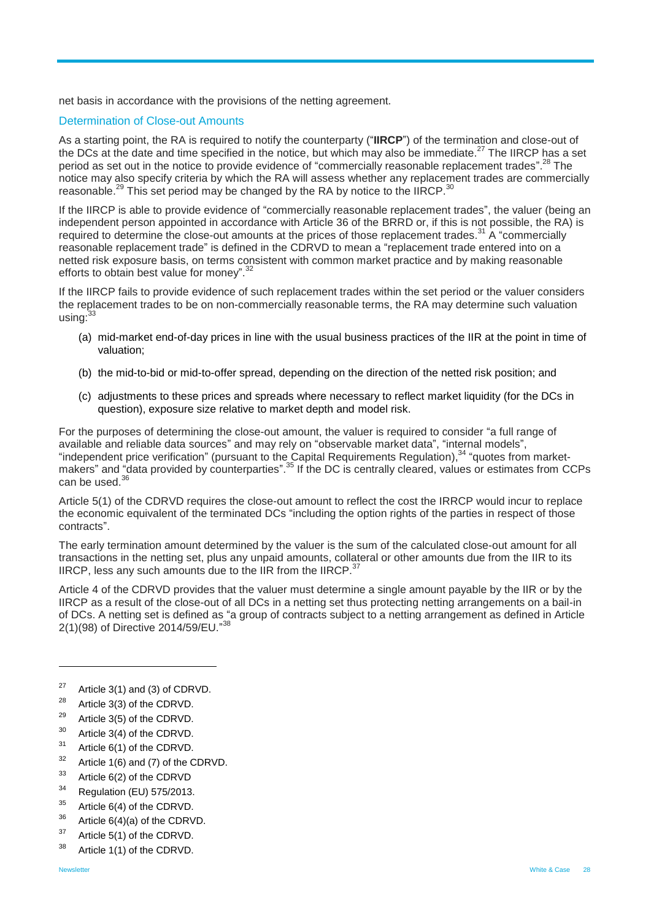net basis in accordance with the provisions of the netting agreement.

#### Determination of Close-out Amounts

As a starting point, the RA is required to notify the counterparty ("**IIRCP**") of the termination and close-out of the DCs at the date and time specified in the notice, but which may also be immediate.<sup>27</sup> The IIRCP has a set period as set out in the notice to provide evidence of "commercially reasonable replacement trades".<sup>28</sup> The notice may also specify criteria by which the RA will assess whether any replacement trades are commercially reasonable.<sup>29</sup> This set period may be changed by the RA by notice to the IIRCP.<sup>30</sup>

If the IIRCP is able to provide evidence of "commercially reasonable replacement trades", the valuer (being an independent person appointed in accordance with Article 36 of the BRRD or, if this is not possible, the RA) is required to determine the close-out amounts at the prices of those replacement trades.<sup>31</sup> A "commercially reasonable replacement trade" is defined in the CDRVD to mean a "replacement trade entered into on a netted risk exposure basis, on terms consistent with common market practice and by making reasonable efforts to obtain best value for money".<sup>32</sup>

If the IIRCP fails to provide evidence of such replacement trades within the set period or the valuer considers the replacement trades to be on non-commercially reasonable terms, the RA may determine such valuation using:<sup>33</sup>

- (a) mid-market end-of-day prices in line with the usual business practices of the IIR at the point in time of valuation;
- (b) the mid-to-bid or mid-to-offer spread, depending on the direction of the netted risk position; and
- (c) adjustments to these prices and spreads where necessary to reflect market liquidity (for the DCs in question), exposure size relative to market depth and model risk.

For the purposes of determining the close-out amount, the valuer is required to consider "a full range of available and reliable data sources" and may rely on "observable market data", "internal models", "independent price verification" (pursuant to the Capital Requirements Regulation),  $34$  "quotes from marketmakers" and "data provided by counterparties".<sup>35</sup> If the DC is centrally cleared, values or estimates from CCPs can be used.<sup>36</sup>

Article 5(1) of the CDRVD requires the close-out amount to reflect the cost the IRRCP would incur to replace the economic equivalent of the terminated DCs "including the option rights of the parties in respect of those contracts".

The early termination amount determined by the valuer is the sum of the calculated close-out amount for all transactions in the netting set, plus any unpaid amounts, collateral or other amounts due from the IIR to its IIRCP, less any such amounts due to the IIR from the IIRCP.<sup>37</sup>

Article 4 of the CDRVD provides that the valuer must determine a single amount payable by the IIR or by the IIRCP as a result of the close-out of all DCs in a netting set thus protecting netting arrangements on a bail-in of DCs. A netting set is defined as "a group of contracts subject to a netting arrangement as defined in Article 2(1)(98) of Directive 2014/59/EU."38

- <sup>27</sup> Article 3(1) and (3) of CDRVD.
- Article 3(3) of the CDRVD.
- <sup>29</sup> Article 3(5) of the CDRVD.
- <sup>30</sup> Article 3(4) of the CDRVD.
- <sup>31</sup> Article 6(1) of the CDRVD.
- $32$  Article 1(6) and (7) of the CDRVD.
- $33$  Article 6(2) of the CDRVD
- Regulation (EU) 575/2013.
- $35$  Article 6(4) of the CDRVD.
- $36$  Article 6(4)(a) of the CDRVD.
- <sup>37</sup> Article 5(1) of the CDRVD.
- <sup>38</sup> Article 1(1) of the CDRVD.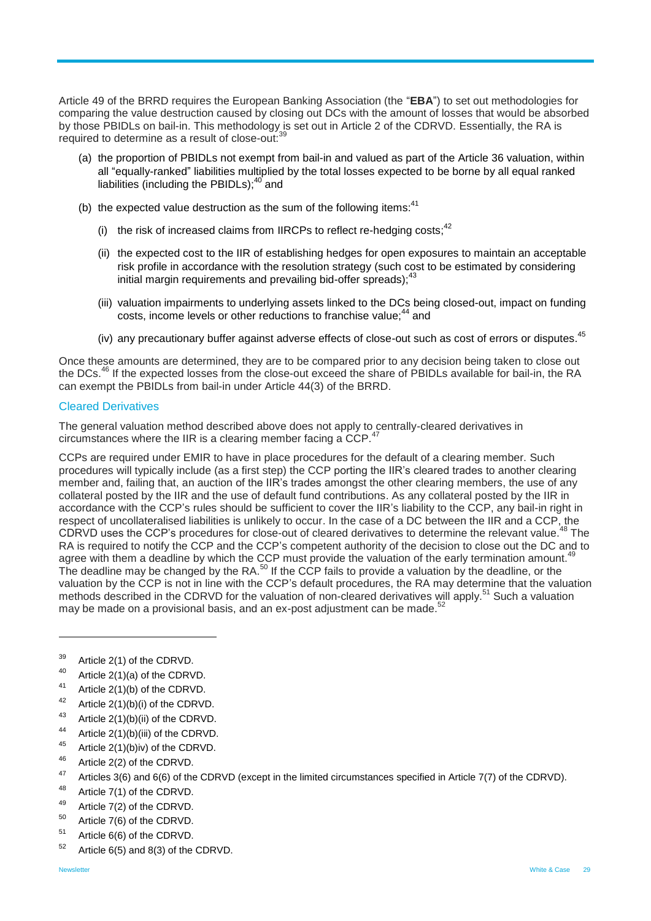Article 49 of the BRRD requires the European Banking Association (the "**EBA**") to set out methodologies for comparing the value destruction caused by closing out DCs with the amount of losses that would be absorbed by those PBIDLs on bail-in. This methodology is set out in Article 2 of the CDRVD. Essentially, the RA is required to determine as a result of close-out:<sup>39</sup>

- (a) the proportion of PBIDLs not exempt from bail-in and valued as part of the Article 36 valuation, within all "equally-ranked" liabilities multiplied by the total losses expected to be borne by all equal ranked liabilities (including the PBIDLs);<sup>40</sup> and
- (b) the expected value destruction as the sum of the following items: $41$ 
	- (i) the risk of increased claims from IIRCPs to reflect re-hedging costs; $42$
	- (ii) the expected cost to the IIR of establishing hedges for open exposures to maintain an acceptable risk profile in accordance with the resolution strategy (such cost to be estimated by considering initial margin requirements and prevailing bid-offer spreads);<sup>43</sup>
	- (iii) valuation impairments to underlying assets linked to the DCs being closed-out, impact on funding costs, income levels or other reductions to franchise value;<sup>44</sup> and
	- (iv) any precautionary buffer against adverse effects of close-out such as cost of errors or disputes.<sup>45</sup>

Once these amounts are determined, they are to be compared prior to any decision being taken to close out the DCs.<sup>46</sup> If the expected losses from the close-out exceed the share of PBIDLs available for bail-in, the RA can exempt the PBIDLs from bail-in under Article 44(3) of the BRRD.

#### Cleared Derivatives

The general valuation method described above does not apply to centrally-cleared derivatives in circumstances where the IIR is a clearing member facing a CCP.<sup>47</sup>

CCPs are required under EMIR to have in place procedures for the default of a clearing member. Such procedures will typically include (as a first step) the CCP porting the IIR's cleared trades to another clearing member and, failing that, an auction of the IIR's trades amongst the other clearing members, the use of any collateral posted by the IIR and the use of default fund contributions. As any collateral posted by the IIR in accordance with the CCP's rules should be sufficient to cover the IIR's liability to the CCP, any bail-in right in respect of uncollateralised liabilities is unlikely to occur. In the case of a DC between the IIR and a CCP, the CDRVD uses the CCP's procedures for close-out of cleared derivatives to determine the relevant value.<sup>48</sup> The RA is required to notify the CCP and the CCP's competent authority of the decision to close out the DC and to agree with them a deadline by which the CCP must provide the valuation of the early termination amount.<sup>49</sup> The deadline may be changed by the RA.<sup>50</sup> If the CCP fails to provide a valuation by the deadline, or the valuation by the CCP is not in line with the CCP's default procedures, the RA may determine that the valuation methods described in the CDRVD for the valuation of non-cleared derivatives will apply.<sup>51</sup> Such a valuation may be made on a provisional basis, and an ex-post adjustment can be made.<sup>52</sup>

- <sup>40</sup> Article 2(1)(a) of the CDRVD.
- 41 Article 2(1)(b) of the CDRVD.
- Article  $2(1)(b)(i)$  of the CDRVD.
- <sup>43</sup> Article 2(1)(b)(ii) of the CDRVD.
- <sup>44</sup> Article 2(1)(b)(iii) of the CDRVD.
- <sup>45</sup> Article 2(1)(b)iv) of the CDRVD.
- <sup>46</sup> Article 2(2) of the CDRVD.
- <sup>47</sup> Articles 3(6) and 6(6) of the CDRVD (except in the limited circumstances specified in Article 7(7) of the CDRVD).
- <sup>48</sup> Article 7(1) of the CDRVD.
- <sup>49</sup> Article 7(2) of the CDRVD.
- <sup>50</sup> Article 7(6) of the CDRVD.
- <sup>51</sup> Article 6(6) of the CDRVD.
- $52$  Article 6(5) and 8(3) of the CDRVD.

<sup>39</sup> Article 2(1) of the CDRVD.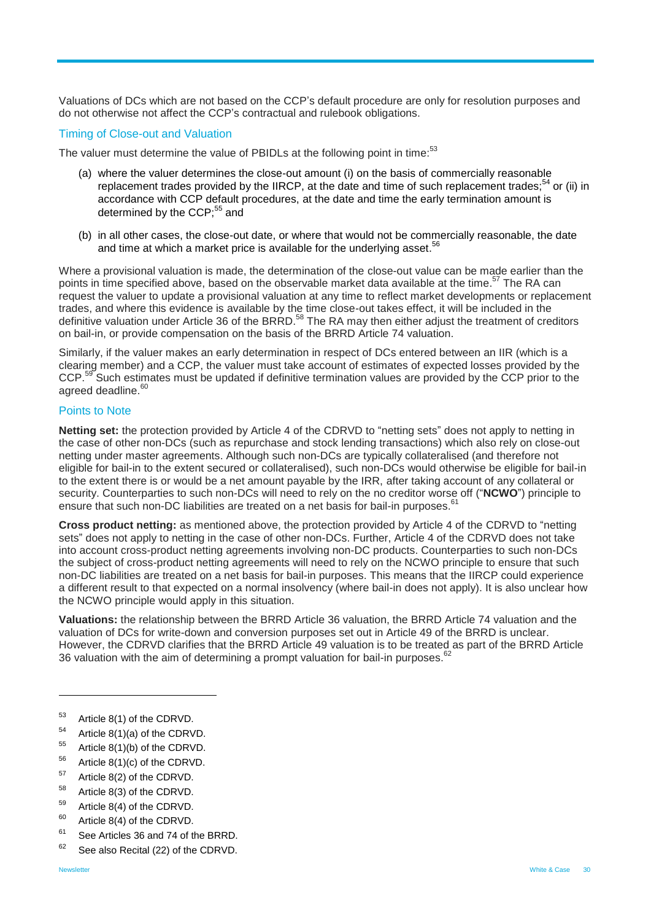Valuations of DCs which are not based on the CCP's default procedure are only for resolution purposes and do not otherwise not affect the CCP's contractual and rulebook obligations.

#### Timing of Close-out and Valuation

The valuer must determine the value of PBIDLs at the following point in time:<sup>53</sup>

- (a) where the valuer determines the close-out amount (i) on the basis of commercially reasonable replacement trades provided by the IIRCP, at the date and time of such replacement trades;<sup>54</sup> or (ii) in accordance with CCP default procedures, at the date and time the early termination amount is determined by the CCP;<sup>55</sup> and
- (b) in all other cases, the close-out date, or where that would not be commercially reasonable, the date and time at which a market price is available for the underlying asset.<sup>56</sup>

Where a provisional valuation is made, the determination of the close-out value can be made earlier than the points in time specified above, based on the observable market data available at the time.<sup>57</sup> The RA can request the valuer to update a provisional valuation at any time to reflect market developments or replacement trades, and where this evidence is available by the time close-out takes effect, it will be included in the definitive valuation under Article 36 of the BRRD.<sup>58</sup> The RA may then either adjust the treatment of creditors on bail-in, or provide compensation on the basis of the BRRD Article 74 valuation.

Similarly, if the valuer makes an early determination in respect of DCs entered between an IIR (which is a clearing member) and a CCP, the valuer must take account of estimates of expected losses provided by the CCP.<sup>59</sup> Such estimates must be updated if definitive termination values are provided by the CCP prior to the agreed deadline.<sup>60</sup>

#### Points to Note

**Netting set:** the protection provided by Article 4 of the CDRVD to "netting sets" does not apply to netting in the case of other non-DCs (such as repurchase and stock lending transactions) which also rely on close-out netting under master agreements. Although such non-DCs are typically collateralised (and therefore not eligible for bail-in to the extent secured or collateralised), such non-DCs would otherwise be eligible for bail-in to the extent there is or would be a net amount payable by the IRR, after taking account of any collateral or security. Counterparties to such non-DCs will need to rely on the no creditor worse off ("**NCWO**") principle to ensure that such non-DC liabilities are treated on a net basis for bail-in purposes.<sup>61</sup>

**Cross product netting:** as mentioned above, the protection provided by Article 4 of the CDRVD to "netting sets" does not apply to netting in the case of other non-DCs. Further, Article 4 of the CDRVD does not take into account cross-product netting agreements involving non-DC products. Counterparties to such non-DCs the subject of cross-product netting agreements will need to rely on the NCWO principle to ensure that such non-DC liabilities are treated on a net basis for bail-in purposes. This means that the IIRCP could experience a different result to that expected on a normal insolvency (where bail-in does not apply). It is also unclear how the NCWO principle would apply in this situation.

**Valuations:** the relationship between the BRRD Article 36 valuation, the BRRD Article 74 valuation and the valuation of DCs for write-down and conversion purposes set out in Article 49 of the BRRD is unclear. However, the CDRVD clarifies that the BRRD Article 49 valuation is to be treated as part of the BRRD Article 36 valuation with the aim of determining a prompt valuation for bail-in purposes.  $62$ 

- <sup>53</sup> Article 8(1) of the CDRVD.
- <sup>54</sup> Article 8(1)(a) of the CDRVD.
- <sup>55</sup> Article 8(1)(b) of the CDRVD.
- $56$  Article 8(1)(c) of the CDRVD.
- <sup>57</sup> Article 8(2) of the CDRVD.
- <sup>58</sup> Article 8(3) of the CDRVD.
- <sup>59</sup> Article 8(4) of the CDRVD.
- $60$  Article 8(4) of the CDRVD.
- <sup>61</sup> See Articles 36 and 74 of the BRRD.
- $62$  See also Recital (22) of the CDRVD.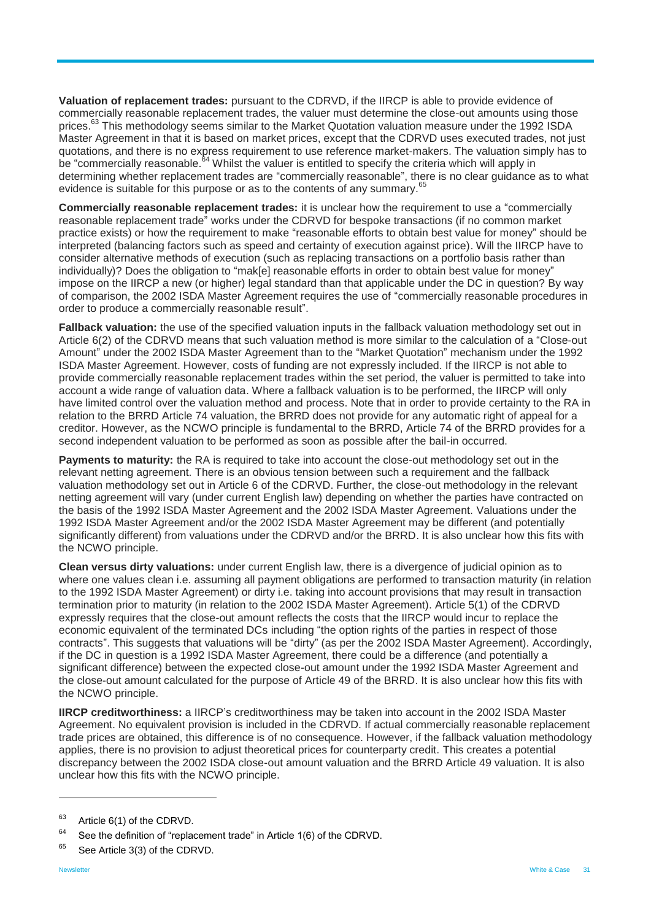**Valuation of replacement trades:** pursuant to the CDRVD, if the IIRCP is able to provide evidence of commercially reasonable replacement trades, the valuer must determine the close-out amounts using those prices.<sup>63</sup> This methodology seems similar to the Market Quotation valuation measure under the 1992 ISDA Master Agreement in that it is based on market prices, except that the CDRVD uses executed trades, not just quotations, and there is no express requirement to use reference market-makers. The valuation simply has to be "commercially reasonable.<sup>64</sup> Whilst the valuer is entitled to specify the criteria which will apply in determining whether replacement trades are "commercially reasonable", there is no clear guidance as to what evidence is suitable for this purpose or as to the contents of any summary. <sup>65</sup>

**Commercially reasonable replacement trades:** it is unclear how the requirement to use a "commercially reasonable replacement trade" works under the CDRVD for bespoke transactions (if no common market practice exists) or how the requirement to make "reasonable efforts to obtain best value for money" should be interpreted (balancing factors such as speed and certainty of execution against price). Will the IIRCP have to consider alternative methods of execution (such as replacing transactions on a portfolio basis rather than individually)? Does the obligation to "mak[e] reasonable efforts in order to obtain best value for money" impose on the IIRCP a new (or higher) legal standard than that applicable under the DC in question? By way of comparison, the 2002 ISDA Master Agreement requires the use of "commercially reasonable procedures in order to produce a commercially reasonable result".

**Fallback valuation:** the use of the specified valuation inputs in the fallback valuation methodology set out in Article 6(2) of the CDRVD means that such valuation method is more similar to the calculation of a "Close-out Amount" under the 2002 ISDA Master Agreement than to the "Market Quotation" mechanism under the 1992 ISDA Master Agreement. However, costs of funding are not expressly included. If the IIRCP is not able to provide commercially reasonable replacement trades within the set period, the valuer is permitted to take into account a wide range of valuation data. Where a fallback valuation is to be performed, the IIRCP will only have limited control over the valuation method and process. Note that in order to provide certainty to the RA in relation to the BRRD Article 74 valuation, the BRRD does not provide for any automatic right of appeal for a creditor. However, as the NCWO principle is fundamental to the BRRD, Article 74 of the BRRD provides for a second independent valuation to be performed as soon as possible after the bail-in occurred.

**Payments to maturity:** the RA is required to take into account the close-out methodology set out in the relevant netting agreement. There is an obvious tension between such a requirement and the fallback valuation methodology set out in Article 6 of the CDRVD. Further, the close-out methodology in the relevant netting agreement will vary (under current English law) depending on whether the parties have contracted on the basis of the 1992 ISDA Master Agreement and the 2002 ISDA Master Agreement. Valuations under the 1992 ISDA Master Agreement and/or the 2002 ISDA Master Agreement may be different (and potentially significantly different) from valuations under the CDRVD and/or the BRRD. It is also unclear how this fits with the NCWO principle.

**Clean versus dirty valuations:** under current English law, there is a divergence of judicial opinion as to where one values clean i.e. assuming all payment obligations are performed to transaction maturity (in relation to the 1992 ISDA Master Agreement) or dirty i.e. taking into account provisions that may result in transaction termination prior to maturity (in relation to the 2002 ISDA Master Agreement). Article 5(1) of the CDRVD expressly requires that the close-out amount reflects the costs that the IIRCP would incur to replace the economic equivalent of the terminated DCs including "the option rights of the parties in respect of those contracts". This suggests that valuations will be "dirty" (as per the 2002 ISDA Master Agreement). Accordingly, if the DC in question is a 1992 ISDA Master Agreement, there could be a difference (and potentially a significant difference) between the expected close-out amount under the 1992 ISDA Master Agreement and the close-out amount calculated for the purpose of Article 49 of the BRRD. It is also unclear how this fits with the NCWO principle.

**IIRCP creditworthiness:** a IIRCP's creditworthiness may be taken into account in the 2002 ISDA Master Agreement. No equivalent provision is included in the CDRVD. If actual commercially reasonable replacement trade prices are obtained, this difference is of no consequence. However, if the fallback valuation methodology applies, there is no provision to adjust theoretical prices for counterparty credit. This creates a potential discrepancy between the 2002 ISDA close-out amount valuation and the BRRD Article 49 valuation. It is also unclear how this fits with the NCWO principle.

<sup>&</sup>lt;sup>63</sup> Article 6(1) of the CDRVD.

 $64$  See the definition of "replacement trade" in Article 1(6) of the CDRVD.

<sup>&</sup>lt;sup>65</sup> See Article 3(3) of the CDRVD.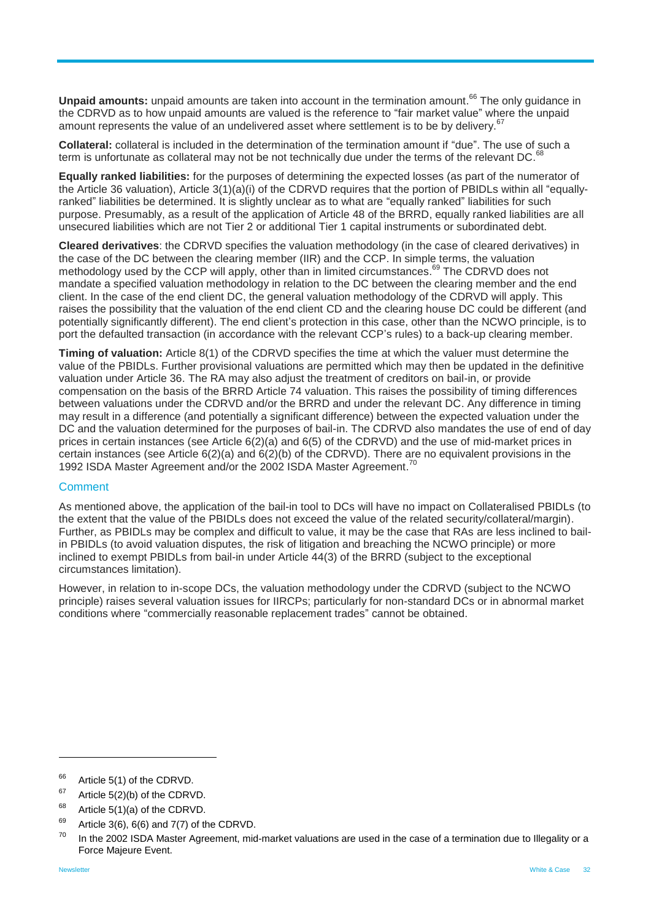Unpaid amounts: unpaid amounts are taken into account in the termination amount.<sup>66</sup> The only guidance in the CDRVD as to how unpaid amounts are valued is the reference to "fair market value" where the unpaid amount represents the value of an undelivered asset where settlement is to be by delivery.<sup>67</sup>

**Collateral:** collateral is included in the determination of the termination amount if "due". The use of such a term is unfortunate as collateral may not be not technically due under the terms of the relevant DC.  $^{68}$ 

**Equally ranked liabilities:** for the purposes of determining the expected losses (as part of the numerator of the Article 36 valuation), Article 3(1)(a)(i) of the CDRVD requires that the portion of PBIDLs within all "equallyranked" liabilities be determined. It is slightly unclear as to what are "equally ranked" liabilities for such purpose. Presumably, as a result of the application of Article 48 of the BRRD, equally ranked liabilities are all unsecured liabilities which are not Tier 2 or additional Tier 1 capital instruments or subordinated debt.

**Cleared derivatives**: the CDRVD specifies the valuation methodology (in the case of cleared derivatives) in the case of the DC between the clearing member (IIR) and the CCP. In simple terms, the valuation methodology used by the CCP will apply, other than in limited circumstances.<sup>69</sup> The CDRVD does not mandate a specified valuation methodology in relation to the DC between the clearing member and the end client. In the case of the end client DC, the general valuation methodology of the CDRVD will apply. This raises the possibility that the valuation of the end client CD and the clearing house DC could be different (and potentially significantly different). The end client's protection in this case, other than the NCWO principle, is to port the defaulted transaction (in accordance with the relevant CCP's rules) to a back-up clearing member.

**Timing of valuation:** Article 8(1) of the CDRVD specifies the time at which the valuer must determine the value of the PBIDLs. Further provisional valuations are permitted which may then be updated in the definitive valuation under Article 36. The RA may also adjust the treatment of creditors on bail-in, or provide compensation on the basis of the BRRD Article 74 valuation. This raises the possibility of timing differences between valuations under the CDRVD and/or the BRRD and under the relevant DC. Any difference in timing may result in a difference (and potentially a significant difference) between the expected valuation under the DC and the valuation determined for the purposes of bail-in. The CDRVD also mandates the use of end of day prices in certain instances (see Article 6(2)(a) and 6(5) of the CDRVD) and the use of mid-market prices in certain instances (see Article 6(2)(a) and 6(2)(b) of the CDRVD). There are no equivalent provisions in the 1992 ISDA Master Agreement and/or the 2002 ISDA Master Agreement.<sup>70</sup>

#### **Comment**

As mentioned above, the application of the bail-in tool to DCs will have no impact on Collateralised PBIDLs (to the extent that the value of the PBIDLs does not exceed the value of the related security/collateral/margin). Further, as PBIDLs may be complex and difficult to value, it may be the case that RAs are less inclined to bailin PBIDLs (to avoid valuation disputes, the risk of litigation and breaching the NCWO principle) or more inclined to exempt PBIDLs from bail-in under Article 44(3) of the BRRD (subject to the exceptional circumstances limitation).

<span id="page-31-0"></span>However, in relation to in-scope DCs, the valuation methodology under the CDRVD (subject to the NCWO principle) raises several valuation issues for IIRCPs; particularly for non-standard DCs or in abnormal market conditions where "commercially reasonable replacement trades" cannot be obtained.

<sup>&</sup>lt;sup>66</sup> Article 5(1) of the CDRVD.

 $67$  Article 5(2)(b) of the CDRVD.

 $68$  Article 5(1)(a) of the CDRVD.

 $69$  Article 3(6), 6(6) and 7(7) of the CDRVD.

In the 2002 ISDA Master Agreement, mid-market valuations are used in the case of a termination due to Illegality or a Force Majeure Event.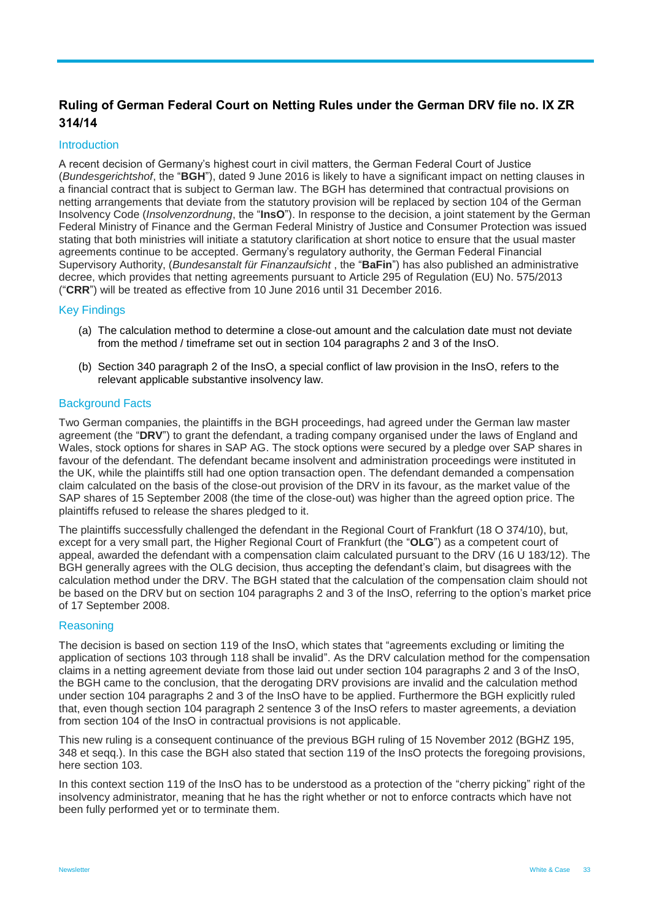## **Ruling of German Federal Court on Netting Rules under the German DRV file no. IX ZR 314/14**

#### **Introduction**

A recent decision of Germany's highest court in civil matters, the German Federal Court of Justice (*Bundesgerichtshof*, the "**BGH**"), dated 9 June 2016 is likely to have a significant impact on netting clauses in a financial contract that is subject to German law. The BGH has determined that contractual provisions on netting arrangements that deviate from the statutory provision will be replaced by section 104 of the German Insolvency Code (*Insolvenzordnung*, the "**InsO**"). In response to the decision, a joint statement by the German Federal Ministry of Finance and the German Federal Ministry of Justice and Consumer Protection was issued stating that both ministries will initiate a statutory clarification at short notice to ensure that the usual master agreements continue to be accepted. Germany's regulatory authority, the German Federal Financial Supervisory Authority, (*Bundesanstalt für Finanzaufsicht* , the "**BaFin**") has also published an administrative decree, which provides that netting agreements pursuant to Article 295 of Regulation (EU) No. 575/2013 ("**CRR**") will be treated as effective from 10 June 2016 until 31 December 2016.

#### Key Findings

- (a) The calculation method to determine a close-out amount and the calculation date must not deviate from the method / timeframe set out in section 104 paragraphs 2 and 3 of the InsO.
- (b) Section 340 paragraph 2 of the InsO, a special conflict of law provision in the InsO, refers to the relevant applicable substantive insolvency law.

#### Background Facts

Two German companies, the plaintiffs in the BGH proceedings, had agreed under the German law master agreement (the "**DRV**") to grant the defendant, a trading company organised under the laws of England and Wales, stock options for shares in SAP AG. The stock options were secured by a pledge over SAP shares in favour of the defendant. The defendant became insolvent and administration proceedings were instituted in the UK, while the plaintiffs still had one option transaction open. The defendant demanded a compensation claim calculated on the basis of the close-out provision of the DRV in its favour, as the market value of the SAP shares of 15 September 2008 (the time of the close-out) was higher than the agreed option price. The plaintiffs refused to release the shares pledged to it.

The plaintiffs successfully challenged the defendant in the Regional Court of Frankfurt (18 O 374/10), but, except for a very small part, the Higher Regional Court of Frankfurt (the "**OLG**") as a competent court of appeal, awarded the defendant with a compensation claim calculated pursuant to the DRV (16 U 183/12). The BGH generally agrees with the OLG decision, thus accepting the defendant's claim, but disagrees with the calculation method under the DRV. The BGH stated that the calculation of the compensation claim should not be based on the DRV but on section 104 paragraphs 2 and 3 of the InsO, referring to the option's market price of 17 September 2008.

#### **Reasoning**

The decision is based on section 119 of the InsO, which states that "agreements excluding or limiting the application of sections 103 through 118 shall be invalid". As the DRV calculation method for the compensation claims in a netting agreement deviate from those laid out under section 104 paragraphs 2 and 3 of the InsO, the BGH came to the conclusion, that the derogating DRV provisions are invalid and the calculation method under section 104 paragraphs 2 and 3 of the InsO have to be applied. Furthermore the BGH explicitly ruled that, even though section 104 paragraph 2 sentence 3 of the InsO refers to master agreements, a deviation from section 104 of the InsO in contractual provisions is not applicable.

This new ruling is a consequent continuance of the previous BGH ruling of 15 November 2012 (BGHZ 195, 348 et seqq.). In this case the BGH also stated that section 119 of the InsO protects the foregoing provisions, here section 103.

In this context section 119 of the InsO has to be understood as a protection of the "cherry picking" right of the insolvency administrator, meaning that he has the right whether or not to enforce contracts which have not been fully performed yet or to terminate them.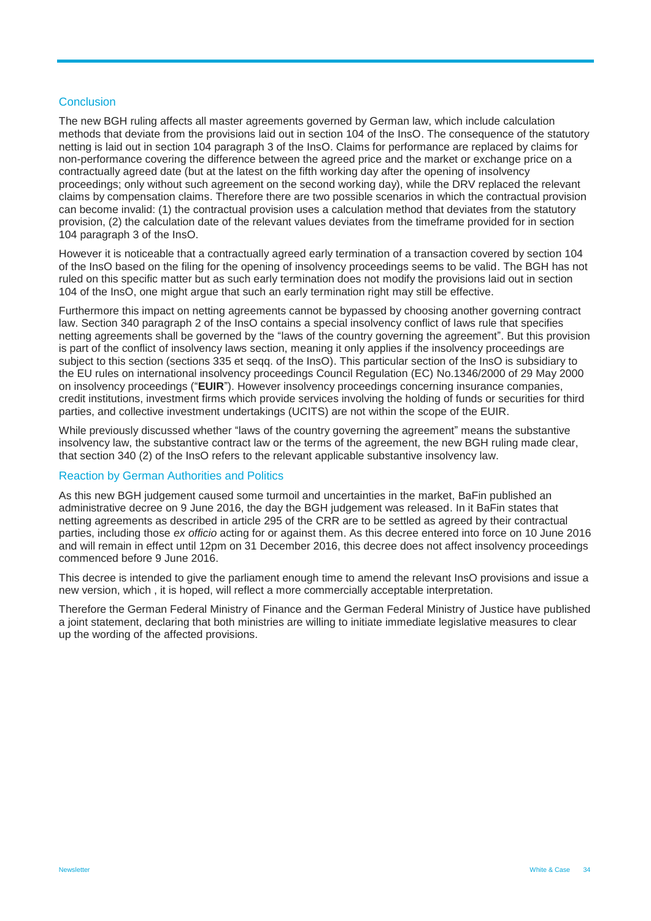#### **Conclusion**

The new BGH ruling affects all master agreements governed by German law, which include calculation methods that deviate from the provisions laid out in section 104 of the InsO. The consequence of the statutory netting is laid out in section 104 paragraph 3 of the InsO. Claims for performance are replaced by claims for non-performance covering the difference between the agreed price and the market or exchange price on a contractually agreed date (but at the latest on the fifth working day after the opening of insolvency proceedings; only without such agreement on the second working day), while the DRV replaced the relevant claims by compensation claims. Therefore there are two possible scenarios in which the contractual provision can become invalid: (1) the contractual provision uses a calculation method that deviates from the statutory provision, (2) the calculation date of the relevant values deviates from the timeframe provided for in section 104 paragraph 3 of the InsO.

However it is noticeable that a contractually agreed early termination of a transaction covered by section 104 of the InsO based on the filing for the opening of insolvency proceedings seems to be valid. The BGH has not ruled on this specific matter but as such early termination does not modify the provisions laid out in section 104 of the InsO, one might argue that such an early termination right may still be effective.

Furthermore this impact on netting agreements cannot be bypassed by choosing another governing contract law. Section 340 paragraph 2 of the InsO contains a special insolvency conflict of laws rule that specifies netting agreements shall be governed by the "laws of the country governing the agreement". But this provision is part of the conflict of insolvency laws section, meaning it only applies if the insolvency proceedings are subject to this section (sections 335 et seqq. of the InsO). This particular section of the InsO is subsidiary to the EU rules on international insolvency proceedings Council Regulation (EC) No.1346/2000 of 29 May 2000 on insolvency proceedings ("**EUIR**"). However insolvency proceedings concerning insurance companies, credit institutions, investment firms which provide services involving the holding of funds or securities for third parties, and collective investment undertakings (UCITS) are not within the scope of the EUIR.

While previously discussed whether "laws of the country governing the agreement" means the substantive insolvency law, the substantive contract law or the terms of the agreement, the new BGH ruling made clear, that section 340 (2) of the InsO refers to the relevant applicable substantive insolvency law.

#### Reaction by German Authorities and Politics

As this new BGH judgement caused some turmoil and uncertainties in the market, BaFin published an administrative decree on 9 June 2016, the day the BGH judgement was released. In it BaFin states that netting agreements as described in article 295 of the CRR are to be settled as agreed by their contractual parties, including those *ex officio* acting for or against them. As this decree entered into force on 10 June 2016 and will remain in effect until 12pm on 31 December 2016, this decree does not affect insolvency proceedings commenced before 9 June 2016.

This decree is intended to give the parliament enough time to amend the relevant InsO provisions and issue a new version, which , it is hoped, will reflect a more commercially acceptable interpretation.

Therefore the German Federal Ministry of Finance and the German Federal Ministry of Justice have published a joint statement, declaring that both ministries are willing to initiate immediate legislative measures to clear up the wording of the affected provisions.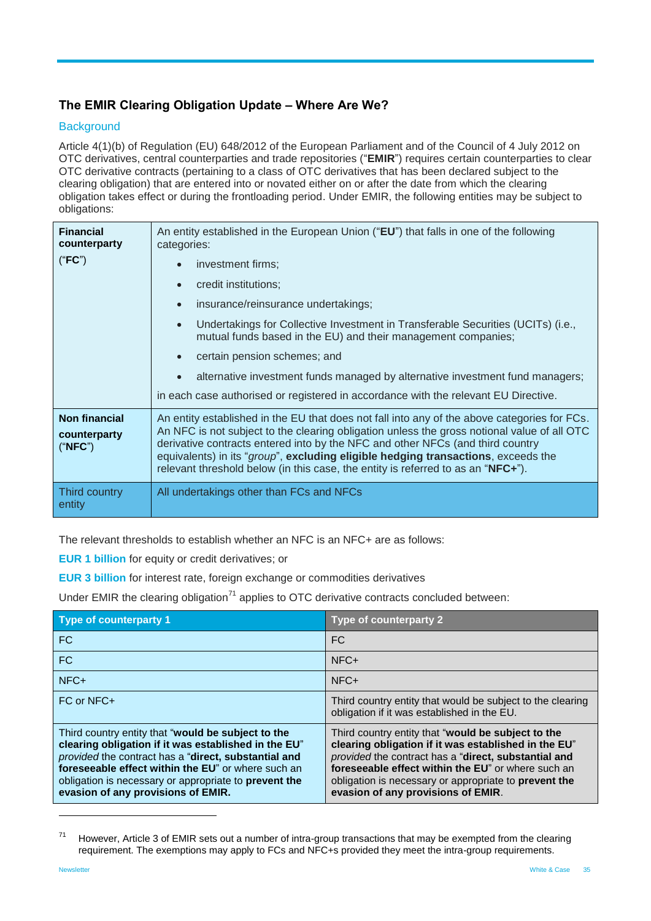## <span id="page-34-0"></span>**The EMIR Clearing Obligation Update – Where Are We?**

#### **Background**

Article 4(1)(b) of Regulation (EU) 648/2012 of the European Parliament and of the Council of 4 July 2012 on OTC derivatives, central counterparties and trade repositories ("**EMIR**") requires certain counterparties to clear OTC derivative contracts (pertaining to a class of OTC derivatives that has been declared subject to the clearing obligation) that are entered into or novated either on or after the date from which the clearing obligation takes effect or during the frontloading period. Under EMIR, the following entities may be subject to obligations:

| <b>Financial</b><br>counterparty<br>("FC")      | An entity established in the European Union ("EU") that falls in one of the following<br>categories:<br>investment firms;<br>$\bullet$<br>credit institutions;<br>$\bullet$<br>insurance/reinsurance undertakings;<br>$\bullet$<br>Undertakings for Collective Investment in Transferable Securities (UCITs) (i.e.,<br>$\bullet$<br>mutual funds based in the EU) and their management companies;<br>certain pension schemes; and<br>$\bullet$<br>alternative investment funds managed by alternative investment fund managers;<br>in each case authorised or registered in accordance with the relevant EU Directive. |  |
|-------------------------------------------------|------------------------------------------------------------------------------------------------------------------------------------------------------------------------------------------------------------------------------------------------------------------------------------------------------------------------------------------------------------------------------------------------------------------------------------------------------------------------------------------------------------------------------------------------------------------------------------------------------------------------|--|
| <b>Non financial</b><br>counterparty<br>("NFC") | An entity established in the EU that does not fall into any of the above categories for FCs.<br>An NFC is not subject to the clearing obligation unless the gross notional value of all OTC<br>derivative contracts entered into by the NFC and other NFCs (and third country<br>equivalents) in its "group", excluding eligible hedging transactions, exceeds the<br>relevant threshold below (in this case, the entity is referred to as an "NFC+").                                                                                                                                                                 |  |
| Third country<br>entity                         | All undertakings other than FCs and NFCs                                                                                                                                                                                                                                                                                                                                                                                                                                                                                                                                                                               |  |

The relevant thresholds to establish whether an NFC is an NFC+ are as follows:

**EUR 1 billion** for equity or credit derivatives; or

**EUR 3 billion** for interest rate, foreign exchange or commodities derivatives

Under EMIR the clearing obligation<sup>71</sup> applies to OTC derivative contracts concluded between:

| Type of counterparty 1                                                                                                                                                                                                                                                                                                  | Type of counterparty 2                                                                                                                                                                                                                                                                                                  |
|-------------------------------------------------------------------------------------------------------------------------------------------------------------------------------------------------------------------------------------------------------------------------------------------------------------------------|-------------------------------------------------------------------------------------------------------------------------------------------------------------------------------------------------------------------------------------------------------------------------------------------------------------------------|
| <b>FC</b>                                                                                                                                                                                                                                                                                                               | FC.                                                                                                                                                                                                                                                                                                                     |
| <b>FC</b>                                                                                                                                                                                                                                                                                                               | $NFC+$                                                                                                                                                                                                                                                                                                                  |
| NFC+                                                                                                                                                                                                                                                                                                                    | $NFC+$                                                                                                                                                                                                                                                                                                                  |
| FC or NFC+                                                                                                                                                                                                                                                                                                              | Third country entity that would be subject to the clearing<br>obligation if it was established in the EU.                                                                                                                                                                                                               |
| Third country entity that "would be subject to the<br>clearing obligation if it was established in the EU"<br>provided the contract has a "direct, substantial and<br>foreseeable effect within the EU" or where such an<br>obligation is necessary or appropriate to prevent the<br>evasion of any provisions of EMIR. | Third country entity that "would be subject to the<br>clearing obligation if it was established in the EU"<br>provided the contract has a "direct, substantial and<br>foreseeable effect within the EU" or where such an<br>obligation is necessary or appropriate to prevent the<br>evasion of any provisions of EMIR. |

 $71$  However, Article 3 of EMIR sets out a number of intra-group transactions that may be exempted from the clearing requirement. The exemptions may apply to FCs and NFC+s provided they meet the intra-group requirements.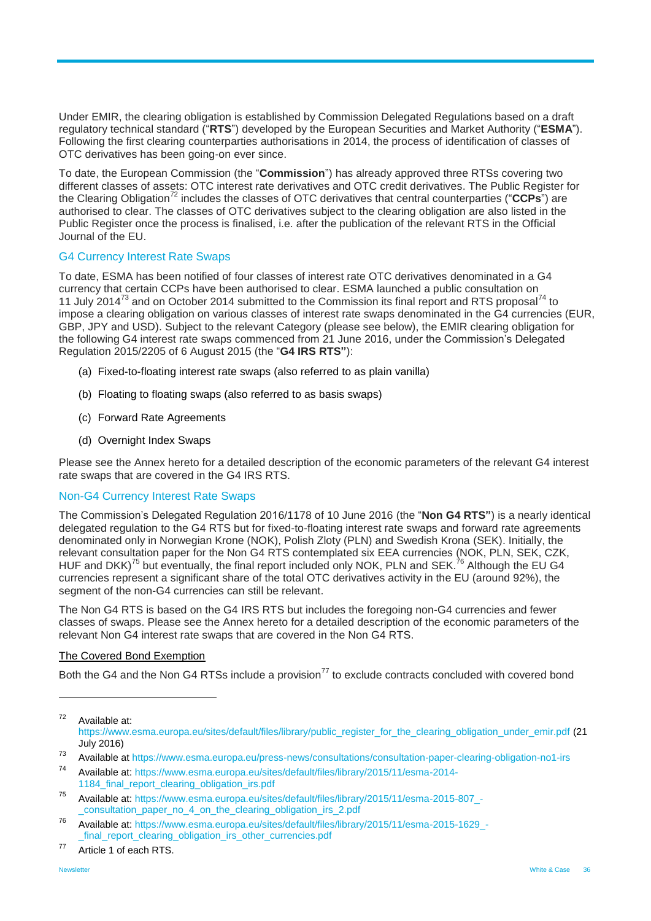Under EMIR, the clearing obligation is established by Commission Delegated Regulations based on a draft regulatory technical standard ("**RTS**") developed by the European Securities and Market Authority ("**ESMA**"). Following the first clearing counterparties authorisations in 2014, the process of identification of classes of OTC derivatives has been going-on ever since.

To date, the European Commission (the "**Commission**") has already approved three RTSs covering two different classes of assets: OTC interest rate derivatives and OTC credit derivatives. The Public Register for the Clearing Obligation<sup>72</sup> includes the classes of OTC derivatives that central counterparties ("CCPs") are authorised to clear. The classes of OTC derivatives subject to the clearing obligation are also listed in the Public Register once the process is finalised, i.e. after the publication of the relevant RTS in the Official Journal of the EU.

#### G4 Currency Interest Rate Swaps

To date, ESMA has been notified of four classes of interest rate OTC derivatives denominated in a G4 currency that certain CCPs have been authorised to clear. ESMA launched a public consultation on 11 July 2014<sup>73</sup> and on October 2014 submitted to the Commission its final report and RTS proposal<sup>74</sup> to impose a clearing obligation on various classes of interest rate swaps denominated in the G4 currencies (EUR, GBP, JPY and USD). Subject to the relevant Category (please see below), the EMIR clearing obligation for the following G4 interest rate swaps commenced from 21 June 2016, under the Commission's Delegated Regulation 2015/2205 of 6 August 2015 (the "**G4 IRS RTS"**):

- (a) Fixed-to-floating interest rate swaps (also referred to as plain vanilla)
- (b) Floating to floating swaps (also referred to as basis swaps)
- (c) Forward Rate Agreements
- (d) Overnight Index Swaps

Please see the Annex hereto for a detailed description of the economic parameters of the relevant G4 interest rate swaps that are covered in the G4 IRS RTS.

#### Non-G4 Currency Interest Rate Swaps

The Commission's Delegated Regulation 2016/1178 of 10 June 2016 (the "**Non G4 RTS"**) is a nearly identical delegated regulation to the G4 RTS but for fixed-to-floating interest rate swaps and forward rate agreements denominated only in Norwegian Krone (NOK), Polish Zloty (PLN) and Swedish Krona (SEK). Initially, the relevant consultation paper for the Non G4 RTS contemplated six EEA currencies (NOK, PLN, SEK, CZK, HUF and DKK)<sup>75</sup> but eventually, the final report included only NOK, PLN and SEK.<sup>76</sup> Although the EU G4 currencies represent a significant share of the total OTC derivatives activity in the EU (around 92%), the segment of the non-G4 currencies can still be relevant.

The Non G4 RTS is based on the G4 IRS RTS but includes the foregoing non-G4 currencies and fewer classes of swaps. Please see the Annex hereto for a detailed description of the economic parameters of the relevant Non G4 interest rate swaps that are covered in the Non G4 RTS.

#### The Covered Bond Exemption

Both the G4 and the Non G4 RTSs include a provision<sup>77</sup> to exclude contracts concluded with covered bond

 $72$  Available at: [https://www.esma.europa.eu/sites/default/files/library/public\\_register\\_for\\_the\\_clearing\\_obligation\\_under\\_emir.pdf](https://www.esma.europa.eu/sites/default/files/library/public_register_for_the_clearing_obligation_under_emir.pdf) (21 July 2016)

<sup>73</sup> Available a[t https://www.esma.europa.eu/press-news/consultations/consultation-paper-clearing-obligation-no1-irs](https://www.esma.europa.eu/press-news/consultations/consultation-paper-clearing-obligation-no1-irs)

<sup>74</sup> Available at: [https://www.esma.europa.eu/sites/default/files/library/2015/11/esma-2014-](https://www.esma.europa.eu/sites/default/files/library/2015/11/esma-2014-1184_final_report_clearing_obligation_irs.pdf) [1184\\_final\\_report\\_clearing\\_obligation\\_irs.pdf](https://www.esma.europa.eu/sites/default/files/library/2015/11/esma-2014-1184_final_report_clearing_obligation_irs.pdf)

<sup>75</sup> Available at: [https://www.esma.europa.eu/sites/default/files/library/2015/11/esma-2015-807\\_-](https://www.esma.europa.eu/sites/default/files/library/2015/11/esma-2015-807_-_consultation_paper_no_4_on_the_clearing_obligation_irs_2.pdf) [\\_consultation\\_paper\\_no\\_4\\_on\\_the\\_clearing\\_obligation\\_irs\\_2.pdf](https://www.esma.europa.eu/sites/default/files/library/2015/11/esma-2015-807_-_consultation_paper_no_4_on_the_clearing_obligation_irs_2.pdf)

<sup>76</sup> Available at: [https://www.esma.europa.eu/sites/default/files/library/2015/11/esma-2015-1629\\_](https://www.esma.europa.eu/sites/default/files/library/2015/11/esma-2015-1629_-_final_report_clearing_obligation_irs_other_currencies.pdf) final\_report\_clearing\_obligation\_irs\_other\_currencies.pdf

<sup>77</sup> Article 1 of each RTS.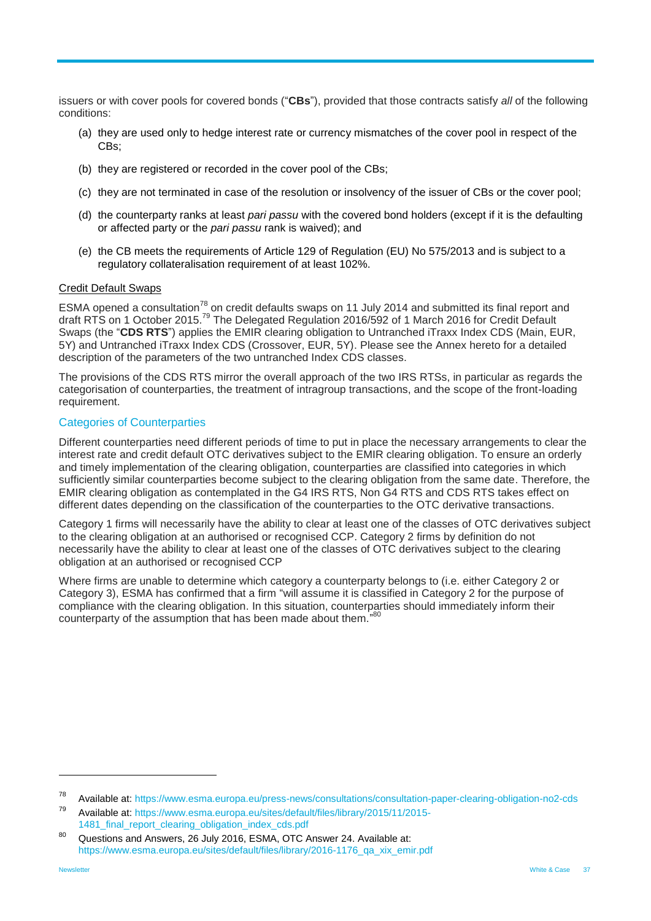issuers or with cover pools for covered bonds ("**CBs**"), provided that those contracts satisfy *all* of the following conditions:

- (a) they are used only to hedge interest rate or currency mismatches of the cover pool in respect of the CBs;
- (b) they are registered or recorded in the cover pool of the CBs;
- (c) they are not terminated in case of the resolution or insolvency of the issuer of CBs or the cover pool;
- (d) the counterparty ranks at least *pari passu* with the covered bond holders (except if it is the defaulting or affected party or the *pari passu* rank is waived); and
- (e) the CB meets the requirements of Article 129 of Regulation (EU) No 575/2013 and is subject to a regulatory collateralisation requirement of at least 102%.

#### Credit Default Swaps

ESMA opened a consultation<sup>78</sup> on credit defaults swaps on 11 July 2014 and submitted its final report and draft RTS on 1 October 2015.<sup>79</sup> The Delegated Regulation 2016/592 of 1 March 2016 for Credit Default Swaps (the "**CDS RTS**") applies the EMIR clearing obligation to Untranched iTraxx Index CDS (Main, EUR, 5Y) and Untranched iTraxx Index CDS (Crossover, EUR, 5Y). Please see the Annex hereto for a detailed description of the parameters of the two untranched Index CDS classes.

The provisions of the CDS RTS mirror the overall approach of the two IRS RTSs, in particular as regards the categorisation of counterparties, the treatment of intragroup transactions, and the scope of the front-loading requirement.

#### Categories of Counterparties

Different counterparties need different periods of time to put in place the necessary arrangements to clear the interest rate and credit default OTC derivatives subject to the EMIR clearing obligation. To ensure an orderly and timely implementation of the clearing obligation, counterparties are classified into categories in which sufficiently similar counterparties become subject to the clearing obligation from the same date. Therefore, the EMIR clearing obligation as contemplated in the G4 IRS RTS, Non G4 RTS and CDS RTS takes effect on different dates depending on the classification of the counterparties to the OTC derivative transactions.

Category 1 firms will necessarily have the ability to clear at least one of the classes of OTC derivatives subject to the clearing obligation at an authorised or recognised CCP. Category 2 firms by definition do not necessarily have the ability to clear at least one of the classes of OTC derivatives subject to the clearing obligation at an authorised or recognised CCP

Where firms are unable to determine which category a counterparty belongs to (i.e. either Category 2 or Category 3), ESMA has confirmed that a firm "will assume it is classified in Category 2 for the purpose of compliance with the clearing obligation. In this situation, counterparties should immediately inform their counterparty of the assumption that has been made about them."80

<sup>78</sup> Available at:<https://www.esma.europa.eu/press-news/consultations/consultation-paper-clearing-obligation-no2-cds>

<sup>79</sup> Available at: [https://www.esma.europa.eu/sites/default/files/library/2015/11/2015-](https://www.esma.europa.eu/sites/default/files/library/2015/11/2015-1481_final_report_clearing_obligation_index_cds.pdf) [1481\\_final\\_report\\_clearing\\_obligation\\_index\\_cds.pdf](https://www.esma.europa.eu/sites/default/files/library/2015/11/2015-1481_final_report_clearing_obligation_index_cds.pdf)

Questions and Answers, 26 July 2016, ESMA, OTC Answer 24. Available at: [https://www.esma.europa.eu/sites/default/files/library/2016-1176\\_qa\\_xix\\_emir.pdf](https://www.esma.europa.eu/sites/default/files/library/2016-1176_qa_xix_emir.pdf)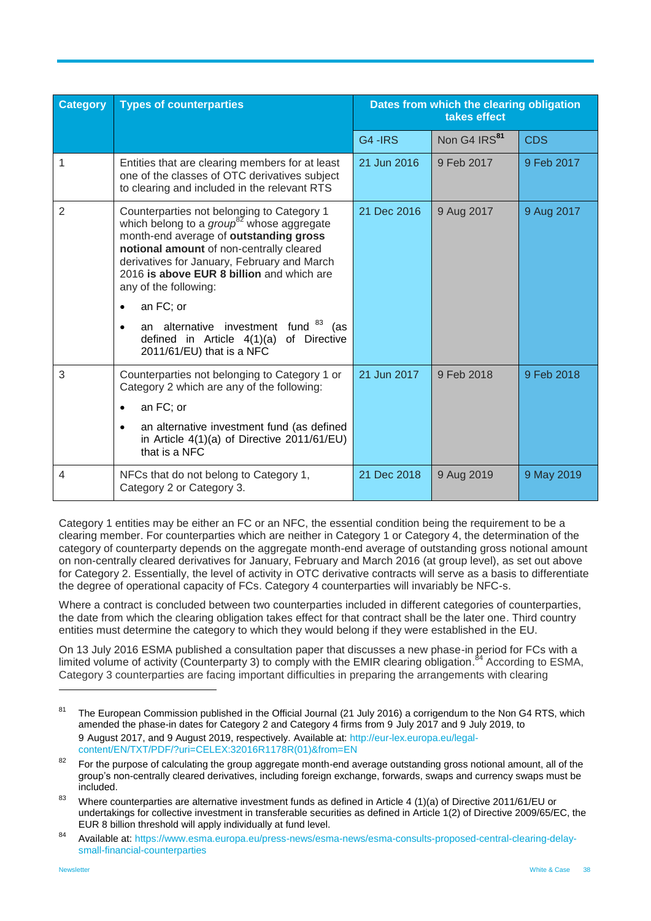| <b>Category</b> | <b>Types of counterparties</b>                                                                                                                                                                                                                                                                                                                                                                                                                        | Dates from which the clearing obligation<br>takes effect |                          |            |
|-----------------|-------------------------------------------------------------------------------------------------------------------------------------------------------------------------------------------------------------------------------------------------------------------------------------------------------------------------------------------------------------------------------------------------------------------------------------------------------|----------------------------------------------------------|--------------------------|------------|
|                 |                                                                                                                                                                                                                                                                                                                                                                                                                                                       | G4-IRS                                                   | Non G4 IRS <sup>81</sup> | <b>CDS</b> |
| 1               | Entities that are clearing members for at least<br>one of the classes of OTC derivatives subject<br>to clearing and included in the relevant RTS                                                                                                                                                                                                                                                                                                      | 21 Jun 2016                                              | 9 Feb 2017               | 9 Feb 2017 |
| $\overline{2}$  | Counterparties not belonging to Category 1<br>which belong to a $group^{82}$ whose aggregate<br>month-end average of outstanding gross<br>notional amount of non-centrally cleared<br>derivatives for January, February and March<br>2016 is above EUR 8 billion and which are<br>any of the following:<br>an FC; or<br>$\bullet$<br>an alternative investment fund 83<br>(as<br>defined in Article 4(1)(a) of Directive<br>2011/61/EU) that is a NFC | 21 Dec 2016                                              | 9 Aug 2017               | 9 Aug 2017 |
| 3               | Counterparties not belonging to Category 1 or<br>Category 2 which are any of the following:<br>an FC; or<br>$\bullet$<br>an alternative investment fund (as defined<br>$\bullet$<br>in Article 4(1)(a) of Directive 2011/61/EU)<br>that is a NFC                                                                                                                                                                                                      | 21 Jun 2017                                              | 9 Feb 2018               | 9 Feb 2018 |
| 4               | NFCs that do not belong to Category 1,<br>Category 2 or Category 3.                                                                                                                                                                                                                                                                                                                                                                                   | 21 Dec 2018                                              | 9 Aug 2019               | 9 May 2019 |

Category 1 entities may be either an FC or an NFC, the essential condition being the requirement to be a clearing member. For counterparties which are neither in Category 1 or Category 4, the determination of the category of counterparty depends on the aggregate month-end average of outstanding gross notional amount on non-centrally cleared derivatives for January, February and March 2016 (at group level), as set out above for Category 2. Essentially, the level of activity in OTC derivative contracts will serve as a basis to differentiate the degree of operational capacity of FCs. Category 4 counterparties will invariably be NFC-s.

Where a contract is concluded between two counterparties included in different categories of counterparties, the date from which the clearing obligation takes effect for that contract shall be the later one. Third country entities must determine the category to which they would belong if they were established in the EU.

On 13 July 2016 ESMA published a consultation paper that discusses a new phase-in period for FCs with a limited volume of activity (Counterparty 3) to comply with the EMIR clearing obligation.<sup>84</sup> According to ESMA, Category 3 counterparties are facing important difficulties in preparing the arrangements with clearing

<sup>&</sup>lt;sup>81</sup> The European Commission published in the Official Journal (21 July 2016) a corrigendum to the Non G4 RTS, which amended the phase-in dates for Category 2 and Category 4 firms from 9 July 2017 and 9 July 2019, to 9 August 2017, and 9 August 2019, respectively. Available at: [http://eur-lex.europa.eu/legal](http://eur-lex.europa.eu/legal-content/EN/TXT/PDF/?uri=CELEX:32016R1178R(01)&from=EN)[content/EN/TXT/PDF/?uri=CELEX:32016R1178R\(01\)&from=EN](http://eur-lex.europa.eu/legal-content/EN/TXT/PDF/?uri=CELEX:32016R1178R(01)&from=EN)

 $82$  For the purpose of calculating the group aggregate month-end average outstanding gross notional amount, all of the group's non-centrally cleared derivatives, including foreign exchange, forwards, swaps and currency swaps must be included.

<sup>83</sup> Where counterparties are alternative investment funds as defined in Article 4 (1)(a) of Directive 2011/61/EU or undertakings for collective investment in transferable securities as defined in Article 1(2) of Directive 2009/65/EC, the EUR 8 billion threshold will apply individually at fund level.

<sup>84</sup> Available at: [https://www.esma.europa.eu/press-news/esma-news/esma-consults-proposed-central-clearing-delay](https://www.esma.europa.eu/press-news/esma-news/esma-consults-proposed-central-clearing-delay-small-financial-counterparties)[small-financial-counterparties](https://www.esma.europa.eu/press-news/esma-news/esma-consults-proposed-central-clearing-delay-small-financial-counterparties)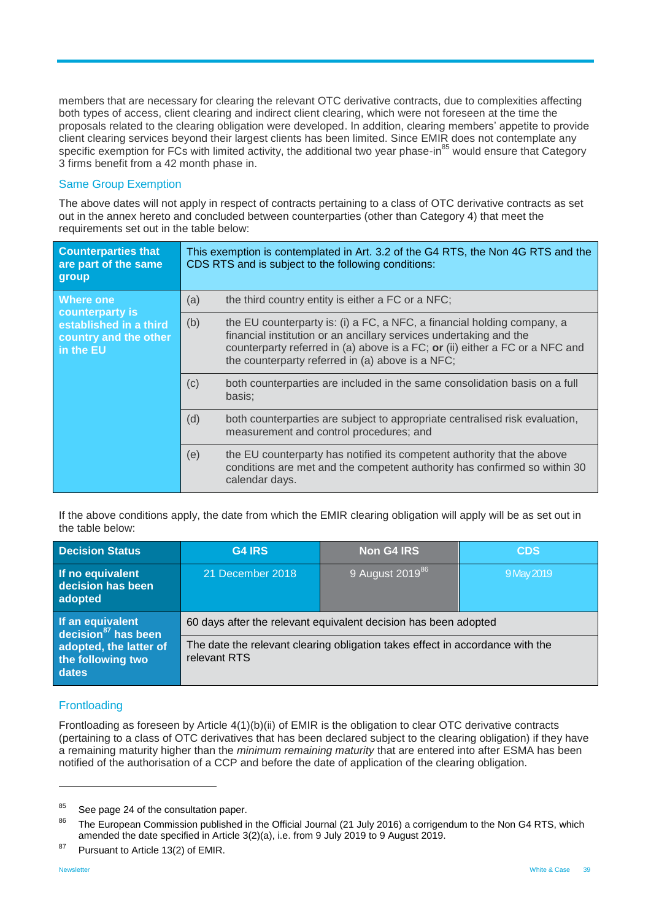members that are necessary for clearing the relevant OTC derivative contracts, due to complexities affecting both types of access, client clearing and indirect client clearing, which were not foreseen at the time the proposals related to the clearing obligation were developed. In addition, clearing members' appetite to provide client clearing services beyond their largest clients has been limited. Since EMIR does not contemplate any specific exemption for FCs with limited activity, the additional two year phase-in<sup>85</sup> would ensure that Category 3 firms benefit from a 42 month phase in.

#### Same Group Exemption

The above dates will not apply in respect of contracts pertaining to a class of OTC derivative contracts as set out in the annex hereto and concluded between counterparties (other than Category 4) that meet the requirements set out in the table below:

| <b>Counterparties that</b><br>are part of the same<br>group  | This exemption is contemplated in Art. 3.2 of the G4 RTS, the Non 4G RTS and the<br>CDS RTS and is subject to the following conditions: |                                                                                                                                                                                                                                                                                   |  |
|--------------------------------------------------------------|-----------------------------------------------------------------------------------------------------------------------------------------|-----------------------------------------------------------------------------------------------------------------------------------------------------------------------------------------------------------------------------------------------------------------------------------|--|
| <b>Where one</b><br>counterparty is                          | (a)                                                                                                                                     | the third country entity is either a FC or a NFC;                                                                                                                                                                                                                                 |  |
| established in a third<br>country and the other<br>in the EU | (b)                                                                                                                                     | the EU counterparty is: (i) a FC, a NFC, a financial holding company, a<br>financial institution or an ancillary services undertaking and the<br>counterparty referred in (a) above is a FC; or (ii) either a FC or a NFC and<br>the counterparty referred in (a) above is a NFC; |  |
|                                                              | (c)                                                                                                                                     | both counterparties are included in the same consolidation basis on a full<br>basis:                                                                                                                                                                                              |  |
|                                                              | (d)                                                                                                                                     | both counterparties are subject to appropriate centralised risk evaluation,<br>measurement and control procedures; and                                                                                                                                                            |  |
|                                                              | (e)                                                                                                                                     | the EU counterparty has notified its competent authority that the above<br>conditions are met and the competent authority has confirmed so within 30<br>calendar days.                                                                                                            |  |

If the above conditions apply, the date from which the EMIR clearing obligation will apply will be as set out in the table below:

| <b>Decision Status</b>                               | <b>G4 IRS</b>                                                                                 | <b>Non G4 IRS</b>           | <b>CDS</b> |  |  |
|------------------------------------------------------|-----------------------------------------------------------------------------------------------|-----------------------------|------------|--|--|
| If no equivalent<br>decision has been<br>adopted     | 21 December 2018                                                                              | 9 August 2019 <sup>86</sup> | 9 May 2019 |  |  |
| If an equivalent<br>decision $^{87}$ has been        | 60 days after the relevant equivalent decision has been adopted                               |                             |            |  |  |
| adopted, the latter of<br>the following two<br>dates | The date the relevant clearing obligation takes effect in accordance with the<br>relevant RTS |                             |            |  |  |

## **Frontloading**

Frontloading as foreseen by Article 4(1)(b)(ii) of EMIR is the obligation to clear OTC derivative contracts (pertaining to a class of OTC derivatives that has been declared subject to the clearing obligation) if they have a remaining maturity higher than the *minimum remaining maturity* that are entered into after ESMA has been notified of the authorisation of a CCP and before the date of application of the clearing obligation.

<sup>&</sup>lt;sup>85</sup> See page 24 of the consultation paper.

<sup>&</sup>lt;sup>86</sup> The European Commission published in the Official Journal (21 July 2016) a corrigendum to the Non G4 RTS, which amended the date specified in Article 3(2)(a), i.e. from 9 July 2019 to 9 August 2019.

<sup>&</sup>lt;sup>87</sup> Pursuant to Article 13(2) of EMIR.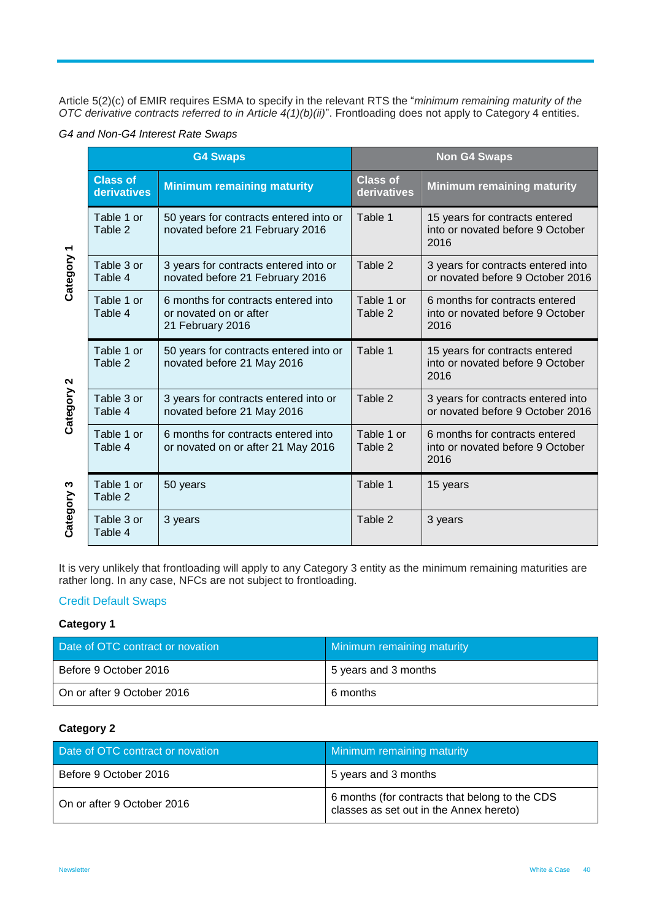Article 5(2)(c) of EMIR requires ESMA to specify in the relevant RTS the "*minimum remaining maturity of the OTC derivative contracts referred to in Article 4(1)(b)(ii)*". Frontloading does not apply to Category 4 entities.

| G4 and Non-G4 Interest Rate Swaps |  |  |  |
|-----------------------------------|--|--|--|
|-----------------------------------|--|--|--|

|            |                                | <b>G4 Swaps</b>                                                                   | <b>Non G4 Swaps</b>            |                                                                            |  |
|------------|--------------------------------|-----------------------------------------------------------------------------------|--------------------------------|----------------------------------------------------------------------------|--|
|            | <b>Class of</b><br>derivatives | <b>Minimum remaining maturity</b>                                                 | <b>Class of</b><br>derivatives | <b>Minimum remaining maturity</b>                                          |  |
|            | Table 1 or<br>Table 2          | 50 years for contracts entered into or<br>novated before 21 February 2016         | Table 1                        | 15 years for contracts entered<br>into or novated before 9 October<br>2016 |  |
| Category 1 | Table 3 or<br>Table 4          | 3 years for contracts entered into or<br>novated before 21 February 2016          | Table 2                        | 3 years for contracts entered into<br>or novated before 9 October 2016     |  |
|            | Table 1 or<br>Table 4          | 6 months for contracts entered into<br>or novated on or after<br>21 February 2016 | Table 1 or<br>Table 2          | 6 months for contracts entered<br>into or novated before 9 October<br>2016 |  |
|            | Table 1 or<br>Table 2          | 50 years for contracts entered into or<br>novated before 21 May 2016              | Table 1                        | 15 years for contracts entered<br>into or novated before 9 October<br>2016 |  |
| Category 2 | Table 3 or<br>Table 4          | 3 years for contracts entered into or<br>novated before 21 May 2016               | Table 2                        | 3 years for contracts entered into<br>or novated before 9 October 2016     |  |
|            | Table 1 or<br>Table 4          | 6 months for contracts entered into<br>or novated on or after 21 May 2016         | Table 1 or<br>Table 2          | 6 months for contracts entered<br>into or novated before 9 October<br>2016 |  |
| ო          | Table 1 or<br>Table 2          | 50 years                                                                          | Table 1                        | 15 years                                                                   |  |
| Category   | Table 3 or<br>Table 4          | 3 years                                                                           | Table 2                        | 3 years                                                                    |  |

It is very unlikely that frontloading will apply to any Category 3 entity as the minimum remaining maturities are rather long. In any case, NFCs are not subject to frontloading.

#### Credit Default Swaps

#### **Category 1**

| Date of OTC contract or novation | <b>Minimum remaining maturity</b> |
|----------------------------------|-----------------------------------|
| Before 9 October 2016            | 5 years and 3 months              |
| On or after 9 October 2016       | 6 months                          |

#### **Category 2**

| Date of OTC contract or novation | <b>Minimum remaining maturity</b>                                                         |  |
|----------------------------------|-------------------------------------------------------------------------------------------|--|
| Before 9 October 2016            | 5 years and 3 months                                                                      |  |
| On or after 9 October 2016       | 6 months (for contracts that belong to the CDS<br>classes as set out in the Annex hereto) |  |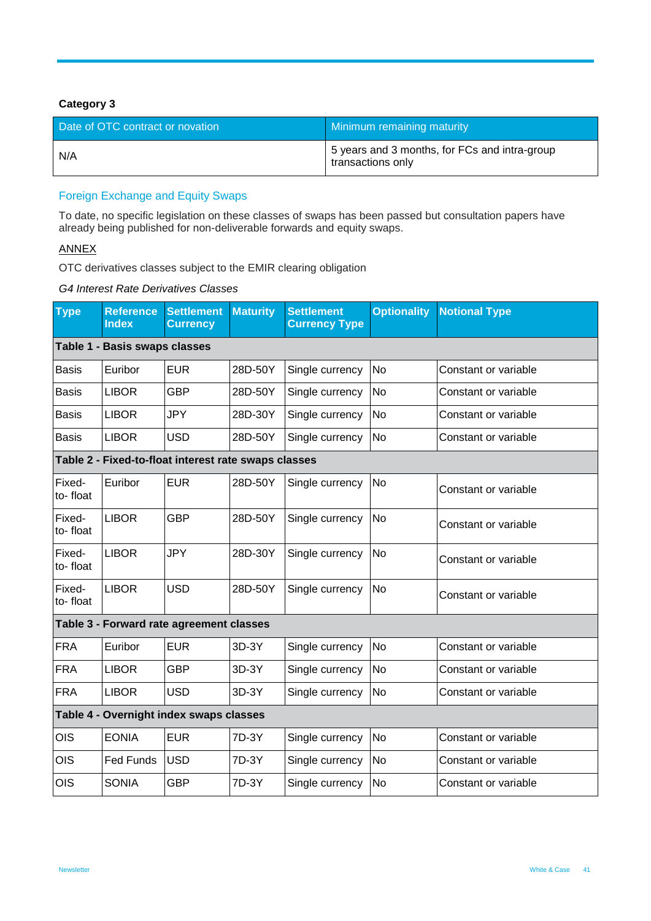## **Category 3**

| Date of OTC contract or novation | Minimum remaining maturity                                         |
|----------------------------------|--------------------------------------------------------------------|
| N/A                              | 5 years and 3 months, for FCs and intra-group<br>transactions only |

## Foreign Exchange and Equity Swaps

To date, no specific legislation on these classes of swaps has been passed but consultation papers have already being published for non-deliverable forwards and equity swaps.

#### **ANNEX**

OTC derivatives classes subject to the EMIR clearing obligation

#### *G4 Interest Rate Derivatives Classes*

| <b>Type</b>                   | <b>Reference</b><br><b>Index</b>        | <b>Settlement</b><br><b>Currency</b>                 | <b>Maturity</b> | <b>Settlement</b><br><b>Currency Type</b> | <b>Optionality</b> | <b>Notional Type</b> |
|-------------------------------|-----------------------------------------|------------------------------------------------------|-----------------|-------------------------------------------|--------------------|----------------------|
| Table 1 - Basis swaps classes |                                         |                                                      |                 |                                           |                    |                      |
| <b>Basis</b>                  | Euribor                                 | <b>EUR</b>                                           | 28D-50Y         | Single currency                           | <b>No</b>          | Constant or variable |
| <b>Basis</b>                  | <b>LIBOR</b>                            | <b>GBP</b>                                           | 28D-50Y         | Single currency                           | No                 | Constant or variable |
| <b>Basis</b>                  | <b>LIBOR</b>                            | <b>JPY</b>                                           | 28D-30Y         | Single currency                           | No                 | Constant or variable |
| <b>Basis</b>                  | <b>LIBOR</b>                            | <b>USD</b>                                           | 28D-50Y         | Single currency                           | No                 | Constant or variable |
|                               |                                         | Table 2 - Fixed-to-float interest rate swaps classes |                 |                                           |                    |                      |
| Fixed-<br>to-float            | Euribor                                 | <b>EUR</b>                                           | 28D-50Y         | Single currency                           | No                 | Constant or variable |
| Fixed-<br>to-float            | <b>LIBOR</b>                            | <b>GBP</b>                                           | 28D-50Y         | Single currency                           | No                 | Constant or variable |
| Fixed-<br>to-float            | <b>LIBOR</b>                            | <b>JPY</b>                                           | 28D-30Y         | Single currency                           | <b>No</b>          | Constant or variable |
| Fixed-<br>to-float            | <b>LIBOR</b>                            | <b>USD</b>                                           | 28D-50Y         | Single currency                           | No                 | Constant or variable |
|                               |                                         | Table 3 - Forward rate agreement classes             |                 |                                           |                    |                      |
| <b>FRA</b>                    | Euribor                                 | <b>EUR</b>                                           | 3D-3Y           | Single currency                           | <b>No</b>          | Constant or variable |
| <b>FRA</b>                    | <b>LIBOR</b>                            | <b>GBP</b>                                           | 3D-3Y           | Single currency                           | No                 | Constant or variable |
| <b>FRA</b>                    | <b>LIBOR</b>                            | <b>USD</b>                                           | 3D-3Y           | Single currency                           | <b>No</b>          | Constant or variable |
|                               | Table 4 - Overnight index swaps classes |                                                      |                 |                                           |                    |                      |
| <b>OIS</b>                    | <b>EONIA</b>                            | <b>EUR</b>                                           | 7D-3Y           | Single currency                           | No                 | Constant or variable |
| OIS                           | <b>Fed Funds</b>                        | <b>USD</b>                                           | 7D-3Y           | Single currency                           | No                 | Constant or variable |
| <b>OIS</b>                    | <b>SONIA</b>                            | <b>GBP</b>                                           | 7D-3Y           | Single currency                           | <b>No</b>          | Constant or variable |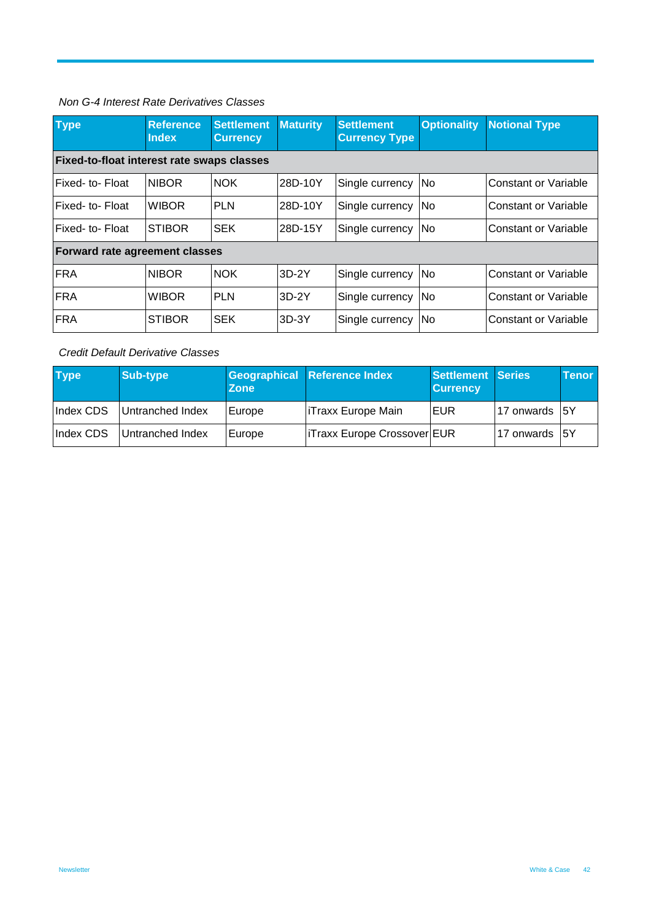#### *Non G-4 Interest Rate Derivatives Classes*

| <b>Type</b>                                       | <b>Reference</b><br><b>Index</b> | <b>Settlement</b><br><b>Currency</b> | <b>Maturity</b> | <b>Settlement</b><br><b>Currency Type</b> | <b>Optionality</b> | <b>Notional Type</b>        |
|---------------------------------------------------|----------------------------------|--------------------------------------|-----------------|-------------------------------------------|--------------------|-----------------------------|
| <b>Fixed-to-float interest rate swaps classes</b> |                                  |                                      |                 |                                           |                    |                             |
| Fixed-to-Float                                    | <b>NIBOR</b>                     | <b>NOK</b>                           | 28D-10Y         | Single currency                           | <b>No</b>          | Constant or Variable        |
| Fixed-to-Float                                    | <b>WIBOR</b>                     | <b>PLN</b>                           | 28D-10Y         | Single currency                           | <b>No</b>          | <b>Constant or Variable</b> |
| Fixed-to-Float                                    | <b>STIBOR</b>                    | <b>SEK</b>                           | 28D-15Y         | Single currency                           | lNo.               | Constant or Variable        |
| <b>Forward rate agreement classes</b>             |                                  |                                      |                 |                                           |                    |                             |
| <b>FRA</b>                                        | <b>NIBOR</b>                     | <b>NOK</b>                           | $3D-2Y$         | Single currency                           | No                 | <b>Constant or Variable</b> |
| <b>FRA</b>                                        | <b>WIBOR</b>                     | <b>PLN</b>                           | $3D-2Y$         | Single currency                           | <b>No</b>          | Constant or Variable        |
| <b>FRA</b>                                        | <b>STIBOR</b>                    | <b>SEK</b>                           | $3D-3Y$         | Single currency                           | <b>No</b>          | Constant or Variable        |

## *Credit Default Derivative Classes*

| <b>Type</b> | <b>Sub-type</b>  | Zone   | Geographical Reference Index       | <b>Settlement Series</b><br><b>Currency</b> |                | <b>Tenor</b> |
|-------------|------------------|--------|------------------------------------|---------------------------------------------|----------------|--------------|
| Index CDS   | Untranched Index | Europe | <b>ITraxx Europe Main</b>          | EUR                                         | 17 onwards 15Y |              |
| Index CDS   | Untranched Index | Europe | <b>ITraxx Europe Crossover EUR</b> |                                             | 17 onwards 5Y  |              |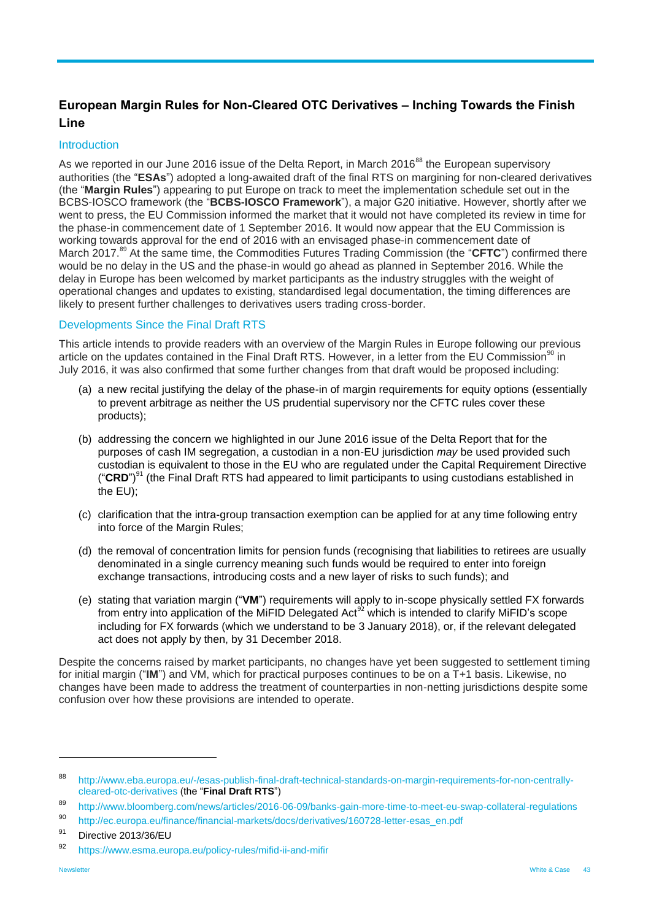## <span id="page-42-0"></span>**European Margin Rules for Non-Cleared OTC Derivatives – Inching Towards the Finish Line**

#### **Introduction**

As we reported in our June 2016 issue of the Delta Report, in March 2016<sup>88</sup> the European supervisory authorities (the "**ESAs**") adopted a long-awaited draft of the final RTS on margining for non-cleared derivatives (the "**Margin Rules**") appearing to put Europe on track to meet the implementation schedule set out in the BCBS-IOSCO framework (the "**BCBS-IOSCO Framework**"), a major G20 initiative. However, shortly after we went to press, the EU Commission informed the market that it would not have completed its review in time for the phase-in commencement date of 1 September 2016. It would now appear that the EU Commission is working towards approval for the end of 2016 with an envisaged phase-in commencement date of March 2017. <sup>89</sup> At the same time, the Commodities Futures Trading Commission (the "**CFTC**") confirmed there would be no delay in the US and the phase-in would go ahead as planned in September 2016. While the delay in Europe has been welcomed by market participants as the industry struggles with the weight of operational changes and updates to existing, standardised legal documentation, the timing differences are likely to present further challenges to derivatives users trading cross-border.

#### Developments Since the Final Draft RTS

This article intends to provide readers with an overview of the Margin Rules in Europe following our previous article on the updates contained in the Final Draft RTS. However, in a letter from the EU Commission<sup>90</sup> in July 2016, it was also confirmed that some further changes from that draft would be proposed including:

- (a) a new recital justifying the delay of the phase-in of margin requirements for equity options (essentially to prevent arbitrage as neither the US prudential supervisory nor the CFTC rules cover these products);
- (b) addressing the concern we highlighted in our June 2016 issue of the Delta Report that for the purposes of cash IM segregation, a custodian in a non-EU jurisdiction *may* be used provided such custodian is equivalent to those in the EU who are regulated under the Capital Requirement Directive ("CRD")<sup>91</sup> (the Final Draft RTS had appeared to limit participants to using custodians established in the EU);
- (c) clarification that the intra-group transaction exemption can be applied for at any time following entry into force of the Margin Rules;
- (d) the removal of concentration limits for pension funds (recognising that liabilities to retirees are usually denominated in a single currency meaning such funds would be required to enter into foreign exchange transactions, introducing costs and a new layer of risks to such funds); and
- (e) stating that variation margin ("**VM**") requirements will apply to in-scope physically settled FX forwards from entry into application of the MiFID Delegated Act<sup>92</sup> which is intended to clarify MiFID's scope including for FX forwards (which we understand to be 3 January 2018), or, if the relevant delegated act does not apply by then, by 31 December 2018.

Despite the concerns raised by market participants, no changes have yet been suggested to settlement timing for initial margin ("**IM**") and VM, which for practical purposes continues to be on a T+1 basis. Likewise, no changes have been made to address the treatment of counterparties in non-netting jurisdictions despite some confusion over how these provisions are intended to operate.

<sup>88</sup> [http://www.eba.europa.eu/-/esas-publish-final-draft-technical-standards-on-margin-requirements-for-non-centrally](http://www.eba.europa.eu/-/esas-publish-final-draft-technical-standards-on-margin-requirements-for-non-centrally-cleared-otc-derivatives)[cleared-otc-derivatives](http://www.eba.europa.eu/-/esas-publish-final-draft-technical-standards-on-margin-requirements-for-non-centrally-cleared-otc-derivatives) (the "**Final Draft RTS**")

<sup>89</sup> <http://www.bloomberg.com/news/articles/2016-06-09/banks-gain-more-time-to-meet-eu-swap-collateral-regulations>

<sup>90</sup> [http://ec.europa.eu/finance/financial-markets/docs/derivatives/160728-letter-esas\\_en.pdf](http://ec.europa.eu/finance/financial-markets/docs/derivatives/160728-letter-esas_en.pdf)

<sup>&</sup>lt;sup>91</sup> Directive 2013/36/EU

<sup>92</sup> <https://www.esma.europa.eu/policy-rules/mifid-ii-and-mifir>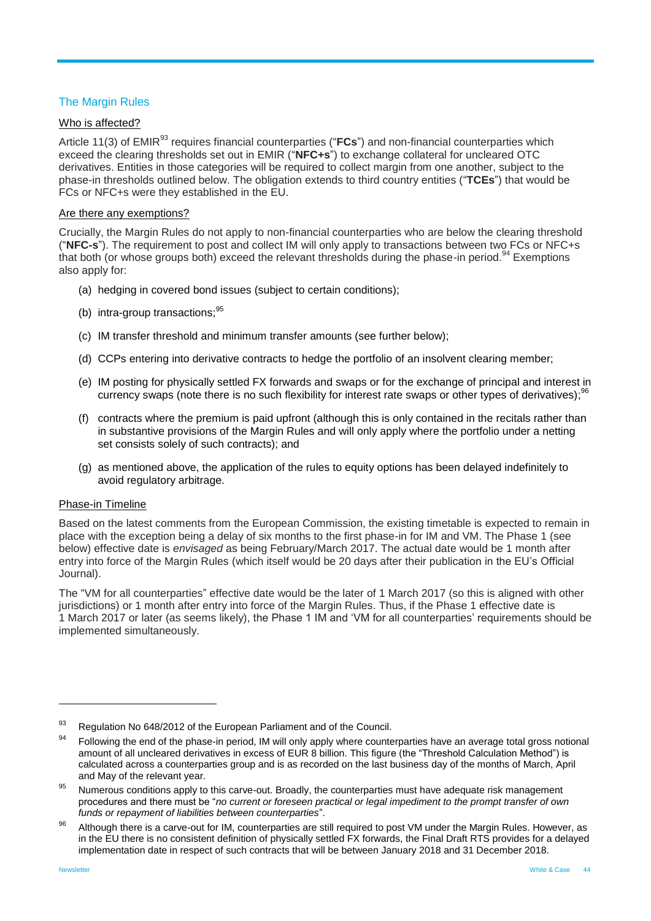## The Margin Rules

#### Who is affected?

Article 11(3) of EMIR<sup>93</sup> requires financial counterparties ("FCs") and non-financial counterparties which exceed the clearing thresholds set out in EMIR ("**NFC+s**") to exchange collateral for uncleared OTC derivatives. Entities in those categories will be required to collect margin from one another, subject to the phase-in thresholds outlined below. The obligation extends to third country entities ("**TCEs**") that would be FCs or NFC+s were they established in the EU.

#### Are there any exemptions?

Crucially, the Margin Rules do not apply to non-financial counterparties who are below the clearing threshold ("**NFC-s**"). The requirement to post and collect IM will only apply to transactions between two FCs or NFC+s that both (or whose groups both) exceed the relevant thresholds during the phase-in period.<sup>94</sup> Exemptions also apply for:

- (a) hedging in covered bond issues (subject to certain conditions);
- (b) intra-group transactions;<sup>95</sup>
- (c) IM transfer threshold and minimum transfer amounts (see further below);
- (d) CCPs entering into derivative contracts to hedge the portfolio of an insolvent clearing member;
- (e) IM posting for physically settled FX forwards and swaps or for the exchange of principal and interest in currency swaps (note there is no such flexibility for interest rate swaps or other types of derivatives);<sup>96</sup>
- (f) contracts where the premium is paid upfront (although this is only contained in the recitals rather than in substantive provisions of the Margin Rules and will only apply where the portfolio under a netting set consists solely of such contracts); and
- (g) as mentioned above, the application of the rules to equity options has been delayed indefinitely to avoid regulatory arbitrage.

#### Phase-in Timeline

Based on the latest comments from the European Commission, the existing timetable is expected to remain in place with the exception being a delay of six months to the first phase-in for IM and VM. The Phase 1 (see below) effective date is *envisaged* as being February/March 2017. The actual date would be 1 month after entry into force of the Margin Rules (which itself would be 20 days after their publication in the EU's Official Journal).

The "VM for all counterparties" effective date would be the later of 1 March 2017 (so this is aligned with other jurisdictions) or 1 month after entry into force of the Margin Rules. Thus, if the Phase 1 effective date is 1 March 2017 or later (as seems likely), the Phase 1 IM and 'VM for all counterparties' requirements should be implemented simultaneously.

<sup>93</sup> Regulation No 648/2012 of the European Parliament and of the Council.

<sup>&</sup>lt;sup>94</sup> Following the end of the phase-in period, IM will only apply where counterparties have an average total gross notional amount of all uncleared derivatives in excess of EUR 8 billion. This figure (the "Threshold Calculation Method") is calculated across a counterparties group and is as recorded on the last business day of the months of March, April and May of the relevant year.

<sup>&</sup>lt;sup>95</sup> Numerous conditions apply to this carve-out. Broadly, the counterparties must have adequate risk management procedures and there must be "*no current or foreseen practical or legal impediment to the prompt transfer of own funds or repayment of liabilities between counterparties*".

<sup>96</sup> Although there is a carve-out for IM, counterparties are still required to post VM under the Margin Rules. However, as in the EU there is no consistent definition of physically settled FX forwards, the Final Draft RTS provides for a delayed implementation date in respect of such contracts that will be between January 2018 and 31 December 2018.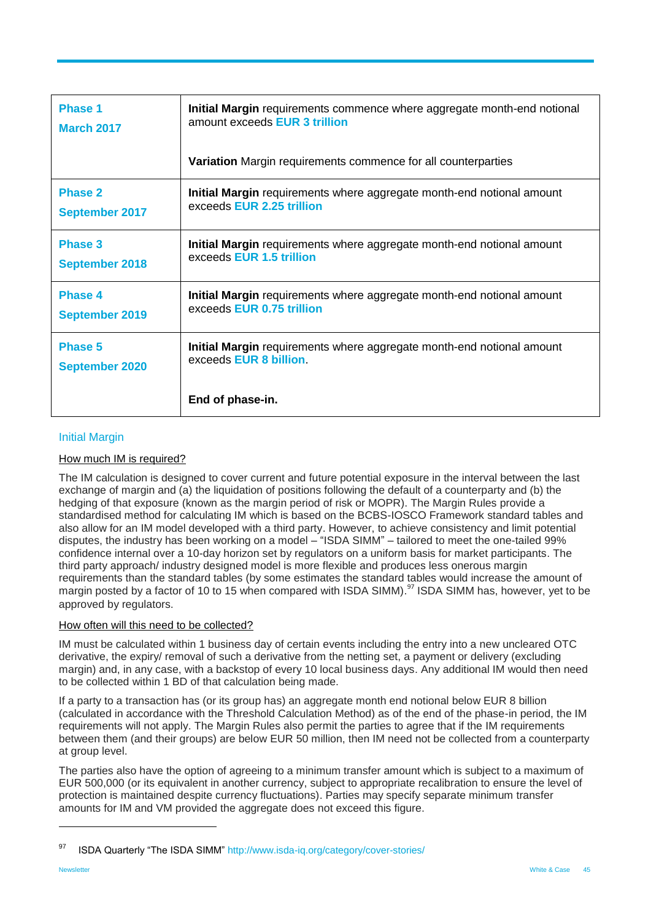| <b>Phase 1</b>        | Initial Margin requirements commence where aggregate month-end notional |
|-----------------------|-------------------------------------------------------------------------|
| <b>March 2017</b>     | amount exceeds EUR 3 trillion                                           |
|                       | <b>Variation</b> Margin requirements commence for all counterparties    |
| <b>Phase 2</b>        | Initial Margin requirements where aggregate month-end notional amount   |
| <b>September 2017</b> | exceeds EUR 2.25 trillion                                               |
| <b>Phase 3</b>        | Initial Margin requirements where aggregate month-end notional amount   |
| <b>September 2018</b> | exceeds EUR 1.5 trillion                                                |
| <b>Phase 4</b>        | Initial Margin requirements where aggregate month-end notional amount   |
| <b>September 2019</b> | exceeds EUR 0.75 trillion                                               |
| <b>Phase 5</b>        | Initial Margin requirements where aggregate month-end notional amount   |
| <b>September 2020</b> | exceeds <b>EUR 8 billion</b>                                            |
|                       | End of phase-in.                                                        |

## Initial Margin

#### How much IM is required?

The IM calculation is designed to cover current and future potential exposure in the interval between the last exchange of margin and (a) the liquidation of positions following the default of a counterparty and (b) the hedging of that exposure (known as the margin period of risk or MOPR). The Margin Rules provide a standardised method for calculating IM which is based on the BCBS-IOSCO Framework standard tables and also allow for an IM model developed with a third party. However, to achieve consistency and limit potential disputes, the industry has been working on a model – "ISDA SIMM" – tailored to meet the one-tailed 99% confidence internal over a 10-day horizon set by regulators on a uniform basis for market participants. The third party approach/ industry designed model is more flexible and produces less onerous margin requirements than the standard tables (by some estimates the standard tables would increase the amount of margin posted by a factor of 10 to 15 when compared with ISDA SIMM).<sup>97</sup> ISDA SIMM has, however, yet to be approved by regulators.

#### How often will this need to be collected?

IM must be calculated within 1 business day of certain events including the entry into a new uncleared OTC derivative, the expiry/ removal of such a derivative from the netting set, a payment or delivery (excluding margin) and, in any case, with a backstop of every 10 local business days. Any additional IM would then need to be collected within 1 BD of that calculation being made.

If a party to a transaction has (or its group has) an aggregate month end notional below EUR 8 billion (calculated in accordance with the Threshold Calculation Method) as of the end of the phase-in period, the IM requirements will not apply. The Margin Rules also permit the parties to agree that if the IM requirements between them (and their groups) are below EUR 50 million, then IM need not be collected from a counterparty at group level.

The parties also have the option of agreeing to a minimum transfer amount which is subject to a maximum of EUR 500,000 (or its equivalent in another currency, subject to appropriate recalibration to ensure the level of protection is maintained despite currency fluctuations). Parties may specify separate minimum transfer amounts for IM and VM provided the aggregate does not exceed this figure.

<sup>97</sup> ISDA Quarterly "The ISDA SIMM"<http://www.isda-iq.org/category/cover-stories/>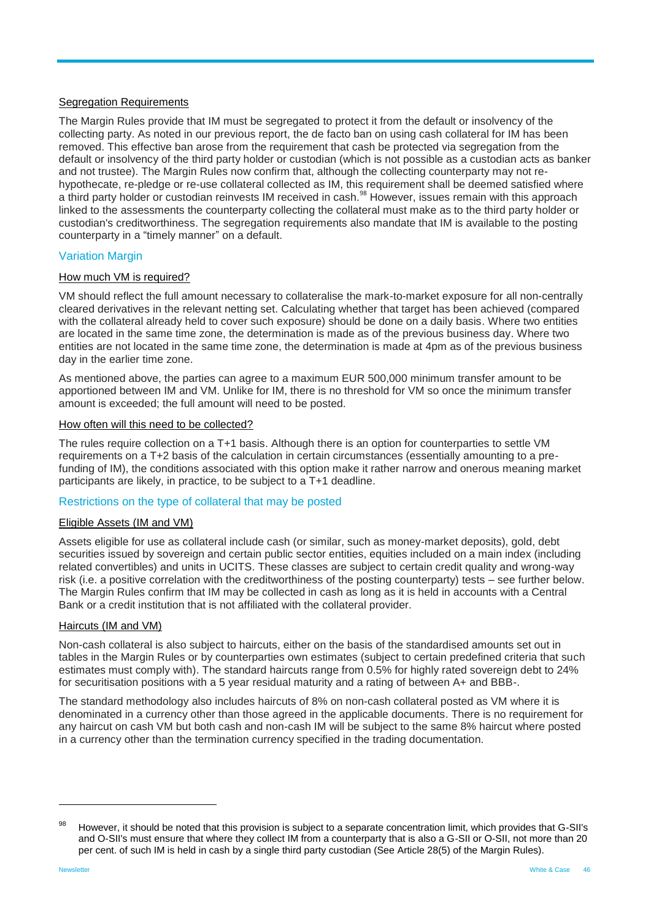#### Segregation Requirements

The Margin Rules provide that IM must be segregated to protect it from the default or insolvency of the collecting party. As noted in our previous report, the de facto ban on using cash collateral for IM has been removed. This effective ban arose from the requirement that cash be protected via segregation from the default or insolvency of the third party holder or custodian (which is not possible as a custodian acts as banker and not trustee). The Margin Rules now confirm that, although the collecting counterparty may not rehypothecate, re-pledge or re-use collateral collected as IM, this requirement shall be deemed satisfied where a third party holder or custodian reinvests IM received in cash.<sup>98</sup> However, issues remain with this approach linked to the assessments the counterparty collecting the collateral must make as to the third party holder or custodian's creditworthiness. The segregation requirements also mandate that IM is available to the posting counterparty in a "timely manner" on a default.

#### Variation Margin

#### How much VM is required?

VM should reflect the full amount necessary to collateralise the mark-to-market exposure for all non-centrally cleared derivatives in the relevant netting set. Calculating whether that target has been achieved (compared with the collateral already held to cover such exposure) should be done on a daily basis. Where two entities are located in the same time zone, the determination is made as of the previous business day. Where two entities are not located in the same time zone, the determination is made at 4pm as of the previous business day in the earlier time zone.

As mentioned above, the parties can agree to a maximum EUR 500,000 minimum transfer amount to be apportioned between IM and VM. Unlike for IM, there is no threshold for VM so once the minimum transfer amount is exceeded; the full amount will need to be posted.

#### How often will this need to be collected?

The rules require collection on a T+1 basis. Although there is an option for counterparties to settle VM requirements on a T+2 basis of the calculation in certain circumstances (essentially amounting to a prefunding of IM), the conditions associated with this option make it rather narrow and onerous meaning market participants are likely, in practice, to be subject to a T+1 deadline.

#### Restrictions on the type of collateral that may be posted

#### Eligible Assets (IM and VM)

Assets eligible for use as collateral include cash (or similar, such as money-market deposits), gold, debt securities issued by sovereign and certain public sector entities, equities included on a main index (including related convertibles) and units in UCITS. These classes are subject to certain credit quality and wrong-way risk (i.e. a positive correlation with the creditworthiness of the posting counterparty) tests – see further below. The Margin Rules confirm that IM may be collected in cash as long as it is held in accounts with a Central Bank or a credit institution that is not affiliated with the collateral provider.

#### Haircuts (IM and VM)

Non-cash collateral is also subject to haircuts, either on the basis of the standardised amounts set out in tables in the Margin Rules or by counterparties own estimates (subject to certain predefined criteria that such estimates must comply with). The standard haircuts range from 0.5% for highly rated sovereign debt to 24% for securitisation positions with a 5 year residual maturity and a rating of between A+ and BBB-.

The standard methodology also includes haircuts of 8% on non-cash collateral posted as VM where it is denominated in a currency other than those agreed in the applicable documents. There is no requirement for any haircut on cash VM but both cash and non-cash IM will be subject to the same 8% haircut where posted in a currency other than the termination currency specified in the trading documentation.

<sup>98</sup> However, it should be noted that this provision is subject to a separate concentration limit, which provides that G-SII's and O-SII's must ensure that where they collect IM from a counterparty that is also a G-SII or O-SII, not more than 20 per cent. of such IM is held in cash by a single third party custodian (See Article 28(5) of the Margin Rules).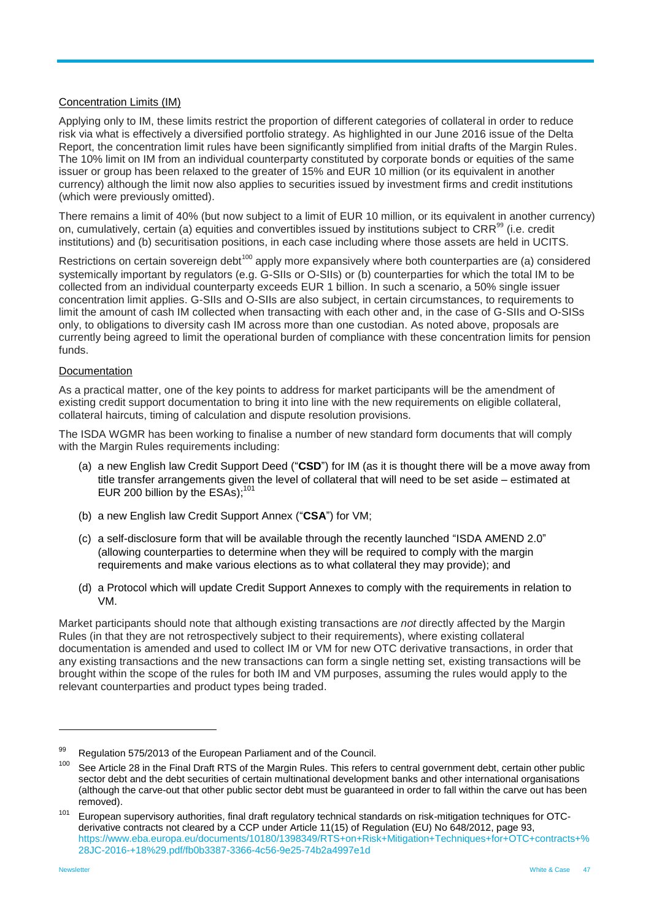#### Concentration Limits (IM)

Applying only to IM, these limits restrict the proportion of different categories of collateral in order to reduce risk via what is effectively a diversified portfolio strategy. As highlighted in our June 2016 issue of the Delta Report, the concentration limit rules have been significantly simplified from initial drafts of the Margin Rules. The 10% limit on IM from an individual counterparty constituted by corporate bonds or equities of the same issuer or group has been relaxed to the greater of 15% and EUR 10 million (or its equivalent in another currency) although the limit now also applies to securities issued by investment firms and credit institutions (which were previously omitted).

There remains a limit of 40% (but now subject to a limit of EUR 10 million, or its equivalent in another currency) on, cumulatively, certain (a) equities and convertibles issued by institutions subject to CRR<sup>99</sup> (i.e. credit institutions) and (b) securitisation positions, in each case including where those assets are held in UCITS.

Restrictions on certain sovereign debt<sup>100</sup> apply more expansively where both counterparties are (a) considered systemically important by regulators (e.g. G-SIIs or O-SIIs) or (b) counterparties for which the total IM to be collected from an individual counterparty exceeds EUR 1 billion. In such a scenario, a 50% single issuer concentration limit applies. G-SIIs and O-SIIs are also subject, in certain circumstances, to requirements to limit the amount of cash IM collected when transacting with each other and, in the case of G-SIIs and O-SISs only, to obligations to diversity cash IM across more than one custodian. As noted above, proposals are currently being agreed to limit the operational burden of compliance with these concentration limits for pension funds.

#### **Documentation**

As a practical matter, one of the key points to address for market participants will be the amendment of existing credit support documentation to bring it into line with the new requirements on eligible collateral, collateral haircuts, timing of calculation and dispute resolution provisions.

The ISDA WGMR has been working to finalise a number of new standard form documents that will comply with the Margin Rules requirements including:

- (a) a new English law Credit Support Deed ("**CSD**") for IM (as it is thought there will be a move away from title transfer arrangements given the level of collateral that will need to be set aside – estimated at EUR 200 billion by the ESAs):<sup>101</sup>
- (b) a new English law Credit Support Annex ("**CSA**") for VM;
- (c) a self-disclosure form that will be available through the recently launched "ISDA AMEND 2.0" (allowing counterparties to determine when they will be required to comply with the margin requirements and make various elections as to what collateral they may provide); and
- (d) a Protocol which will update Credit Support Annexes to comply with the requirements in relation to VM.

Market participants should note that although existing transactions are *not* directly affected by the Margin Rules (in that they are not retrospectively subject to their requirements), where existing collateral documentation is amended and used to collect IM or VM for new OTC derivative transactions, in order that any existing transactions and the new transactions can form a single netting set, existing transactions will be brought within the scope of the rules for both IM and VM purposes, assuming the rules would apply to the relevant counterparties and product types being traded.

<sup>99</sup> Regulation 575/2013 of the European Parliament and of the Council.<br>100  $\Omega$  of the Council. The Council of the Marsha Pulse This action

See Article 28 in the Final Draft RTS of the Margin Rules. This refers to central government debt, certain other public sector debt and the debt securities of certain multinational development banks and other international organisations (although the carve-out that other public sector debt must be guaranteed in order to fall within the carve out has been removed).

<sup>&</sup>lt;sup>101</sup> European supervisory authorities, final draft regulatory technical standards on risk-mitigation techniques for OTCderivative contracts not cleared by a CCP under Article 11(15) of Regulation (EU) No 648/2012, page 93, [https://www.eba.europa.eu/documents/10180/1398349/RTS+on+Risk+Mitigation+Techniques+for+OTC+contracts+%](https://www.eba.europa.eu/documents/10180/1398349/RTS+on+Risk+Mitigation+Techniques+for+OTC+contracts+%28JC-2016-+18%29.pdf/fb0b3387-3366-4c56-9e25-74b2a4997e1d) [28JC-2016-+18%29.pdf/fb0b3387-3366-4c56-9e25-74b2a4997e1d](https://www.eba.europa.eu/documents/10180/1398349/RTS+on+Risk+Mitigation+Techniques+for+OTC+contracts+%28JC-2016-+18%29.pdf/fb0b3387-3366-4c56-9e25-74b2a4997e1d)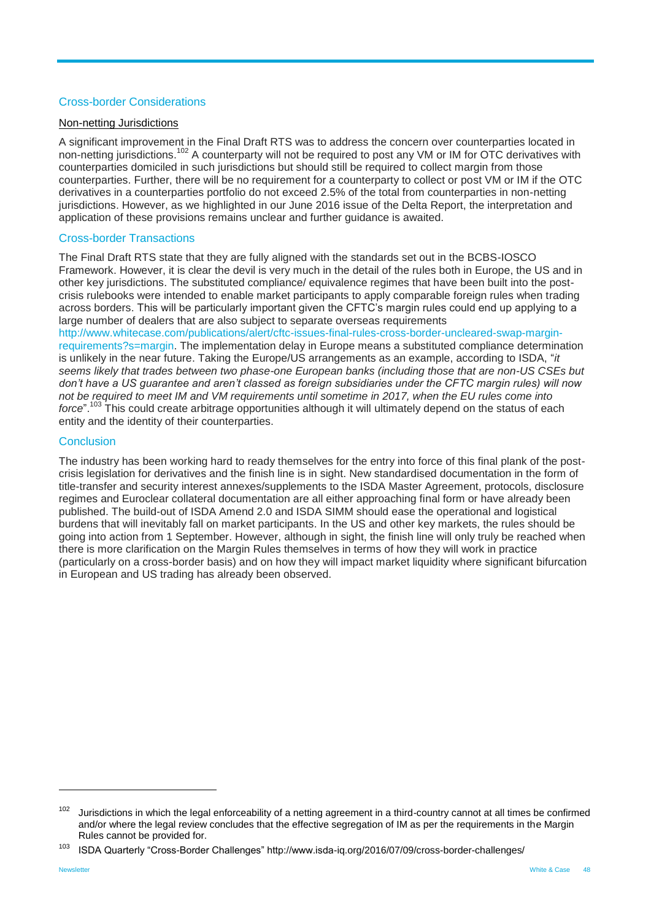#### Cross-border Considerations

#### Non-netting Jurisdictions

A significant improvement in the Final Draft RTS was to address the concern over counterparties located in non-netting jurisdictions.<sup>102</sup> A counterparty will not be required to post any VM or IM for OTC derivatives with counterparties domiciled in such jurisdictions but should still be required to collect margin from those counterparties. Further, there will be no requirement for a counterparty to collect or post VM or IM if the OTC derivatives in a counterparties portfolio do not exceed 2.5% of the total from counterparties in non-netting jurisdictions. However, as we highlighted in our June 2016 issue of the Delta Report, the interpretation and application of these provisions remains unclear and further guidance is awaited.

#### Cross-border Transactions

The Final Draft RTS state that they are fully aligned with the standards set out in the BCBS-IOSCO Framework. However, it is clear the devil is very much in the detail of the rules both in Europe, the US and in other key jurisdictions. The substituted compliance/ equivalence regimes that have been built into the postcrisis rulebooks were intended to enable market participants to apply comparable foreign rules when trading across borders. This will be particularly important given the CFTC's margin rules could end up applying to a large number of dealers that are also subject to separate overseas requirements

[http://www.whitecase.com/publications/alert/cftc-issues-final-rules-cross-border-uncleared-swap-margin](http://www.whitecase.com/publications/alert/cftc-issues-final-rules-cross-border-uncleared-swap-margin-requirements?s=margin)[requirements?s=margin.](http://www.whitecase.com/publications/alert/cftc-issues-final-rules-cross-border-uncleared-swap-margin-requirements?s=margin) The implementation delay in Europe means a substituted compliance determination is unlikely in the near future. Taking the Europe/US arrangements as an example, according to ISDA, "*it seems likely that trades between two phase-one European banks (including those that are non-US CSEs but don't have a US guarantee and aren't classed as foreign subsidiaries under the CFTC margin rules) will now not be required to meet IM and VM requirements until sometime in 2017, when the EU rules come into*  force".<sup>103</sup> This could create arbitrage opportunities although it will ultimately depend on the status of each entity and the identity of their counterparties.

#### **Conclusion**

The industry has been working hard to ready themselves for the entry into force of this final plank of the postcrisis legislation for derivatives and the finish line is in sight. New standardised documentation in the form of title-transfer and security interest annexes/supplements to the ISDA Master Agreement, protocols, disclosure regimes and Euroclear collateral documentation are all either approaching final form or have already been published. The build-out of ISDA Amend 2.0 and ISDA SIMM should ease the operational and logistical burdens that will inevitably fall on market participants. In the US and other key markets, the rules should be going into action from 1 September. However, although in sight, the finish line will only truly be reached when there is more clarification on the Margin Rules themselves in terms of how they will work in practice (particularly on a cross-border basis) and on how they will impact market liquidity where significant bifurcation in European and US trading has already been observed.

 $102$  Jurisdictions in which the legal enforceability of a netting agreement in a third-country cannot at all times be confirmed and/or where the legal review concludes that the effective segregation of IM as per the requirements in the Margin Rules cannot be provided for.

<sup>103</sup> ISDA Quarterly "Cross-Border Challenges" http://www.isda-iq.org/2016/07/09/cross-border-challenges/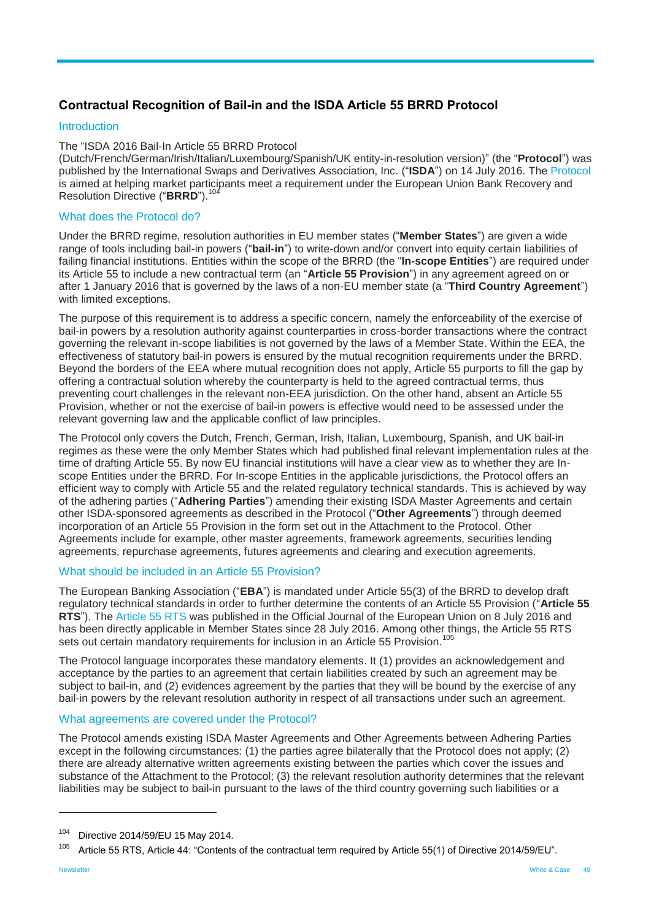## <span id="page-48-0"></span>**Contractual Recognition of Bail-in and the ISDA Article 55 BRRD Protocol**

#### Introduction

#### The "ISDA 2016 Bail-In Article 55 BRRD Protocol

(Dutch/French/German/Irish/Italian/Luxembourg/Spanish/UK entity-in-resolution version)" (the "**Protocol**") was published by the International Swaps and Derivatives Association, Inc. ("**ISDA**") on 14 July 2016. The [Protocol](http://assets.isda.org/media/f253b540-123/032715f6-pdf/) is aimed at helping market participants meet a requirement under the European Union Bank Recovery and Resolution Directive ("BRRD").<sup>10</sup>

#### What does the Protocol do?

Under the BRRD regime, resolution authorities in EU member states ("**Member States**") are given a wide range of tools including bail-in powers ("**bail-in**") to write-down and/or convert into equity certain liabilities of failing financial institutions. Entities within the scope of the BRRD (the "**In-scope Entities**") are required under its Article 55 to include a new contractual term (an "**Article 55 Provision**") in any agreement agreed on or after 1 January 2016 that is governed by the laws of a non-EU member state (a "**Third Country Agreement**") with limited exceptions.

The purpose of this requirement is to address a specific concern, namely the enforceability of the exercise of bail-in powers by a resolution authority against counterparties in cross-border transactions where the contract governing the relevant in-scope liabilities is not governed by the laws of a Member State. Within the EEA, the effectiveness of statutory bail-in powers is ensured by the mutual recognition requirements under the BRRD. Beyond the borders of the EEA where mutual recognition does not apply, Article 55 purports to fill the gap by offering a contractual solution whereby the counterparty is held to the agreed contractual terms, thus preventing court challenges in the relevant non-EEA jurisdiction. On the other hand, absent an Article 55 Provision, whether or not the exercise of bail-in powers is effective would need to be assessed under the relevant governing law and the applicable conflict of law principles.

The Protocol only covers the Dutch, French, German, Irish, Italian, Luxembourg, Spanish, and UK bail-in regimes as these were the only Member States which had published final relevant implementation rules at the time of drafting Article 55. By now EU financial institutions will have a clear view as to whether they are Inscope Entities under the BRRD. For In-scope Entities in the applicable jurisdictions, the Protocol offers an efficient way to comply with Article 55 and the related regulatory technical standards. This is achieved by way of the adhering parties ("**Adhering Parties**") amending their existing ISDA Master Agreements and certain other ISDA-sponsored agreements as described in the Protocol ("**Other Agreements**") through deemed incorporation of an Article 55 Provision in the form set out in the Attachment to the Protocol. Other Agreements include for example, other master agreements, framework agreements, securities lending agreements, repurchase agreements, futures agreements and clearing and execution agreements.

#### What should be included in an Article 55 Provision?

The European Banking Association ("**EBA**") is mandated under Article 55(3) of the BRRD to develop draft regulatory technical standards in order to further determine the contents of an Article 55 Provision ("**Article 55 RTS**"). The [Article 55 RTS](http://eur-lex.europa.eu/legal-content/EN/TXT/?uri=uriserv:OJ.L_.2016.184.01.0001.01.ENG&toc=OJ:L:2016:184:TOC) was published in the Official Journal of the European Union on 8 July 2016 and has been directly applicable in Member States since 28 July 2016. Among other things, the Article 55 RTS sets out certain mandatory requirements for inclusion in an Article 55 Provision.<sup>10</sup>

The Protocol language incorporates these mandatory elements. It (1) provides an acknowledgement and acceptance by the parties to an agreement that certain liabilities created by such an agreement may be subject to bail-in, and (2) evidences agreement by the parties that they will be bound by the exercise of any bail-in powers by the relevant resolution authority in respect of all transactions under such an agreement.

#### What agreements are covered under the Protocol?

The Protocol amends existing ISDA Master Agreements and Other Agreements between Adhering Parties except in the following circumstances: (1) the parties agree bilaterally that the Protocol does not apply; (2) there are already alternative written agreements existing between the parties which cover the issues and substance of the Attachment to the Protocol; (3) the relevant resolution authority determines that the relevant liabilities may be subject to bail-in pursuant to the laws of the third country governing such liabilities or a

<sup>104</sup> Directive 2014/59/EU 15 May 2014.

 $105$  Article 55 RTS, Article 44: "Contents of the contractual term required by Article 55(1) of Directive 2014/59/EU".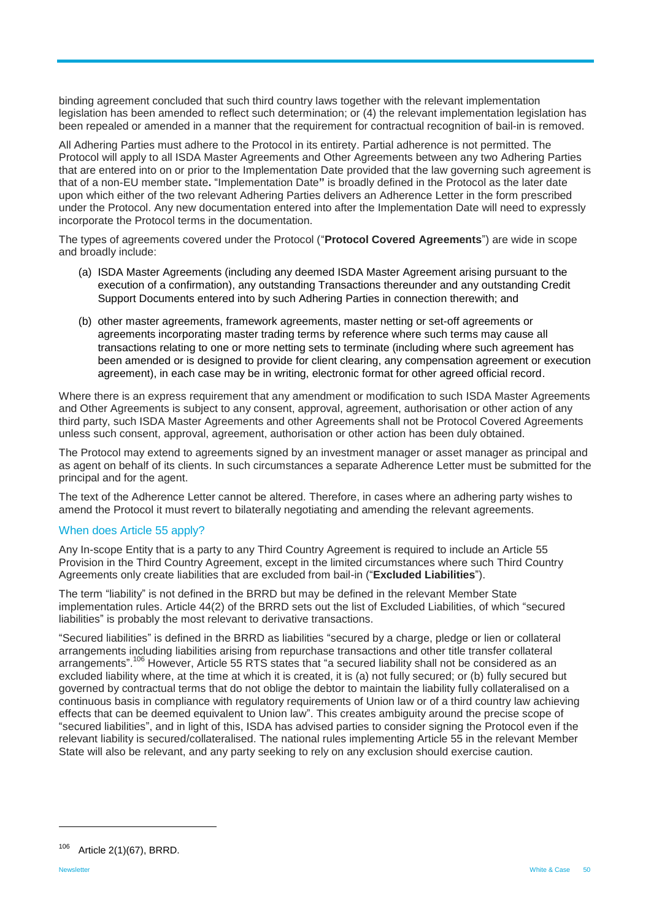binding agreement concluded that such third country laws together with the relevant implementation legislation has been amended to reflect such determination; or (4) the relevant implementation legislation has been repealed or amended in a manner that the requirement for contractual recognition of bail-in is removed.

All Adhering Parties must adhere to the Protocol in its entirety. Partial adherence is not permitted. The Protocol will apply to all ISDA Master Agreements and Other Agreements between any two Adhering Parties that are entered into on or prior to the Implementation Date provided that the law governing such agreement is that of a non-EU member state**.** "Implementation Date**"** is broadly defined in the Protocol as the later date upon which either of the two relevant Adhering Parties delivers an Adherence Letter in the form prescribed under the Protocol. Any new documentation entered into after the Implementation Date will need to expressly incorporate the Protocol terms in the documentation.

The types of agreements covered under the Protocol ("**Protocol Covered Agreements**") are wide in scope and broadly include:

- (a) ISDA Master Agreements (including any deemed ISDA Master Agreement arising pursuant to the execution of a confirmation), any outstanding Transactions thereunder and any outstanding Credit Support Documents entered into by such Adhering Parties in connection therewith; and
- (b) other master agreements, framework agreements, master netting or set-off agreements or agreements incorporating master trading terms by reference where such terms may cause all transactions relating to one or more netting sets to terminate (including where such agreement has been amended or is designed to provide for client clearing, any compensation agreement or execution agreement), in each case may be in writing, electronic format for other agreed official record.

Where there is an express requirement that any amendment or modification to such ISDA Master Agreements and Other Agreements is subject to any consent, approval, agreement, authorisation or other action of any third party, such ISDA Master Agreements and other Agreements shall not be Protocol Covered Agreements unless such consent, approval, agreement, authorisation or other action has been duly obtained.

The Protocol may extend to agreements signed by an investment manager or asset manager as principal and as agent on behalf of its clients. In such circumstances a separate Adherence Letter must be submitted for the principal and for the agent.

The text of the Adherence Letter cannot be altered. Therefore, in cases where an adhering party wishes to amend the Protocol it must revert to bilaterally negotiating and amending the relevant agreements.

#### When does Article 55 apply?

Any In-scope Entity that is a party to any Third Country Agreement is required to include an Article 55 Provision in the Third Country Agreement, except in the limited circumstances where such Third Country Agreements only create liabilities that are excluded from bail-in ("**Excluded Liabilities**").

The term "liability" is not defined in the BRRD but may be defined in the relevant Member State implementation rules. Article 44(2) of the BRRD sets out the list of Excluded Liabilities, of which "secured liabilities" is probably the most relevant to derivative transactions.

"Secured liabilities" is defined in the BRRD as liabilities "secured by a charge, pledge or lien or collateral arrangements including liabilities arising from repurchase transactions and other title transfer collateral arrangements".<sup>106</sup> However, Article 55 RTS states that "a secured liability shall not be considered as an excluded liability where, at the time at which it is created, it is (a) not fully secured; or (b) fully secured but governed by contractual terms that do not oblige the debtor to maintain the liability fully collateralised on a continuous basis in compliance with regulatory requirements of Union law or of a third country law achieving effects that can be deemed equivalent to Union law". This creates ambiguity around the precise scope of "secured liabilities", and in light of this, ISDA has advised parties to consider signing the Protocol even if the relevant liability is secured/collateralised. The national rules implementing Article 55 in the relevant Member State will also be relevant, and any party seeking to rely on any exclusion should exercise caution.

<sup>106</sup> Article 2(1)(67), BRRD.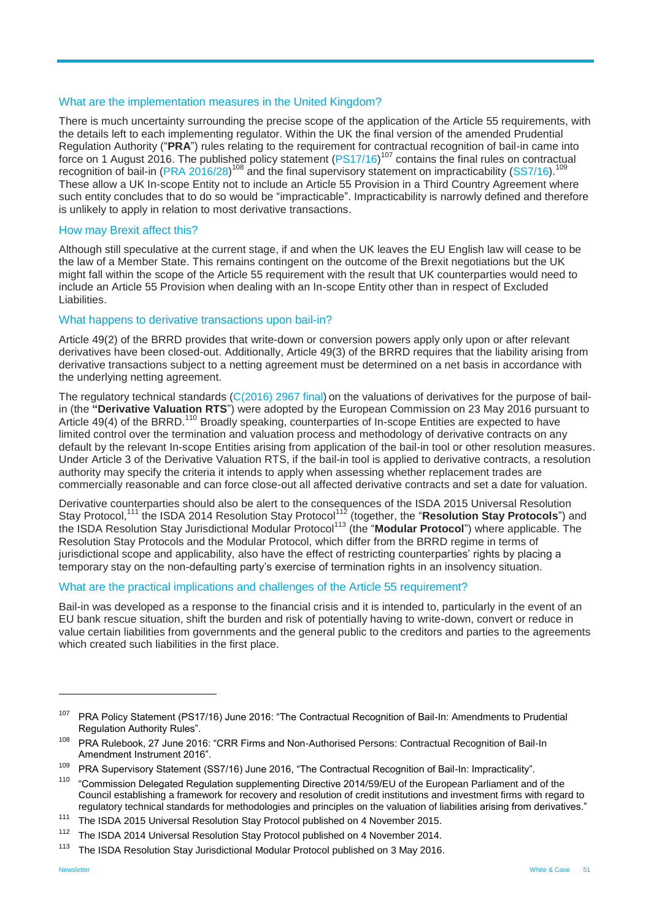#### What are the implementation measures in the United Kingdom?

There is much uncertainty surrounding the precise scope of the application of the Article 55 requirements, with the details left to each implementing regulator. Within the UK the final version of the amended Prudential Regulation Authority ("**PRA**") rules relating to the requirement for contractual recognition of bail-in came into force on 1 August 2016. The published policy statement  $(PS17/16)^{107}$  $(PS17/16)^{107}$  contains the final rules on contractual recognition of boil in  $(DBA, 2016/28)^{108}$  and the final supervisory statement on improvisoribility (SS7/16) recognition of bail-in [\(PRA 2016/28\)](http://www.bankofengland.co.uk/pra/Documents/publications/ps/2016/ps1716app1.pdf)<sup>108</sup> and the final supervisory statement on impracticability [\(SS7/16\)](http://www.bankofengland.co.uk/pra/Documents/publications/ss/2016/ss716.pdf). These allow a UK In-scope Entity not to include an Article 55 Provision in a Third Country Agreement where such entity concludes that to do so would be "impracticable". Impracticability is narrowly defined and therefore is unlikely to apply in relation to most derivative transactions.

#### How may Brexit affect this?

Although still speculative at the current stage, if and when the UK leaves the EU English law will cease to be the law of a Member State. This remains contingent on the outcome of the Brexit negotiations but the UK might fall within the scope of the Article 55 requirement with the result that UK counterparties would need to include an Article 55 Provision when dealing with an In-scope Entity other than in respect of Excluded Liabilities.

#### What happens to derivative transactions upon bail-in?

Article 49(2) of the BRRD provides that write-down or conversion powers apply only upon or after relevant derivatives have been closed-out. Additionally, Article 49(3) of the BRRD requires that the liability arising from derivative transactions subject to a netting agreement must be determined on a net basis in accordance with the underlying netting agreement.

The regulatory technical standards [\(C\(2016\) 2967 final\)](https://ec.europa.eu/transparency/regdoc/rep/3/2016/EN/3-2016-2967-EN-F1-1.PDF) on the valuations of derivatives for the purpose of bailin (the **"Derivative Valuation RTS**") were adopted by the European Commission on 23 May 2016 pursuant to Article 49(4) of the BRRD.<sup>110</sup> Broadly speaking, counterparties of In-scope Entities are expected to have limited control over the termination and valuation process and methodology of derivative contracts on any default by the relevant In-scope Entities arising from application of the bail-in tool or other resolution measures. Under Article 3 of the Derivative Valuation RTS, if the bail-in tool is applied to derivative contracts, a resolution authority may specify the criteria it intends to apply when assessing whether replacement trades are commercially reasonable and can force close-out all affected derivative contracts and set a date for valuation.

Derivative counterparties should also be alert to the consequences of the ISDA 2015 Universal Resolution Stay Protocol,<sup>111</sup> the ISDA 2014 Resolution Stay Protocol<sup>112</sup> (together, the "Resolution Stay Protocols") and the ISDA Resolution Stay Jurisdictional Modular Protocol<sup>113</sup> (the "Modular Protocol") where applicable. The Resolution Stay Protocols and the Modular Protocol, which differ from the BRRD regime in terms of jurisdictional scope and applicability, also have the effect of restricting counterparties' rights by placing a temporary stay on the non-defaulting party's exercise of termination rights in an insolvency situation.

#### What are the practical implications and challenges of the Article 55 requirement?

Bail-in was developed as a response to the financial crisis and it is intended to, particularly in the event of an EU bank rescue situation, shift the burden and risk of potentially having to write-down, convert or reduce in value certain liabilities from governments and the general public to the creditors and parties to the agreements which created such liabilities in the first place.

<sup>&</sup>lt;sup>107</sup> PRA Policy Statement (PS17/16) June 2016: "The Contractual Recognition of Bail-In: Amendments to Prudential Regulation Authority Rules".

<sup>108</sup> PRA Rulebook, 27 June 2016: "CRR Firms and Non-Authorised Persons: Contractual Recognition of Bail-In Amendment Instrument 2016".

<sup>&</sup>lt;sup>109</sup> PRA Supervisory Statement (SS7/16) June 2016, "The Contractual Recognition of Bail-In: Impracticality".

<sup>&</sup>lt;sup>110</sup> "Commission Delegated Regulation supplementing Directive 2014/59/EU of the European Parliament and of the Council establishing a framework for recovery and resolution of credit institutions and investment firms with regard to regulatory technical standards for methodologies and principles on the valuation of liabilities arising from derivatives."

<sup>&</sup>lt;sup>111</sup> The ISDA 2015 Universal Resolution Stay Protocol published on 4 November 2015.

<sup>&</sup>lt;sup>112</sup> The ISDA 2014 Universal Resolution Stay Protocol published on 4 November 2014.

<sup>&</sup>lt;sup>113</sup> The ISDA Resolution Stay Jurisdictional Modular Protocol published on 3 May 2016.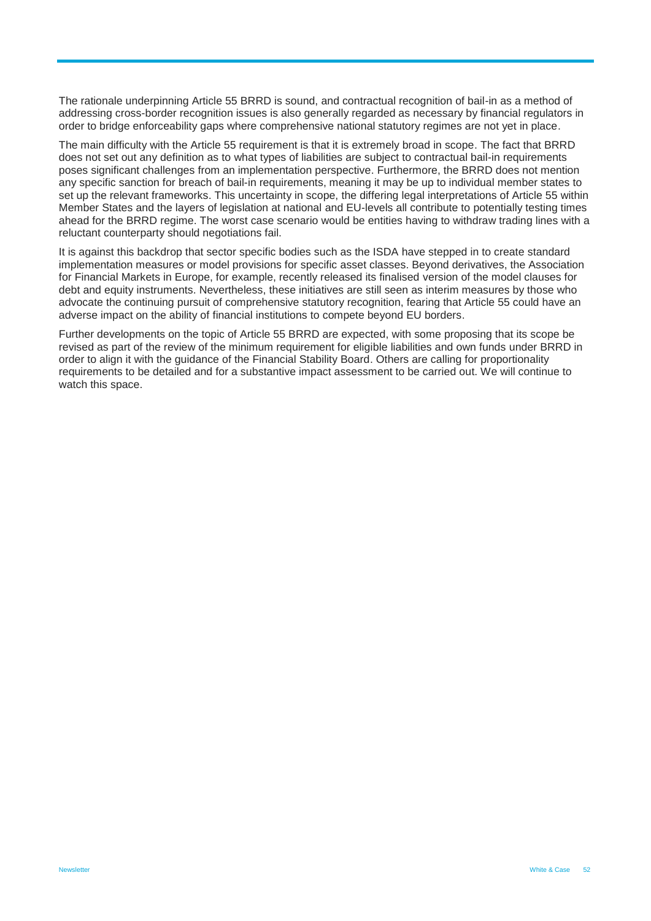The rationale underpinning Article 55 BRRD is sound, and contractual recognition of bail-in as a method of addressing cross-border recognition issues is also generally regarded as necessary by financial regulators in order to bridge enforceability gaps where comprehensive national statutory regimes are not yet in place.

The main difficulty with the Article 55 requirement is that it is extremely broad in scope. The fact that BRRD does not set out any definition as to what types of liabilities are subject to contractual bail-in requirements poses significant challenges from an implementation perspective. Furthermore, the BRRD does not mention any specific sanction for breach of bail-in requirements, meaning it may be up to individual member states to set up the relevant frameworks. This uncertainty in scope, the differing legal interpretations of Article 55 within Member States and the layers of legislation at national and EU-levels all contribute to potentially testing times ahead for the BRRD regime. The worst case scenario would be entities having to withdraw trading lines with a reluctant counterparty should negotiations fail.

It is against this backdrop that sector specific bodies such as the ISDA have stepped in to create standard implementation measures or model provisions for specific asset classes. Beyond derivatives, the Association for Financial Markets in Europe, for example, recently released its finalised version of the model clauses for debt and equity instruments. Nevertheless, these initiatives are still seen as interim measures by those who advocate the continuing pursuit of comprehensive statutory recognition, fearing that Article 55 could have an adverse impact on the ability of financial institutions to compete beyond EU borders.

Further developments on the topic of Article 55 BRRD are expected, with some proposing that its scope be revised as part of the review of the minimum requirement for eligible liabilities and own funds under BRRD in order to align it with the guidance of the Financial Stability Board. Others are calling for proportionality requirements to be detailed and for a substantive impact assessment to be carried out. We will continue to watch this space.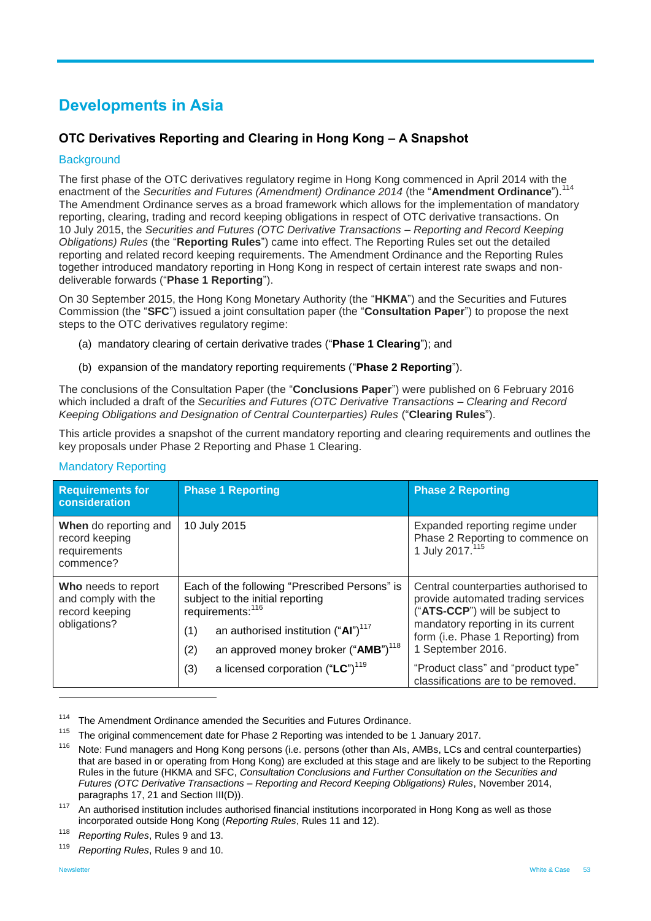# <span id="page-52-0"></span>**Developments in Asia**

## <span id="page-52-1"></span>**OTC Derivatives Reporting and Clearing in Hong Kong – A Snapshot**

#### **Background**

The first phase of the OTC derivatives regulatory regime in Hong Kong commenced in April 2014 with the enactment of the *Securities and Futures (Amendment) Ordinance 2014* (the "**Amendment Ordinance**").<sup>114</sup> The Amendment Ordinance serves as a broad framework which allows for the implementation of mandatory reporting, clearing, trading and record keeping obligations in respect of OTC derivative transactions. On 10 July 2015, the *Securities and Futures (OTC Derivative Transactions – Reporting and Record Keeping Obligations) Rules* (the "**Reporting Rules**") came into effect. The Reporting Rules set out the detailed reporting and related record keeping requirements. The Amendment Ordinance and the Reporting Rules together introduced mandatory reporting in Hong Kong in respect of certain interest rate swaps and nondeliverable forwards ("**Phase 1 Reporting**").

On 30 September 2015, the Hong Kong Monetary Authority (the "**HKMA**") and the Securities and Futures Commission (the "**SFC**") issued a joint consultation paper (the "**Consultation Paper**") to propose the next steps to the OTC derivatives regulatory regime:

- (a) mandatory clearing of certain derivative trades ("**Phase 1 Clearing**"); and
- (b) expansion of the mandatory reporting requirements ("**Phase 2 Reporting**").

The conclusions of the Consultation Paper (the "**Conclusions Paper**") were published on 6 February 2016 which included a draft of the *Securities and Futures (OTC Derivative Transactions – Clearing and Record Keeping Obligations and Designation of Central Counterparties) Rules* ("**Clearing Rules**").

This article provides a snapshot of the current mandatory reporting and clearing requirements and outlines the key proposals under Phase 2 Reporting and Phase 1 Clearing.

| <b>Requirements for</b><br>consideration                                                                                                                                                                                                                    | <b>Phase 1 Reporting</b>                                                                                      | <b>Phase 2 Reporting</b>                                                                                                                                                                 |  |
|-------------------------------------------------------------------------------------------------------------------------------------------------------------------------------------------------------------------------------------------------------------|---------------------------------------------------------------------------------------------------------------|------------------------------------------------------------------------------------------------------------------------------------------------------------------------------------------|--|
| When do reporting and<br>record keeping<br>requirements<br>commence?                                                                                                                                                                                        | 10 July 2015                                                                                                  | Expanded reporting regime under<br>Phase 2 Reporting to commence on<br>1 July 2017. <sup>115</sup>                                                                                       |  |
| Each of the following "Prescribed Persons" is<br>Who needs to report<br>subject to the initial reporting<br>requirements: <sup>116</sup><br>and comply with the<br>record keeping<br>obligations?<br>an authorised institution ("AI") <sup>117</sup><br>(1) |                                                                                                               | Central counterparties authorised to<br>provide automated trading services<br>("ATS-CCP") will be subject to<br>mandatory reporting in its current<br>form (i.e. Phase 1 Reporting) from |  |
|                                                                                                                                                                                                                                                             | an approved money broker ("AMB") <sup>118</sup><br>(2)<br>a licensed corporation ("LC") <sup>119</sup><br>(3) | 1 September 2016.<br>"Product class" and "product type"<br>classifications are to be removed.                                                                                            |  |

#### Mandatory Reporting

<sup>114</sup> The Amendment Ordinance amended the Securities and Futures Ordinance.

<sup>115</sup> The original commencement date for Phase 2 Reporting was intended to be 1 January 2017.

<sup>119</sup> *Reporting Rules*, Rules 9 and 10.

<sup>&</sup>lt;sup>116</sup> Note: Fund managers and Hong Kong persons (i.e. persons (other than AIs, AMBs, LCs and central counterparties) that are based in or operating from Hong Kong) are excluded at this stage and are likely to be subject to the Reporting Rules in the future (HKMA and SFC, *Consultation Conclusions and Further Consultation on the Securities and Futures (OTC Derivative Transactions – Reporting and Record Keeping Obligations) Rules*, November 2014, paragraphs 17, 21 and Section III(D)).

 $117$  An authorised institution includes authorised financial institutions incorporated in Hong Kong as well as those incorporated outside Hong Kong (*Reporting Rules*, Rules 11 and 12).

<sup>118</sup> *Reporting Rules*, Rules 9 and 13.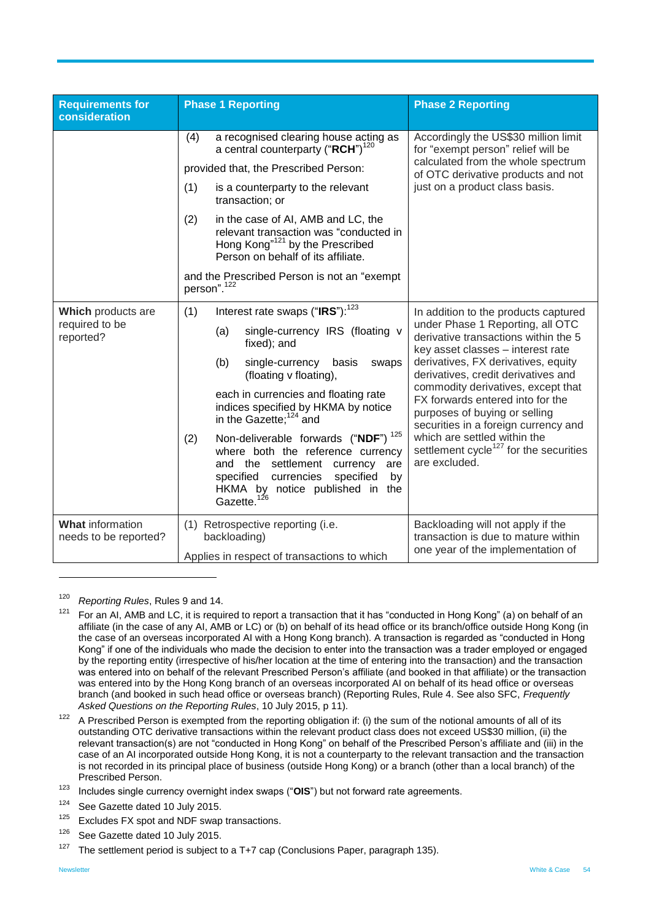| <b>Requirements for</b><br>consideration          | <b>Phase 1 Reporting</b>                                                                                                                                                                                                                                                                                                                                                                                                                                                                                                                                | <b>Phase 2 Reporting</b>                                                                                                                                                                                                                                                                                                                                                                                                                                                                      |
|---------------------------------------------------|---------------------------------------------------------------------------------------------------------------------------------------------------------------------------------------------------------------------------------------------------------------------------------------------------------------------------------------------------------------------------------------------------------------------------------------------------------------------------------------------------------------------------------------------------------|-----------------------------------------------------------------------------------------------------------------------------------------------------------------------------------------------------------------------------------------------------------------------------------------------------------------------------------------------------------------------------------------------------------------------------------------------------------------------------------------------|
|                                                   | a recognised clearing house acting as<br>(4)<br>a central counterparty ("RCH") <sup>120</sup><br>provided that, the Prescribed Person:<br>(1)<br>is a counterparty to the relevant<br>transaction; or<br>(2)<br>in the case of AI, AMB and LC, the<br>relevant transaction was "conducted in<br>Hong Kong" <sup>121</sup> by the Prescribed<br>Person on behalf of its affiliate.<br>and the Prescribed Person is not an "exempt<br>person". <sup>122</sup>                                                                                             | Accordingly the US\$30 million limit<br>for "exempt person" relief will be<br>calculated from the whole spectrum<br>of OTC derivative products and not<br>just on a product class basis.                                                                                                                                                                                                                                                                                                      |
| Which products are<br>required to be<br>reported? | Interest rate swaps ("IRS"): <sup>123</sup><br>(1)<br>single-currency IRS (floating v<br>(a)<br>fixed); and<br>(b)<br>single-currency basis<br>swaps<br>(floating v floating),<br>each in currencies and floating rate<br>indices specified by HKMA by notice<br>in the Gazette; <sup>124</sup> and<br>Non-deliverable forwards ("NDF") <sup>125</sup><br>(2)<br>where both the reference currency<br>and the settlement currency<br>are<br>specified<br>currencies<br>specified<br>by<br>HKMA by notice published in<br>the<br>Gazette. <sup>126</sup> | In addition to the products captured<br>under Phase 1 Reporting, all OTC<br>derivative transactions within the 5<br>key asset classes - interest rate<br>derivatives, FX derivatives, equity<br>derivatives, credit derivatives and<br>commodity derivatives, except that<br>FX forwards entered into for the<br>purposes of buying or selling<br>securities in a foreign currency and<br>which are settled within the<br>settlement cycle <sup>127</sup> for the securities<br>are excluded. |
| <b>What information</b><br>needs to be reported?  | (1) Retrospective reporting (i.e.<br>backloading)<br>Applies in respect of transactions to which                                                                                                                                                                                                                                                                                                                                                                                                                                                        | Backloading will not apply if the<br>transaction is due to mature within<br>one year of the implementation of                                                                                                                                                                                                                                                                                                                                                                                 |

<sup>120</sup> *Reporting Rules*, Rules 9 and 14.

- $125$  Excludes FX spot and NDF swap transactions.
- <sup>126</sup> See Gazette dated 10 July 2015.

 $121$  For an AI, AMB and LC, it is required to report a transaction that it has "conducted in Hong Kong" (a) on behalf of an affiliate (in the case of any AI, AMB or LC) or (b) on behalf of its head office or its branch/office outside Hong Kong (in the case of an overseas incorporated AI with a Hong Kong branch). A transaction is regarded as "conducted in Hong Kong" if one of the individuals who made the decision to enter into the transaction was a trader employed or engaged by the reporting entity (irrespective of his/her location at the time of entering into the transaction) and the transaction was entered into on behalf of the relevant Prescribed Person's affiliate (and booked in that affiliate) or the transaction was entered into by the Hong Kong branch of an overseas incorporated AI on behalf of its head office or overseas branch (and booked in such head office or overseas branch) (Reporting Rules, Rule 4. See also SFC, *Frequently Asked Questions on the Reporting Rules*, 10 July 2015, p 11).

<sup>&</sup>lt;sup>122</sup> A Prescribed Person is exempted from the reporting obligation if: (i) the sum of the notional amounts of all of its outstanding OTC derivative transactions within the relevant product class does not exceed US\$30 million, (ii) the relevant transaction(s) are not "conducted in Hong Kong" on behalf of the Prescribed Person's affiliate and (iii) in the case of an AI incorporated outside Hong Kong, it is not a counterparty to the relevant transaction and the transaction is not recorded in its principal place of business (outside Hong Kong) or a branch (other than a local branch) of the Prescribed Person.

<sup>123</sup> Includes single currency overnight index swaps ("**OIS**") but not forward rate agreements.

<sup>&</sup>lt;sup>124</sup> See Gazette dated 10 July 2015.

<sup>&</sup>lt;sup>127</sup> The settlement period is subject to a T+7 cap (Conclusions Paper, paragraph 135).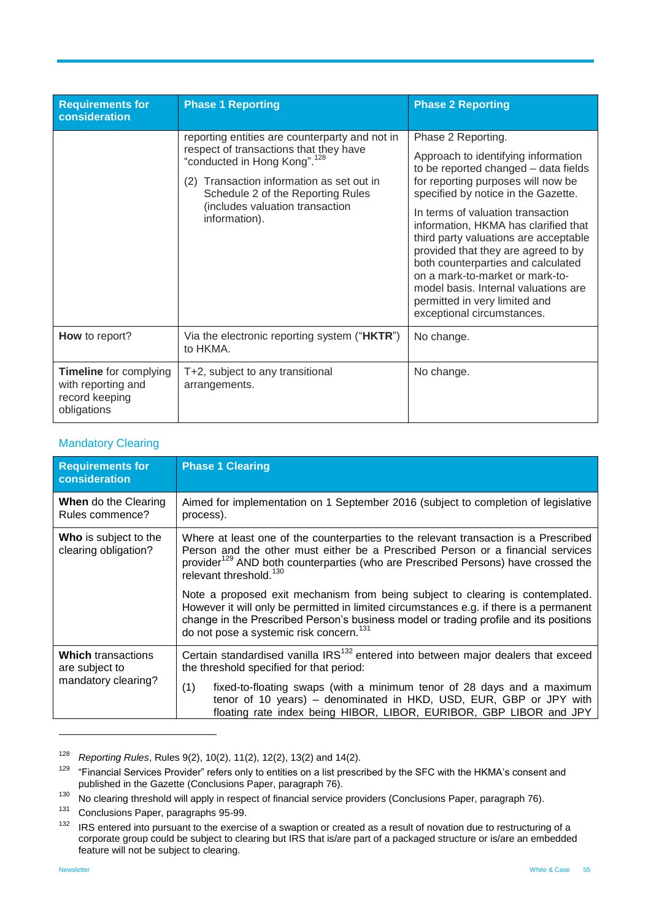| <b>Requirements for</b><br>consideration                                             | <b>Phase 1 Reporting</b>                                                                                                                                                                                                                                                      | <b>Phase 2 Reporting</b>                                                                                                                                                                                                                                                                                                                                                                                                                                                                                                    |
|--------------------------------------------------------------------------------------|-------------------------------------------------------------------------------------------------------------------------------------------------------------------------------------------------------------------------------------------------------------------------------|-----------------------------------------------------------------------------------------------------------------------------------------------------------------------------------------------------------------------------------------------------------------------------------------------------------------------------------------------------------------------------------------------------------------------------------------------------------------------------------------------------------------------------|
|                                                                                      | reporting entities are counterparty and not in<br>respect of transactions that they have<br>"conducted in Hong Kong". <sup>128</sup><br>Transaction information as set out in<br>(2)<br>Schedule 2 of the Reporting Rules<br>(includes valuation transaction<br>information). | Phase 2 Reporting.<br>Approach to identifying information<br>to be reported changed - data fields<br>for reporting purposes will now be<br>specified by notice in the Gazette.<br>In terms of valuation transaction<br>information, HKMA has clarified that<br>third party valuations are acceptable<br>provided that they are agreed to by<br>both counterparties and calculated<br>on a mark-to-market or mark-to-<br>model basis. Internal valuations are<br>permitted in very limited and<br>exceptional circumstances. |
| How to report?                                                                       | Via the electronic reporting system ("HKTR")<br>to HKMA.                                                                                                                                                                                                                      | No change.                                                                                                                                                                                                                                                                                                                                                                                                                                                                                                                  |
| <b>Timeline</b> for complying<br>with reporting and<br>record keeping<br>obligations | T+2, subject to any transitional<br>arrangements.                                                                                                                                                                                                                             | No change.                                                                                                                                                                                                                                                                                                                                                                                                                                                                                                                  |

#### Mandatory Clearing

| <b>Requirements for</b><br>consideration                           | <b>Phase 1 Clearing</b>                                                                                                                                                                                                                                                                                                   |  |  |  |  |
|--------------------------------------------------------------------|---------------------------------------------------------------------------------------------------------------------------------------------------------------------------------------------------------------------------------------------------------------------------------------------------------------------------|--|--|--|--|
| <b>When</b> do the Clearing<br>Rules commence?                     | Aimed for implementation on 1 September 2016 (subject to completion of legislative<br>process).                                                                                                                                                                                                                           |  |  |  |  |
| <b>Who</b> is subject to the<br>clearing obligation?               | Where at least one of the counterparties to the relevant transaction is a Prescribed<br>Person and the other must either be a Prescribed Person or a financial services<br>provider <sup>129</sup> AND both counterparties (who are Prescribed Persons) have crossed the<br>relevant threshold. <sup>130</sup>            |  |  |  |  |
|                                                                    | Note a proposed exit mechanism from being subject to clearing is contemplated.<br>However it will only be permitted in limited circumstances e.g. if there is a permanent<br>change in the Prescribed Person's business model or trading profile and its positions<br>do not pose a systemic risk concern. <sup>131</sup> |  |  |  |  |
| <b>Which transactions</b><br>are subject to<br>mandatory clearing? | Certain standardised vanilla IRS <sup>132</sup> entered into between major dealers that exceed<br>the threshold specified for that period:                                                                                                                                                                                |  |  |  |  |
|                                                                    | fixed-to-floating swaps (with a minimum tenor of 28 days and a maximum<br>(1)<br>tenor of 10 years) - denominated in HKD, USD, EUR, GBP or JPY with<br>floating rate index being HIBOR, LIBOR, EURIBOR, GBP LIBOR and JPY                                                                                                 |  |  |  |  |

<sup>128</sup> *Reporting Rules*, Rules 9(2), 10(2), 11(2), 12(2), 13(2) and 14(2).

<sup>&</sup>lt;sup>129</sup> "Financial Services Provider" refers only to entities on a list prescribed by the SFC with the HKMA's consent and published in the Gazette (Conclusions Paper, paragraph 76).

<sup>&</sup>lt;sup>130</sup> No clearing threshold will apply in respect of financial service providers (Conclusions Paper, paragraph 76).

 $131$  Conclusions Paper, paragraphs 95-99.

IRS entered into pursuant to the exercise of a swaption or created as a result of novation due to restructuring of a corporate group could be subject to clearing but IRS that is/are part of a packaged structure or is/are an embedded feature will not be subject to clearing.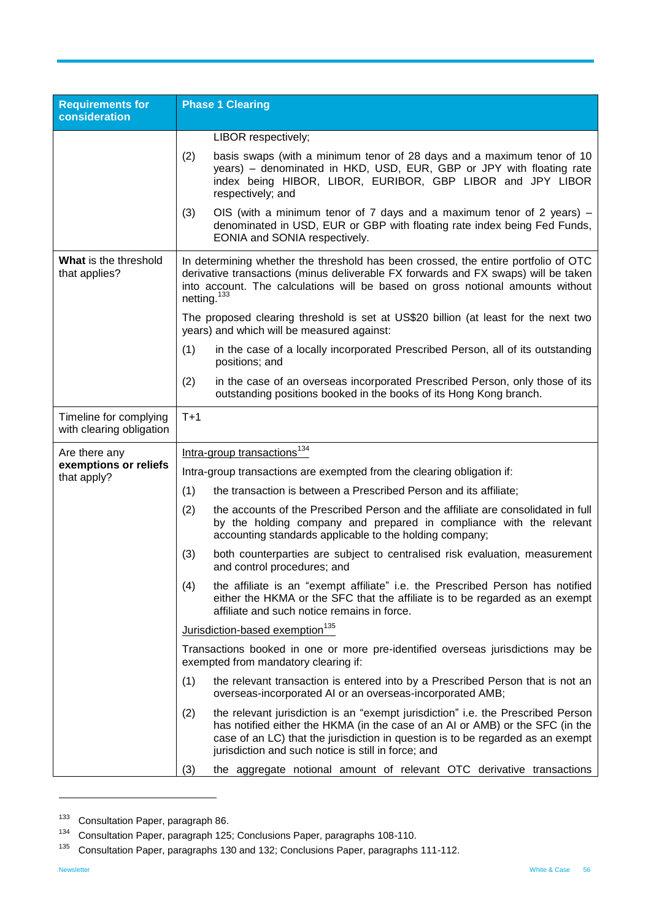| <b>Requirements for</b><br>consideration           | <b>Phase 1 Clearing</b>                                                                                                 |                                                                                                                                                                                                                                                                                                             |  |
|----------------------------------------------------|-------------------------------------------------------------------------------------------------------------------------|-------------------------------------------------------------------------------------------------------------------------------------------------------------------------------------------------------------------------------------------------------------------------------------------------------------|--|
|                                                    |                                                                                                                         | LIBOR respectively;                                                                                                                                                                                                                                                                                         |  |
|                                                    | (2)                                                                                                                     | basis swaps (with a minimum tenor of 28 days and a maximum tenor of 10<br>years) - denominated in HKD, USD, EUR, GBP or JPY with floating rate<br>index being HIBOR, LIBOR, EURIBOR, GBP LIBOR and JPY LIBOR<br>respectively; and                                                                           |  |
|                                                    | (3)                                                                                                                     | OIS (with a minimum tenor of 7 days and a maximum tenor of 2 years) $-$<br>denominated in USD, EUR or GBP with floating rate index being Fed Funds,<br>EONIA and SONIA respectively.                                                                                                                        |  |
| What is the threshold<br>that applies?             | netting. $133$                                                                                                          | In determining whether the threshold has been crossed, the entire portfolio of OTC<br>derivative transactions (minus deliverable FX forwards and FX swaps) will be taken<br>into account. The calculations will be based on gross notional amounts without                                                  |  |
|                                                    |                                                                                                                         | The proposed clearing threshold is set at US\$20 billion (at least for the next two<br>years) and which will be measured against:                                                                                                                                                                           |  |
|                                                    | (1)                                                                                                                     | in the case of a locally incorporated Prescribed Person, all of its outstanding<br>positions; and                                                                                                                                                                                                           |  |
|                                                    | (2)                                                                                                                     | in the case of an overseas incorporated Prescribed Person, only those of its<br>outstanding positions booked in the books of its Hong Kong branch.                                                                                                                                                          |  |
| Timeline for complying<br>with clearing obligation | $T+1$                                                                                                                   |                                                                                                                                                                                                                                                                                                             |  |
| Are there any                                      | Intra-group transactions <sup>134</sup>                                                                                 |                                                                                                                                                                                                                                                                                                             |  |
| exemptions or reliefs<br>that apply?               | Intra-group transactions are exempted from the clearing obligation if:                                                  |                                                                                                                                                                                                                                                                                                             |  |
|                                                    | (1)                                                                                                                     | the transaction is between a Prescribed Person and its affiliate;                                                                                                                                                                                                                                           |  |
|                                                    | (2)                                                                                                                     | the accounts of the Prescribed Person and the affiliate are consolidated in full<br>by the holding company and prepared in compliance with the relevant<br>accounting standards applicable to the holding company;                                                                                          |  |
|                                                    | (3)                                                                                                                     | both counterparties are subject to centralised risk evaluation, measurement<br>and control procedures; and                                                                                                                                                                                                  |  |
|                                                    | (4)                                                                                                                     | the affiliate is an "exempt affiliate" i.e. the Prescribed Person has notified<br>either the HKMA or the SFC that the affiliate is to be regarded as an exempt<br>affiliate and such notice remains in force.                                                                                               |  |
|                                                    | Jurisdiction-based exemption <sup>135</sup>                                                                             |                                                                                                                                                                                                                                                                                                             |  |
|                                                    | Transactions booked in one or more pre-identified overseas jurisdictions may be<br>exempted from mandatory clearing if: |                                                                                                                                                                                                                                                                                                             |  |
|                                                    | (1)                                                                                                                     | the relevant transaction is entered into by a Prescribed Person that is not an<br>overseas-incorporated AI or an overseas-incorporated AMB;                                                                                                                                                                 |  |
|                                                    | (2)                                                                                                                     | the relevant jurisdiction is an "exempt jurisdiction" i.e. the Prescribed Person<br>has notified either the HKMA (in the case of an AI or AMB) or the SFC (in the<br>case of an LC) that the jurisdiction in question is to be regarded as an exempt<br>jurisdiction and such notice is still in force; and |  |
|                                                    | (3)                                                                                                                     | the aggregate notional amount of relevant OTC derivative transactions                                                                                                                                                                                                                                       |  |

<sup>133</sup> Consultation Paper, paragraph 86.

<sup>134</sup> Consultation Paper, paragraph 125; Conclusions Paper, paragraphs 108-110.

<sup>&</sup>lt;sup>135</sup> Consultation Paper, paragraphs 130 and 132; Conclusions Paper, paragraphs 111-112.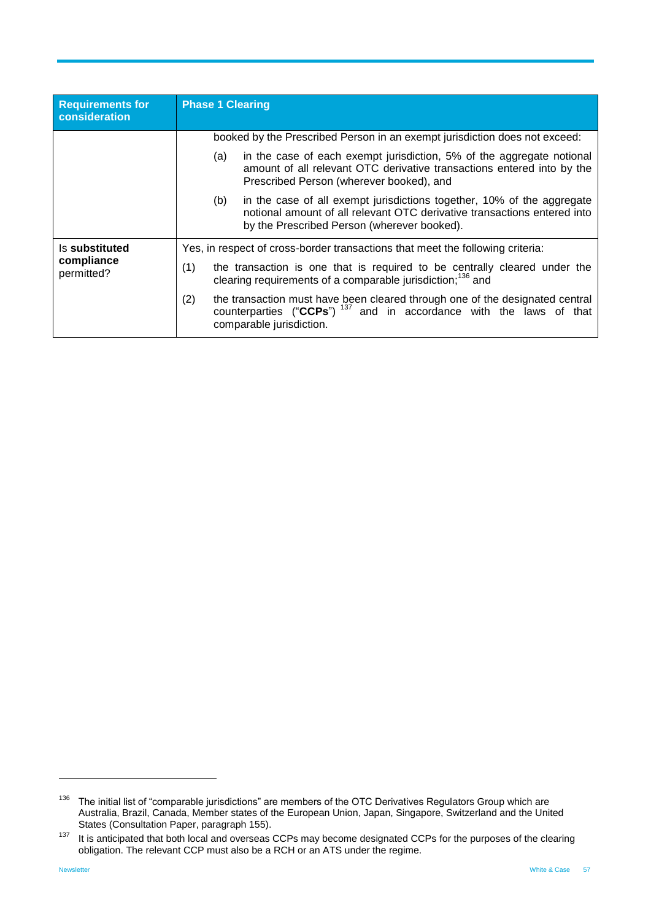| <b>Requirements for</b><br>consideration | <b>Phase 1 Clearing</b>                                                                                                                                                                                  |  |  |
|------------------------------------------|----------------------------------------------------------------------------------------------------------------------------------------------------------------------------------------------------------|--|--|
|                                          | booked by the Prescribed Person in an exempt jurisdiction does not exceed:                                                                                                                               |  |  |
|                                          | in the case of each exempt jurisdiction, 5% of the aggregate notional<br>(a)<br>amount of all relevant OTC derivative transactions entered into by the<br>Prescribed Person (wherever booked), and       |  |  |
|                                          | in the case of all exempt jurisdictions together, 10% of the aggregate<br>(b)<br>notional amount of all relevant OTC derivative transactions entered into<br>by the Prescribed Person (wherever booked). |  |  |
| Is substituted                           | Yes, in respect of cross-border transactions that meet the following criteria:                                                                                                                           |  |  |
| compliance<br>permitted?                 | (1)<br>the transaction is one that is required to be centrally cleared under the<br>clearing requirements of a comparable jurisdiction: <sup>136</sup> and                                               |  |  |
|                                          | (2)<br>the transaction must have been cleared through one of the designated central<br>counterparties ("CCPs") <sup>137</sup> and in accordance with the laws of that<br>comparable jurisdiction.        |  |  |

 $136$  The initial list of "comparable jurisdictions" are members of the OTC Derivatives Regulators Group which are Australia, Brazil, Canada, Member states of the European Union, Japan, Singapore, Switzerland and the United States (Consultation Paper, paragraph 155).

 $137$  It is anticipated that both local and overseas CCPs may become designated CCPs for the purposes of the clearing obligation. The relevant CCP must also be a RCH or an ATS under the regime.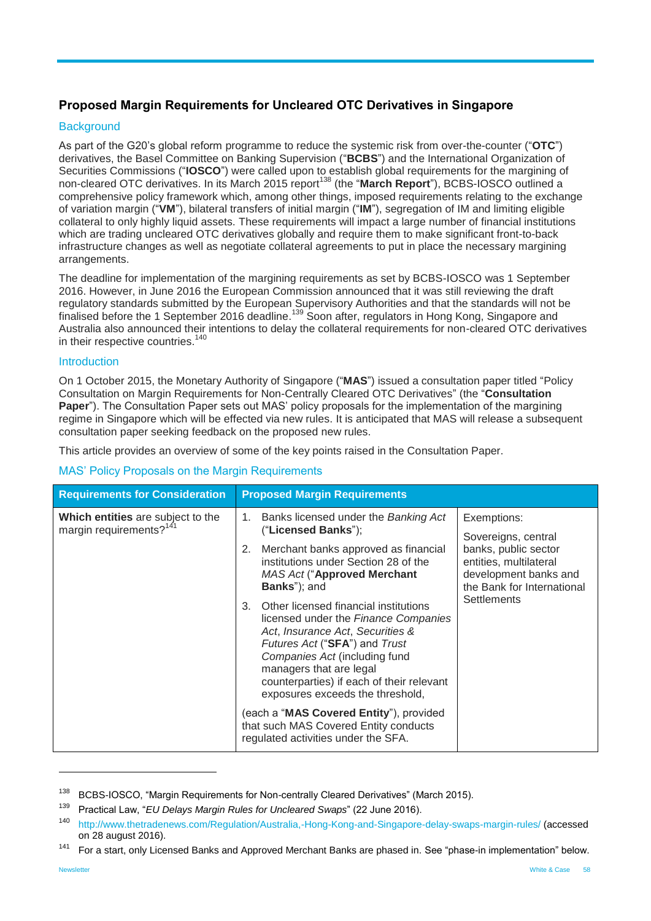## <span id="page-57-0"></span>**Proposed Margin Requirements for Uncleared OTC Derivatives in Singapore**

### **Background**

As part of the G20's global reform programme to reduce the systemic risk from over-the-counter ("**OTC**") derivatives, the Basel Committee on Banking Supervision ("**BCBS**") and the International Organization of Securities Commissions ("**IOSCO**") were called upon to establish global requirements for the margining of non-cleared OTC derivatives. In its March 2015 report<sup>138</sup> (the "**March Report**"), BCBS-IOSCO outlined a comprehensive policy framework which, among other things, imposed requirements relating to the exchange of variation margin ("**VM**"), bilateral transfers of initial margin ("**IM**"), segregation of IM and limiting eligible collateral to only highly liquid assets. These requirements will impact a large number of financial institutions which are trading uncleared OTC derivatives globally and require them to make significant front-to-back infrastructure changes as well as negotiate collateral agreements to put in place the necessary margining arrangements.

The deadline for implementation of the margining requirements as set by BCBS-IOSCO was 1 September 2016. However, in June 2016 the European Commission announced that it was still reviewing the draft regulatory standards submitted by the European Supervisory Authorities and that the standards will not be finalised before the 1 September 2016 deadline.<sup>139</sup> Soon after, regulators in Hong Kong, Singapore and Australia also announced their intentions to delay the collateral requirements for non-cleared OTC derivatives in their respective countries. $1$ 

#### **Introduction**

On 1 October 2015, the Monetary Authority of Singapore ("**MAS**") issued a consultation paper titled "Policy Consultation on Margin Requirements for Non-Centrally Cleared OTC Derivatives" (the "**Consultation Paper**"). The Consultation Paper sets out MAS' policy proposals for the implementation of the margining regime in Singapore which will be effected via new rules. It is anticipated that MAS will release a subsequent consultation paper seeking feedback on the proposed new rules.

This article provides an overview of some of the key points raised in the Consultation Paper.

#### MAS' Policy Proposals on the Margin Requirements

| <b>Requirements for Consideration</b>                                    | <b>Proposed Margin Requirements</b>                                                                                                                                                                                                                                                                                                                                                                                                                                                                                                                                                                                                               |                                                                                                                                                            |
|--------------------------------------------------------------------------|---------------------------------------------------------------------------------------------------------------------------------------------------------------------------------------------------------------------------------------------------------------------------------------------------------------------------------------------------------------------------------------------------------------------------------------------------------------------------------------------------------------------------------------------------------------------------------------------------------------------------------------------------|------------------------------------------------------------------------------------------------------------------------------------------------------------|
| Which entities are subject to the<br>margin requirements? <sup>141</sup> | Banks licensed under the Banking Act<br>1.<br>("Licensed Banks");<br>Merchant banks approved as financial<br>2.<br>institutions under Section 28 of the<br><b>MAS Act ("Approved Merchant</b><br>Banks"); and<br>Other licensed financial institutions<br>3.<br>licensed under the Finance Companies<br>Act, Insurance Act, Securities &<br>Futures Act ("SFA") and Trust<br>Companies Act (including fund<br>managers that are legal<br>counterparties) if each of their relevant<br>exposures exceeds the threshold,<br>(each a "MAS Covered Entity"), provided<br>that such MAS Covered Entity conducts<br>regulated activities under the SFA. | Exemptions:<br>Sovereigns, central<br>banks, public sector<br>entities, multilateral<br>development banks and<br>the Bank for International<br>Settlements |

<sup>&</sup>lt;sup>138</sup> BCBS-IOSCO, "Margin Requirements for Non-centrally Cleared Derivatives" (March 2015).

<sup>139</sup> Practical Law, "*EU Delays Margin Rules for Uncleared Swaps*" (22 June 2016).

<sup>140</sup> <http://www.thetradenews.com/Regulation/Australia,-Hong-Kong-and-Singapore-delay-swaps-margin-rules/> (accessed on 28 august 2016).

<sup>&</sup>lt;sup>141</sup> For a start, only Licensed Banks and Approved Merchant Banks are phased in. See "phase-in implementation" below.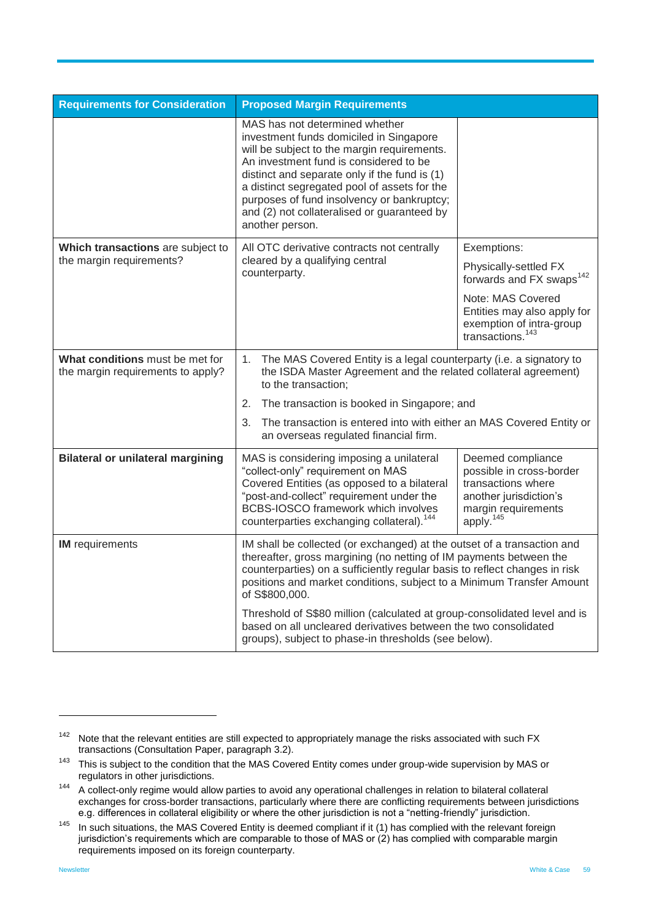| <b>Requirements for Consideration</b>                                                                                                                                                                | <b>Proposed Margin Requirements</b>                                                                                                                                                                                                                                                                                                                                                 |                                                                                                                                               |
|------------------------------------------------------------------------------------------------------------------------------------------------------------------------------------------------------|-------------------------------------------------------------------------------------------------------------------------------------------------------------------------------------------------------------------------------------------------------------------------------------------------------------------------------------------------------------------------------------|-----------------------------------------------------------------------------------------------------------------------------------------------|
|                                                                                                                                                                                                      | MAS has not determined whether<br>investment funds domiciled in Singapore<br>will be subject to the margin requirements.<br>An investment fund is considered to be<br>distinct and separate only if the fund is (1)<br>a distinct segregated pool of assets for the<br>purposes of fund insolvency or bankruptcy;<br>and (2) not collateralised or guaranteed by<br>another person. |                                                                                                                                               |
| Which transactions are subject to                                                                                                                                                                    | All OTC derivative contracts not centrally                                                                                                                                                                                                                                                                                                                                          | Exemptions:                                                                                                                                   |
| the margin requirements?                                                                                                                                                                             | cleared by a qualifying central<br>counterparty.                                                                                                                                                                                                                                                                                                                                    | Physically-settled FX<br>forwards and FX swaps <sup>142</sup>                                                                                 |
|                                                                                                                                                                                                      |                                                                                                                                                                                                                                                                                                                                                                                     | Note: MAS Covered<br>Entities may also apply for<br>exemption of intra-group<br>transactions. <sup>143</sup>                                  |
| What conditions must be met for<br>the margin requirements to apply?                                                                                                                                 | 1.<br>The MAS Covered Entity is a legal counterparty (i.e. a signatory to<br>the ISDA Master Agreement and the related collateral agreement)<br>to the transaction;<br>2.<br>The transaction is booked in Singapore; and<br>3.<br>The transaction is entered into with either an MAS Covered Entity or<br>an overseas regulated financial firm.                                     |                                                                                                                                               |
|                                                                                                                                                                                                      |                                                                                                                                                                                                                                                                                                                                                                                     |                                                                                                                                               |
|                                                                                                                                                                                                      |                                                                                                                                                                                                                                                                                                                                                                                     |                                                                                                                                               |
| <b>Bilateral or unilateral margining</b>                                                                                                                                                             | MAS is considering imposing a unilateral<br>"collect-only" requirement on MAS<br>Covered Entities (as opposed to a bilateral<br>"post-and-collect" requirement under the<br>BCBS-IOSCO framework which involves<br>counterparties exchanging collateral). <sup>144</sup>                                                                                                            | Deemed compliance<br>possible in cross-border<br>transactions where<br>another jurisdiction's<br>margin requirements<br>apply. <sup>145</sup> |
| <b>IM</b> requirements                                                                                                                                                                               | IM shall be collected (or exchanged) at the outset of a transaction and<br>thereafter, gross margining (no netting of IM payments between the<br>counterparties) on a sufficiently regular basis to reflect changes in risk<br>positions and market conditions, subject to a Minimum Transfer Amount<br>of S\$800,000.                                                              |                                                                                                                                               |
| Threshold of S\$80 million (calculated at group-consolidated level and is<br>based on all uncleared derivatives between the two consolidated<br>groups), subject to phase-in thresholds (see below). |                                                                                                                                                                                                                                                                                                                                                                                     |                                                                                                                                               |

 $142$  Note that the relevant entities are still expected to appropriately manage the risks associated with such FX transactions (Consultation Paper, paragraph 3.2).

<sup>&</sup>lt;sup>143</sup> This is subject to the condition that the MAS Covered Entity comes under group-wide supervision by MAS or regulators in other jurisdictions.

<sup>&</sup>lt;sup>144</sup> A collect-only regime would allow parties to avoid any operational challenges in relation to bilateral collateral exchanges for cross-border transactions, particularly where there are conflicting requirements between jurisdictions e.g. differences in collateral eligibility or where the other jurisdiction is not a "netting-friendly" jurisdiction.

<sup>&</sup>lt;sup>145</sup> In such situations, the MAS Covered Entity is deemed compliant if it (1) has complied with the relevant foreign jurisdiction's requirements which are comparable to those of MAS or (2) has complied with comparable margin requirements imposed on its foreign counterparty.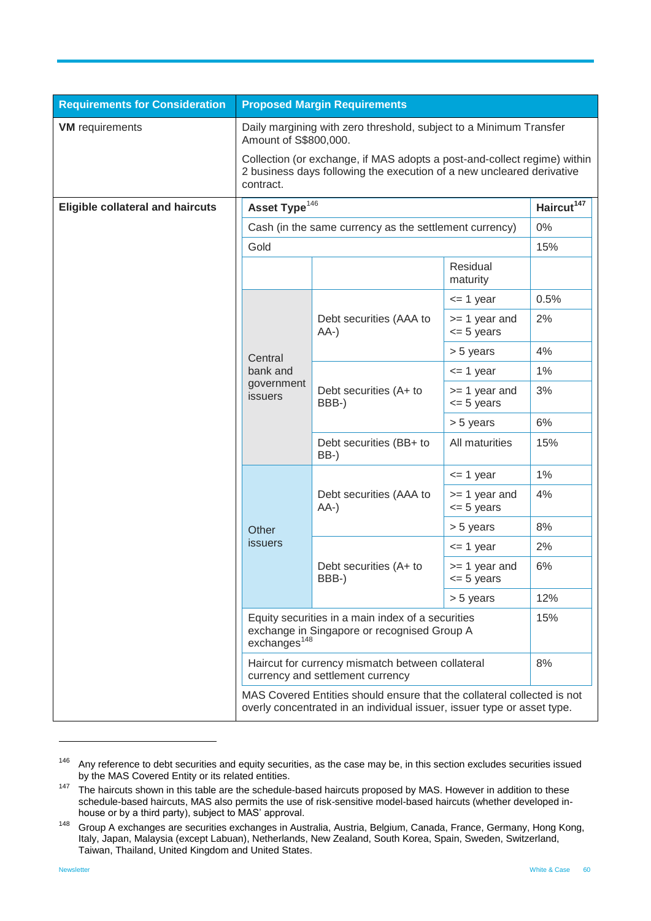| <b>Requirements for Consideration</b>   | <b>Proposed Margin Requirements</b>                                                                                                                            |                                                                                                                                                    |                                   |       |
|-----------------------------------------|----------------------------------------------------------------------------------------------------------------------------------------------------------------|----------------------------------------------------------------------------------------------------------------------------------------------------|-----------------------------------|-------|
| <b>VM</b> requirements                  | Daily margining with zero threshold, subject to a Minimum Transfer<br>Amount of S\$800,000.                                                                    |                                                                                                                                                    |                                   |       |
|                                         | Collection (or exchange, if MAS adopts a post-and-collect regime) within<br>2 business days following the execution of a new uncleared derivative<br>contract. |                                                                                                                                                    |                                   |       |
| <b>Eligible collateral and haircuts</b> | Asset Type <sup>146</sup><br>Haircut <sup>147</sup>                                                                                                            |                                                                                                                                                    |                                   |       |
|                                         | Cash (in the same currency as the settlement currency)                                                                                                         |                                                                                                                                                    |                                   | 0%    |
|                                         | Gold                                                                                                                                                           |                                                                                                                                                    |                                   | 15%   |
|                                         |                                                                                                                                                                |                                                                                                                                                    | Residual<br>maturity              |       |
|                                         |                                                                                                                                                                |                                                                                                                                                    | $= 1$ year                        | 0.5%  |
|                                         |                                                                                                                                                                | Debt securities (AAA to<br>$AA-$                                                                                                                   | $>= 1$ year and<br>$\leq$ 5 years | 2%    |
|                                         | Central                                                                                                                                                        |                                                                                                                                                    | > 5 years                         | 4%    |
|                                         | bank and                                                                                                                                                       |                                                                                                                                                    | $= 1$ year                        | 1%    |
|                                         | government<br>issuers                                                                                                                                          | Debt securities (A+ to<br>BBB-)                                                                                                                    | $>= 1$ year and<br>$\leq$ 5 years | 3%    |
|                                         |                                                                                                                                                                |                                                                                                                                                    | > 5 years                         | 6%    |
|                                         |                                                                                                                                                                | Debt securities (BB+ to<br>BB-)                                                                                                                    | All maturities                    | 15%   |
|                                         |                                                                                                                                                                | Debt securities (AAA to<br>$AA-$                                                                                                                   | $= 1$ year                        | $1\%$ |
|                                         |                                                                                                                                                                |                                                                                                                                                    | $>= 1$ year and<br>$\leq$ 5 years | 4%    |
|                                         | Other                                                                                                                                                          |                                                                                                                                                    | > 5 years                         | 8%    |
|                                         | <i>issuers</i>                                                                                                                                                 | Debt securities (A+ to<br>BBB-)                                                                                                                    | $\leq$ 1 year                     | 2%    |
|                                         |                                                                                                                                                                |                                                                                                                                                    | $>= 1$ year and<br>$\leq$ 5 years | 6%    |
|                                         |                                                                                                                                                                |                                                                                                                                                    | $> 5$ years                       | 12%   |
|                                         | Equity securities in a main index of a securities<br>exchange in Singapore or recognised Group A<br>exchanges <sup>148</sup>                                   |                                                                                                                                                    | 15%                               |       |
|                                         | Haircut for currency mismatch between collateral<br>currency and settlement currency                                                                           |                                                                                                                                                    | 8%                                |       |
|                                         |                                                                                                                                                                | MAS Covered Entities should ensure that the collateral collected is not<br>overly concentrated in an individual issuer, issuer type or asset type. |                                   |       |

 $146$  Any reference to debt securities and equity securities, as the case may be, in this section excludes securities issued by the MAS Covered Entity or its related entities.

<sup>&</sup>lt;sup>147</sup> The haircuts shown in this table are the schedule-based haircuts proposed by MAS. However in addition to these schedule-based haircuts, MAS also permits the use of risk-sensitive model-based haircuts (whether developed inhouse or by a third party), subject to MAS' approval.

<sup>148</sup> Group A exchanges are securities exchanges in Australia, Austria, Belgium, Canada, France, Germany, Hong Kong, Italy, Japan, Malaysia (except Labuan), Netherlands, New Zealand, South Korea, Spain, Sweden, Switzerland, Taiwan, Thailand, United Kingdom and United States.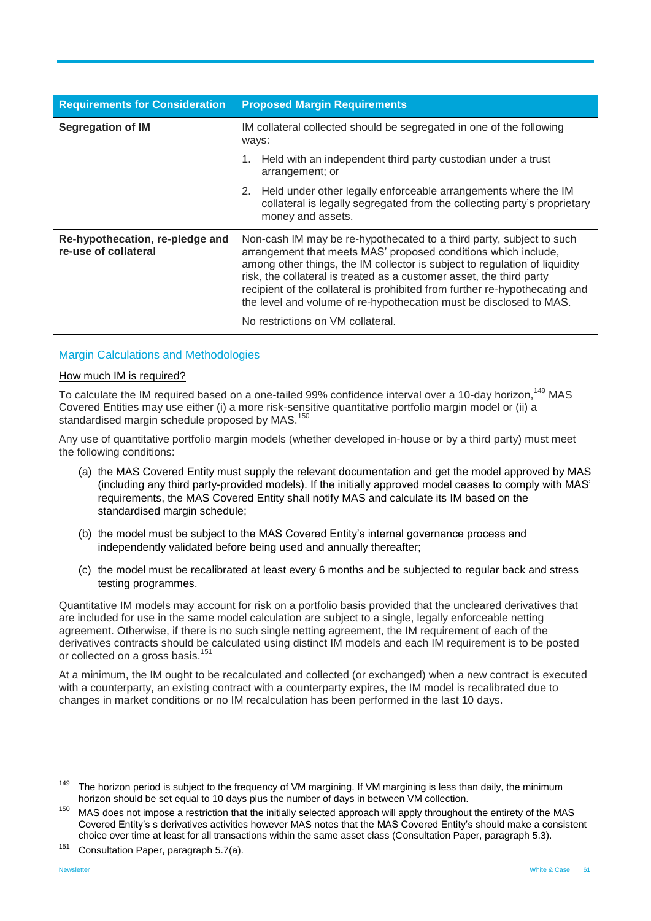| <b>Requirements for Consideration</b>                   | <b>Proposed Margin Requirements</b>                                                                                                                                                                                                                                                                                                                                                                                                                                                    |  |
|---------------------------------------------------------|----------------------------------------------------------------------------------------------------------------------------------------------------------------------------------------------------------------------------------------------------------------------------------------------------------------------------------------------------------------------------------------------------------------------------------------------------------------------------------------|--|
| <b>Segregation of IM</b>                                | IM collateral collected should be segregated in one of the following<br>ways:                                                                                                                                                                                                                                                                                                                                                                                                          |  |
|                                                         | Held with an independent third party custodian under a trust<br>1.<br>arrangement; or                                                                                                                                                                                                                                                                                                                                                                                                  |  |
|                                                         | 2. Held under other legally enforceable arrangements where the IM<br>collateral is legally segregated from the collecting party's proprietary<br>money and assets.                                                                                                                                                                                                                                                                                                                     |  |
| Re-hypothecation, re-pledge and<br>re-use of collateral | Non-cash IM may be re-hypothecated to a third party, subject to such<br>arrangement that meets MAS' proposed conditions which include,<br>among other things, the IM collector is subject to regulation of liquidity<br>risk, the collateral is treated as a customer asset, the third party<br>recipient of the collateral is prohibited from further re-hypothecating and<br>the level and volume of re-hypothecation must be disclosed to MAS.<br>No restrictions on VM collateral. |  |

#### Margin Calculations and Methodologies

#### How much IM is required?

To calculate the IM required based on a one-tailed 99% confidence interval over a 10-day horizon,<sup>149</sup> MAS Covered Entities may use either (i) a more risk-sensitive quantitative portfolio margin model or (ii) a standardised margin schedule proposed by MAS.<sup>150</sup>

Any use of quantitative portfolio margin models (whether developed in-house or by a third party) must meet the following conditions:

- (a) the MAS Covered Entity must supply the relevant documentation and get the model approved by MAS (including any third party-provided models). If the initially approved model ceases to comply with MAS' requirements, the MAS Covered Entity shall notify MAS and calculate its IM based on the standardised margin schedule;
- (b) the model must be subject to the MAS Covered Entity's internal governance process and independently validated before being used and annually thereafter;
- (c) the model must be recalibrated at least every 6 months and be subjected to regular back and stress testing programmes.

Quantitative IM models may account for risk on a portfolio basis provided that the uncleared derivatives that are included for use in the same model calculation are subject to a single, legally enforceable netting agreement. Otherwise, if there is no such single netting agreement, the IM requirement of each of the derivatives contracts should be calculated using distinct IM models and each IM requirement is to be posted or collected on a gross basis.<sup>151</sup>

At a minimum, the IM ought to be recalculated and collected (or exchanged) when a new contract is executed with a counterparty, an existing contract with a counterparty expires, the IM model is recalibrated due to changes in market conditions or no IM recalculation has been performed in the last 10 days.

<sup>151</sup> Consultation Paper, paragraph 5.7(a).

<sup>&</sup>lt;sup>149</sup> The horizon period is subject to the frequency of VM margining. If VM margining is less than daily, the minimum horizon should be set equal to 10 days plus the number of days in between VM collection.

<sup>&</sup>lt;sup>150</sup> MAS does not impose a restriction that the initially selected approach will apply throughout the entirety of the MAS Covered Entity's s derivatives activities however MAS notes that the MAS Covered Entity's should make a consistent choice over time at least for all transactions within the same asset class (Consultation Paper, paragraph 5.3).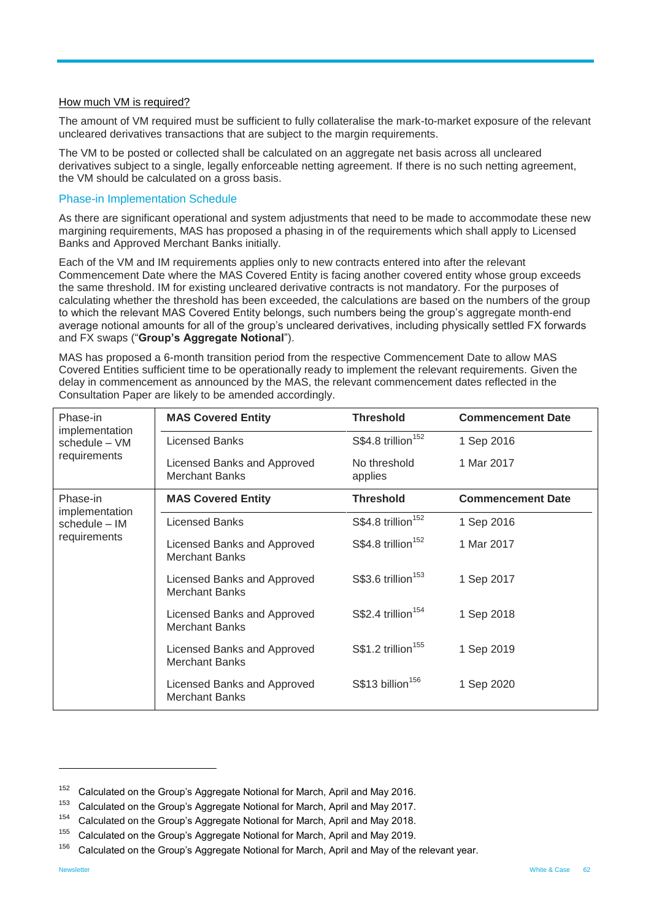#### How much VM is required?

The amount of VM required must be sufficient to fully collateralise the mark-to-market exposure of the relevant uncleared derivatives transactions that are subject to the margin requirements.

The VM to be posted or collected shall be calculated on an aggregate net basis across all uncleared derivatives subject to a single, legally enforceable netting agreement. If there is no such netting agreement, the VM should be calculated on a gross basis.

#### Phase-in Implementation Schedule

As there are significant operational and system adjustments that need to be made to accommodate these new margining requirements, MAS has proposed a phasing in of the requirements which shall apply to Licensed Banks and Approved Merchant Banks initially.

Each of the VM and IM requirements applies only to new contracts entered into after the relevant Commencement Date where the MAS Covered Entity is facing another covered entity whose group exceeds the same threshold. IM for existing uncleared derivative contracts is not mandatory. For the purposes of calculating whether the threshold has been exceeded, the calculations are based on the numbers of the group to which the relevant MAS Covered Entity belongs, such numbers being the group's aggregate month-end average notional amounts for all of the group's uncleared derivatives, including physically settled FX forwards and FX swaps ("**Group's Aggregate Notional**").

MAS has proposed a 6-month transition period from the respective Commencement Date to allow MAS Covered Entities sufficient time to be operationally ready to implement the relevant requirements. Given the delay in commencement as announced by the MAS, the relevant commencement dates reflected in the Consultation Paper are likely to be amended accordingly.

| Phase-in<br>implementation<br>schedule – VM<br>requirements | <b>MAS Covered Entity</b>                            | <b>Threshold</b>               | <b>Commencement Date</b> |
|-------------------------------------------------------------|------------------------------------------------------|--------------------------------|--------------------------|
|                                                             | Licensed Banks                                       | S\$4.8 trillion <sup>152</sup> | 1 Sep 2016               |
|                                                             | Licensed Banks and Approved<br>Merchant Banks        | No threshold<br>applies        | 1 Mar 2017               |
| Phase-in<br>implementation<br>schedule - IM<br>requirements | <b>MAS Covered Entity</b>                            | <b>Threshold</b>               | <b>Commencement Date</b> |
|                                                             | Licensed Banks                                       | S\$4.8 trillion <sup>152</sup> | 1 Sep 2016               |
|                                                             | Licensed Banks and Approved<br><b>Merchant Banks</b> | S\$4.8 trillion <sup>152</sup> | 1 Mar 2017               |
|                                                             | Licensed Banks and Approved<br><b>Merchant Banks</b> | $$3.6$ trillion <sup>153</sup> | 1 Sep 2017               |
|                                                             | Licensed Banks and Approved<br><b>Merchant Banks</b> | S\$2.4 trillion <sup>154</sup> | 1 Sep 2018               |
|                                                             | Licensed Banks and Approved<br><b>Merchant Banks</b> | S\$1.2 trillion <sup>155</sup> | 1 Sep 2019               |
|                                                             | Licensed Banks and Approved<br><b>Merchant Banks</b> | S\$13 billion <sup>156</sup>   | 1 Sep 2020               |

 $152$  Calculated on the Group's Aggregate Notional for March, April and May 2016.

<sup>&</sup>lt;sup>153</sup> Calculated on the Group's Aggregate Notional for March, April and May 2017.

<sup>&</sup>lt;sup>154</sup> Calculated on the Group's Aggregate Notional for March, April and May 2018.

<sup>&</sup>lt;sup>155</sup> Calculated on the Group's Aggregate Notional for March, April and May 2019.

 $156$  Calculated on the Group's Aggregate Notional for March, April and May of the relevant year.